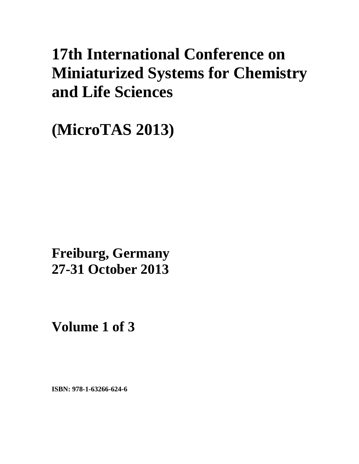# **17th International Conference on Miniaturized Systems for Chemistry and Life Sciences**

**(MicroTAS 2013)** 

**xxx Freiburg, Germany 27-31 October 2013** 

**Volume 1 of 3** 

**ISBN: 978-1-63266-624-6**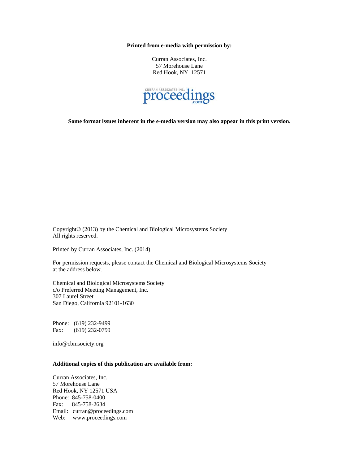**Printed from e-media with permission by:** 

Curran Associates, Inc. 57 Morehouse Lane Red Hook, NY 12571



**Some format issues inherent in the e-media version may also appear in this print version.** 

Copyright© (2013) by the Chemical and Biological Microsystems Society All rights reserved.

Printed by Curran Associates, Inc. (2014)

For permission requests, please contact the Chemical and Biological Microsystems Society at the address below.

Chemical and Biological Microsystems Society c/o Preferred Meeting Management, Inc. 307 Laurel Street San Diego, California 92101-1630

Phone: (619) 232-9499 Fax: (619) 232-0799

info@cbmsociety.org

### **Additional copies of this publication are available from:**

Curran Associates, Inc. 57 Morehouse Lane Red Hook, NY 12571 USA Phone: 845-758-0400 Fax: 845-758-2634 Email: curran@proceedings.com Web: www.proceedings.com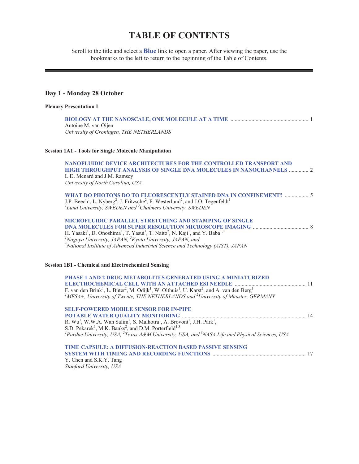# **TABLE OF CONTENTS**

Scroll to the title and select a **Blue** link to open a paper. After viewing the paper, use the bookmarks to the left to return to the beginning of the Table of Contents.

## **Day 1 - Monday 28 October**

| <b>Plenary Presentation I</b>                                                                                                                                                                                                                                                                                                                                                                           |
|---------------------------------------------------------------------------------------------------------------------------------------------------------------------------------------------------------------------------------------------------------------------------------------------------------------------------------------------------------------------------------------------------------|
| Antoine M. van Oijen<br>University of Groningen, THE NETHERLANDS                                                                                                                                                                                                                                                                                                                                        |
| <b>Session 1A1 - Tools for Single Molecule Manipulation</b>                                                                                                                                                                                                                                                                                                                                             |
| NANOFLUIDIC DEVICE ARCHITECTURES FOR THE CONTROLLED TRANSPORT AND<br>HIGH THROUGHPUT ANALYSIS OF SINGLE DNA MOLECULES IN NANOCHANNELS  2<br>L.D. Menard and J.M. Ramsey<br>University of North Carolina, USA                                                                                                                                                                                            |
| WHAT DO PHOTONS DO TO FLUORESCENTLY STAINED DNA IN CONFINEMENT?  5<br>J.P. Beech <sup>1</sup> , L. Nyberg <sup>2</sup> , J. Fritzsche <sup>2</sup> , F. Westerlund <sup>2</sup> , and J.O. Tegenfeldt <sup>1</sup><br>${}^{1}$ Lund University, SWEDEN and ${}^{2}$ Chalmers University, SWEDEN                                                                                                         |
| MICROFLUIDIC PARALLEL STRETCHING AND STAMPING OF SINGLE<br>H. Yasaki <sup>1</sup> , D. Onoshima <sup>1</sup> , T. Yasui <sup>1</sup> , T. Naito <sup>2</sup> , N. Kaji <sup>1</sup> , and Y. Baba <sup>1,3</sup><br><sup>1</sup> Nagoya University, JAPAN, ${}^{2}$ Kyoto University, JAPAN, and<br>$3^3$ National Institute of Advanced Industrial Science and Technology (AIST), JAPAN                |
| <b>Session 1B1 - Chemical and Electrochemical Sensing</b>                                                                                                                                                                                                                                                                                                                                               |
| <b>PHASE 1 AND 2 DRUG METABOLITES GENERATED USING A MINIATURIZED</b><br>F. van den Brink <sup>1</sup> , L. Büter <sup>2</sup> , M. Odijk <sup>1</sup> , W. Olthuis <sup>1</sup> , U. Karst <sup>2</sup> , and A. van den Berg <sup>1</sup><br>${}^{1}$ MESA+, University of Twente, THE NETHERLANDS and ${}^{2}$ University of Münster, GERMANY                                                         |
| <b>SELF-POWERED MOBILE SENSOR FOR IN-PIPE</b><br>R. Wu <sup>1</sup> , W.W.A. Wan Salim <sup>1</sup> , S. Malhotra <sup>1</sup> , A. Brovont <sup>1</sup> , J.H. Park <sup>1</sup> , S.D. Pekarek <sup>1</sup> , M.K. Banks <sup>2</sup> , and D.M. Porterfield <sup>1,3</sup><br><sup>1</sup> Purdue University, USA, $^{2}$ Texas A&M University, USA, and $^{3}$ NASA Life and Physical Sciences, USA |
| TIME CAPSULE: A DIFFUSION-REACTION BASED PASSIVE SENSING<br>Y. Chen and S.K.Y. Tang                                                                                                                                                                                                                                                                                                                     |

*Stanford University, USA*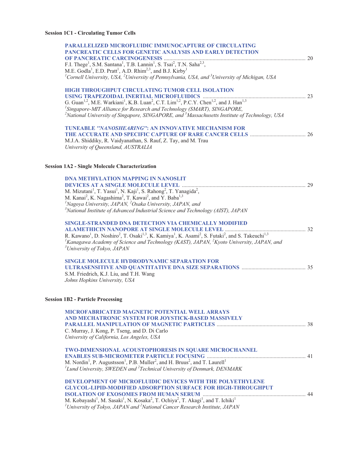### **Session 1C1 - Circulating Tumor Cells**

| <b>PARALLELIZED MICROFLUIDIC IMMUNOCAPTURE OF CIRCULATING</b>                                                                                                                         |  |
|---------------------------------------------------------------------------------------------------------------------------------------------------------------------------------------|--|
| PANCREATIC CELLS FOR GENETIC ANALYSIS AND EARLY DETECTION                                                                                                                             |  |
|                                                                                                                                                                                       |  |
| F.I. Thege <sup>1</sup> , S.M. Santana <sup>1</sup> , T.B. Lannin <sup>1</sup> , S. Tsai <sup>2</sup> , T.N. Saha <sup>2,3</sup> ,                                                    |  |
| M.E. Godla <sup>1</sup> , E.D. Pratt <sup>1</sup> , A.D. Rhim <sup>2,3</sup> , and B.J. Kirby <sup>1</sup>                                                                            |  |
| <sup>1</sup> Cornell University, USA, <sup>2</sup> University of Pennsylvania, USA, and <sup>3</sup> University of Michigan, USA                                                      |  |
|                                                                                                                                                                                       |  |
| HIGH THROUGHPUT CIRCULATING TUMOR CELL ISOLATION                                                                                                                                      |  |
|                                                                                                                                                                                       |  |
|                                                                                                                                                                                       |  |
| ${}^{1}$ Singapore-MIT Alliance for Research and Technology (SMART), SINGAPORE,                                                                                                       |  |
| <sup>2</sup> National University of Singapore, SINGAPORE, and <sup>3</sup> Massachusetts Institute of Technology, USA                                                                 |  |
| <b>TUNEABLE ''NANOSHEARING'': AN INNOVATIVE MECHANISM FOR</b>                                                                                                                         |  |
|                                                                                                                                                                                       |  |
| M.J.A. Shiddiky, R. Vaidyanathan, S. Rauf, Z. Tay, and M. Trau                                                                                                                        |  |
| University of Queensland, AUSTRALIA                                                                                                                                                   |  |
|                                                                                                                                                                                       |  |
|                                                                                                                                                                                       |  |
| <b>Session 1A2 - Single Molecule Characterization</b>                                                                                                                                 |  |
| <b>DNA METHYLATION MAPPING IN NANOSLIT</b>                                                                                                                                            |  |
|                                                                                                                                                                                       |  |
| M. Mizutani <sup>1</sup> , T. Yasui <sup>1</sup> , N. Kaji <sup>1</sup> , S. Rahong <sup>2</sup> , T. Yanagida <sup>2</sup> ,                                                         |  |
| M. Kanai <sup>2</sup> , K. Nagashima <sup>2</sup> , T. Kawai <sup>2</sup> , and Y. Baba <sup>1,3</sup>                                                                                |  |
| <sup>1</sup> Nagoya University, JAPAN, $^{2}$ Osaka University, JAPAN, and                                                                                                            |  |
| $3$ National Institute of Advanced Industrial Science and Technology (AIST), JAPAN                                                                                                    |  |
|                                                                                                                                                                                       |  |
| <b>SINGLE-STRANDED DNA DETECTION VIA CHEMICALLY MODIFIED</b>                                                                                                                          |  |
| R. Kawano <sup>1</sup> , D. Noshiro <sup>2</sup> , T. Osaki <sup>1,3</sup> , K. Kamiya <sup>1</sup> , K. Asami <sup>2</sup> , S. Futaki <sup>2</sup> , and S. Takeuchi <sup>1,3</sup> |  |
| <sup>1</sup> Kanagawa Academy of Science and Technology (KAST), JAPAN, <sup>2</sup> Kyoto University, JAPAN, and                                                                      |  |
| <sup>3</sup> University of Tokyo, JAPAN                                                                                                                                               |  |
|                                                                                                                                                                                       |  |
| SINGLE MOLECULE HYDRODYNAMIC SEPARATION FOR                                                                                                                                           |  |
|                                                                                                                                                                                       |  |
| S.M. Friedrich, K.J. Liu, and T.H. Wang                                                                                                                                               |  |
| Johns Hopkins University, USA                                                                                                                                                         |  |
|                                                                                                                                                                                       |  |
| <b>Session 1B2 - Particle Processing</b>                                                                                                                                              |  |
|                                                                                                                                                                                       |  |
| MICROFABRICATED MAGNETIC POTENTIAL WELL ARRAYS                                                                                                                                        |  |
| AND MECHATRONIC SYSTEM FOR JOYSTICK-BASED MASSIVELY                                                                                                                                   |  |
|                                                                                                                                                                                       |  |
| C. Murray, J. Kong, P. Tseng, and D. Di Carlo                                                                                                                                         |  |
| University of California, Los Angeles, USA                                                                                                                                            |  |
| TWO-DIMENSIONAL ACOUSTOPHORESIS IN SQUARE MICROCHANNEL                                                                                                                                |  |
|                                                                                                                                                                                       |  |
| M. Nordin <sup>1</sup> , P. Augustsson <sup>1</sup> , P.B. Muller <sup>2</sup> , and H. Bruus <sup>2</sup> , and T. Laurell <sup>1</sup>                                              |  |
| ${}^{1}$ Lund University, SWEDEN and ${}^{2}$ Technical University of Denmark, DENMARK                                                                                                |  |
|                                                                                                                                                                                       |  |
| <b>DEVELOPMENT OF MICROFLUIDIC DEVICES WITH THE POLYETHYLENE</b>                                                                                                                      |  |
| <b>GLYCOL-LIPID-MODIFIED ADSORPTION SURFACE FOR HIGH-THROUGHPUT</b>                                                                                                                   |  |
|                                                                                                                                                                                       |  |
| M. Kobayashi <sup>1</sup> , M. Sasaki <sup>1</sup> , N. Kosaka <sup>2</sup> , T. Ochiya <sup>2</sup> , T. Akagi <sup>1</sup> , and T. Ichiki <sup>1</sup>                             |  |
| ${}^{1}$ University of Tokyo, JAPAN and ${}^{2}$ National Cancer Research Institute, JAPAN                                                                                            |  |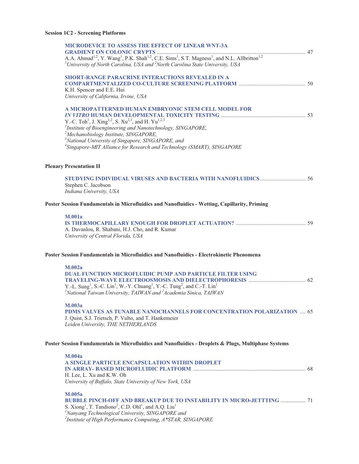## **Session 1C2 - Screening Platforms**

| <b>MICRODEVICE TO ASSESS THE EFFECT OF LINEAR WNT-3A</b>                                                                                   |  |
|--------------------------------------------------------------------------------------------------------------------------------------------|--|
|                                                                                                                                            |  |
| <sup>1</sup> University of North Carolina, USA and $^2$ North Carolina State University, USA                                               |  |
| SHORT-RANGE PARACRINE INTERACTIONS REVEALED IN A                                                                                           |  |
|                                                                                                                                            |  |
| K.H. Spencer and E.E. Hui<br>University of California, Irvine, USA                                                                         |  |
|                                                                                                                                            |  |
| A MICROPATTERNED HUMAN EMBRYONIC STEM CELL MODEL FOR                                                                                       |  |
| Y.-C. Toh <sup>1</sup> , J. Xing <sup>1,2</sup> , S. Xu <sup>2,3</sup> , and H. Yu <sup>1,2,3</sup>                                        |  |
| <sup>1</sup> Institute of Bioengineering and Nanotechnology, SINGAPORE,                                                                    |  |
| <sup>2</sup> Mechanobiology Institute, SINGAPORE,                                                                                          |  |
| <sup>3</sup> National University of Singapore, SINGAPORE, and                                                                              |  |
| <sup>4</sup> Singapore-MIT Alliance for Research and Technology (SMART), SINGAPORE                                                         |  |
| <b>Plenary Presentation II</b>                                                                                                             |  |
|                                                                                                                                            |  |
| Stephen C. Jacobson                                                                                                                        |  |
| Indiana University, USA                                                                                                                    |  |
| Poster Session Fundamentals in Microfluidics and Nanofluidics - Wetting, Capillarity, Priming                                              |  |
| <b>M.001a</b>                                                                                                                              |  |
|                                                                                                                                            |  |
| A. Davanlou, R. Shabani, H.J. Cho, and R. Kumar<br>University of Central Florida, USA                                                      |  |
|                                                                                                                                            |  |
| Poster Session Fundamentals in Microfluidics and Nanofluidics - Electrokinetic Phenomena                                                   |  |
| M.002a                                                                                                                                     |  |
| <b>DUAL FUNCTION MICROFLUIDIC PUMP AND PARTICLE FILTER USING</b>                                                                           |  |
| Y.-L. Sung <sup>1</sup> , S.-C. Lin <sup>1</sup> , W.-Y. Chuang <sup>1</sup> , Y.-C. Tung <sup>2</sup> , and C.-T. Lin <sup>1</sup>        |  |
| <sup>1</sup> National Taiwan University, TAIWAN and <sup>2</sup> Academia Sinica, TAIWAN                                                   |  |
|                                                                                                                                            |  |
| M.003a                                                                                                                                     |  |
| PDMS VALVES AS TUNABLE NANOCHANNELS FOR CONCENTRATION POLARIZATION  65<br>J. Quist, S.J. Trietsch, P. Vulto, and T. Hankemeier             |  |
| Leiden University, THE NETHERLANDS                                                                                                         |  |
| Poster Session Fundamentals in Microfluidics and Nanofluidics - Droplets & Plugs, Multiphase Systems                                       |  |
|                                                                                                                                            |  |
| <b>M.004a</b><br>A SINGLE PARTICLE ENCAPSULATION WITHIN DROPLET                                                                            |  |
|                                                                                                                                            |  |
| H. Lee, L. Xu and K.W. Oh                                                                                                                  |  |
| University of Buffalo, State University of New York, USA                                                                                   |  |
| M.005a                                                                                                                                     |  |
| <b>BUBBLE PINCH-OFF AND BREAKUP DUE TO INSTABILITY IN MICRO-JETTTING  71</b>                                                               |  |
| S. Xiong <sup>1</sup> , T. Tandiono <sup>2</sup> , C.D. Ohl <sup>1</sup> , and A.Q. Liu <sup>1</sup>                                       |  |
| <sup>1</sup> Nanyang Technological University, SINGAPORE and<br><sup>2</sup> Institute of High Performance Computing, $A*STAR$ , SINGAPORE |  |
|                                                                                                                                            |  |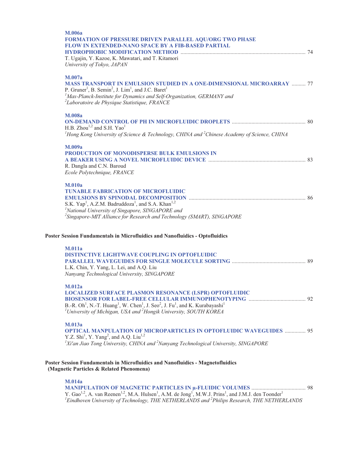| M.006a<br>FORMATION OF PRESSURE DRIVEN PARALLEL AQU/ORG TWO PHASE<br>FLOW IN EXTENDED-NANO SPACE BY A FIB-BASED PARTIAL                                                                                                                     |  |
|---------------------------------------------------------------------------------------------------------------------------------------------------------------------------------------------------------------------------------------------|--|
| T. Ugajin, Y. Kazoe, K. Mawatari, and T. Kitamori<br>University of Tokyo, JAPAN                                                                                                                                                             |  |
| M.007a<br><b>MASS TRANSPORT IN EMULSION STUDIED IN A ONE-DIMENSIONAL MICROARRAY  77</b><br>P. Gruner <sup>1</sup> , B. Semin <sup>2</sup> , J. Lim <sup>1</sup> , and J.C. Baret <sup>1</sup>                                               |  |
| <sup>1</sup> Max-Planck-Institute for Dynamics and Self-Organization, GERMANY and<br>$2L$ aboratoire de Physique Statistique, FRANCE                                                                                                        |  |
| <b>M.008a</b>                                                                                                                                                                                                                               |  |
| H.B. Zhou <sup>1,2</sup> and S.H. Yao <sup>1</sup><br><sup>1</sup> Hong Kong University of Science & Technology, CHINA and <sup>2</sup> Chinese Academy of Science, CHINA                                                                   |  |
| M.009a<br>PRODUCTION OF MONODISPERSE BULK EMULSIONS IN                                                                                                                                                                                      |  |
| R. Dangla and C.N. Baroud<br>Ecole Polytechnique, FRANCE                                                                                                                                                                                    |  |
| <b>M.010a</b><br><b>TUNABLE FABRICATION OF MICROFLUIDIC</b>                                                                                                                                                                                 |  |
| S.K. Yap <sup>1</sup> , A.Z.M. Badruddoza <sup>1</sup> , and S.A. Khan <sup>1,2</sup><br><sup>1</sup> National University of Singapore, SINGAPORE and<br><sup>2</sup> Singapore-MIT Alliance for Research and Technology (SMART), SINGAPORE |  |
| Poster Session Fundamentals in Microfluidics and Nanofluidics - Optofluidics                                                                                                                                                                |  |
| <b>M.011a</b><br>DISTINCTIVE LIGHTWAVE COUPLING IN OPTOFLUIDIC                                                                                                                                                                              |  |
| L.K. Chin, Y. Yang, L. Lei, and A.Q. Liu<br>Nanyang Technological University, SINGAPORE                                                                                                                                                     |  |
| M.012a<br><b>LOCALIZED SURFACE PLASMON RESONANCE (LSPR) OPTOFLUIDIC</b>                                                                                                                                                                     |  |
| B.-R. Oh <sup>1</sup> , N.-T. Huang <sup>1</sup> , W. Chen <sup>1</sup> , J. Seo <sup>2</sup> , J. Fu <sup>1</sup> , and K. Kurabayashi <sup>1</sup><br>${}^{1}$ University of Michigan, USA and ${}^{2}$ Hongik University, SOUTH KOREA    |  |
| M.013a<br><b>OPTICAL MANPULATION OF MICROPARTICLES IN OPTOFLUIDIC WAVEGUIDES  95</b><br>Y.Z. Shi <sup>1</sup> , Y. Yang <sup>2</sup> , and A.Q. Liu <sup>1,2</sup>                                                                          |  |
| ${}^{1}Xi'$ an Jiao Tong University, CHINA and ${}^{2}$ Nanyang Technological University, SINGAPORE                                                                                                                                         |  |
| Poster Session Fundamentals in Microfluidics and Nanofluidics - Magnetofluidics<br>(Magnetic Particles & Related Phenomena)                                                                                                                 |  |
| <b>M.014a</b>                                                                                                                                                                                                                               |  |
| ${}^{1}$ Eindhoven University of Technology, THE NETHERLANDS and ${}^{2}$ Philips Research, THE NETHERLANDS                                                                                                                                 |  |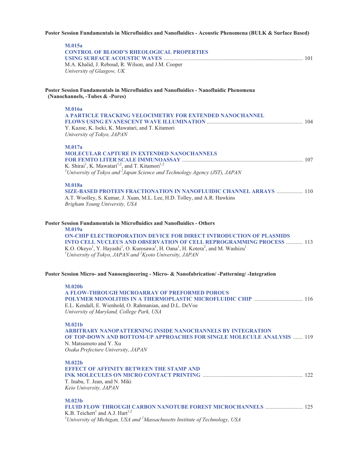### **Poster Session Fundamentals in Microfluidics and Nanofluidics - Acoustic Phenomena (BULK & Surface Based)**

| <b>M.015a</b><br><b>CONTROL OF BLOOD'S RHEOLOGICAL PROPERTIES</b>                                                                                                                                                                                                                                                                                                                                                                                                                                 |  |
|---------------------------------------------------------------------------------------------------------------------------------------------------------------------------------------------------------------------------------------------------------------------------------------------------------------------------------------------------------------------------------------------------------------------------------------------------------------------------------------------------|--|
| M.A. Khalid, J. Reboud, R. Wilson, and J.M. Cooper<br>University of Glasgow, UK                                                                                                                                                                                                                                                                                                                                                                                                                   |  |
| Poster Session Fundamentals in Microfluidics and Nanofluidics - Nanofluidic Phenomena<br>(Nanochannels, -Tubes & -Pores)                                                                                                                                                                                                                                                                                                                                                                          |  |
| <b>M.016a</b>                                                                                                                                                                                                                                                                                                                                                                                                                                                                                     |  |
| A PARTICLE TRACKING VELOCIMETRY FOR EXTENDED NANOCHANNEL                                                                                                                                                                                                                                                                                                                                                                                                                                          |  |
| Y. Kazoe, K. Iseki, K. Mawatari, and T. Kitamori<br>University of Tokyo, JAPAN                                                                                                                                                                                                                                                                                                                                                                                                                    |  |
| M.017a                                                                                                                                                                                                                                                                                                                                                                                                                                                                                            |  |
| <b>MOLECULAR CAPTURE IN EXTENDED NANOCHANNELS</b>                                                                                                                                                                                                                                                                                                                                                                                                                                                 |  |
| K. Shirai <sup>1</sup> , K. Mawatari <sup>1,2</sup> , and T. Kitamori <sup>1,2</sup>                                                                                                                                                                                                                                                                                                                                                                                                              |  |
| <sup>1</sup> University of Tokyo and $2$ Japan Science and Technology Agency (JST), JAPAN                                                                                                                                                                                                                                                                                                                                                                                                         |  |
| <b>M.018a</b>                                                                                                                                                                                                                                                                                                                                                                                                                                                                                     |  |
| SIZE-BASED PROTEIN FRACTIONATION IN NANOFLUIDIC CHANNEL ARRAYS  110                                                                                                                                                                                                                                                                                                                                                                                                                               |  |
| A.T. Woolley, S. Kumar, J. Xuan, M.L. Lee, H.D. Tolley, and A.R. Hawkins<br>Brigham Young University, USA                                                                                                                                                                                                                                                                                                                                                                                         |  |
| <b>Poster Session Fundamentals in Microfluidics and Nanofluidics - Others</b><br><b>M.019a</b><br><b>ON-CHIP ELECTROPORATION DEVICE FOR DIRECT INTRODUCTION OF PLASMIDS</b><br>INTO CELL NUCLEUS AND OBSERVATION OF CELL REPROGRAMMING PROCESS  113<br>K.O. Okeyo <sup>1</sup> , Y. Hayashi <sup>1</sup> , O. Kurosawa <sup>1</sup> , H. Oana <sup>1</sup> , H. Kotera <sup>2</sup> , and M. Washizu <sup>1</sup><br><sup>1</sup> University of Tokyo, JAPAN and ${}^{2}$ Kyoto University, JAPAN |  |
| Poster Session Micro- and Nanoengineering - Micro- & Nanofabrication/ -Patterning/ -Integration                                                                                                                                                                                                                                                                                                                                                                                                   |  |
| M.020 <sub>b</sub><br><b>A FLOW-THROUGH MICROARRAY OF PREFORMED POROUS</b>                                                                                                                                                                                                                                                                                                                                                                                                                        |  |
| E.L. Kendall, E. Wienhold, O. Rahmanian, and D.L. DeVoe<br>University of Maryland, College Park, USA                                                                                                                                                                                                                                                                                                                                                                                              |  |
| <b>M.021b</b>                                                                                                                                                                                                                                                                                                                                                                                                                                                                                     |  |
| ARBITRARY NANOPATTERNING INSIDE NANOCHANNELS BY INTEGRATION<br><b>OF TOP-DOWN AND BOTTOM-UP APPROACHES FOR SINGLE MOLECULE ANALYSIS  119</b>                                                                                                                                                                                                                                                                                                                                                      |  |
| N. Matsumoto and Y. Xu                                                                                                                                                                                                                                                                                                                                                                                                                                                                            |  |
| Osaka Prefecture University, JAPAN                                                                                                                                                                                                                                                                                                                                                                                                                                                                |  |
| M.022b                                                                                                                                                                                                                                                                                                                                                                                                                                                                                            |  |
| <b>EFFECT OF AFFINITY BETWEEN THE STAMP AND</b>                                                                                                                                                                                                                                                                                                                                                                                                                                                   |  |
| T. Inaba, T. Jean, and N. Miki                                                                                                                                                                                                                                                                                                                                                                                                                                                                    |  |
| Keio University, JAPAN                                                                                                                                                                                                                                                                                                                                                                                                                                                                            |  |
| M.023b                                                                                                                                                                                                                                                                                                                                                                                                                                                                                            |  |
| K.B. Teichert <sup>1</sup> and A.J. Hart <sup>1,2</sup>                                                                                                                                                                                                                                                                                                                                                                                                                                           |  |
| <sup>1</sup> University of Michigan, USA and $2^2$ Massachusetts Institute of Technology, USA                                                                                                                                                                                                                                                                                                                                                                                                     |  |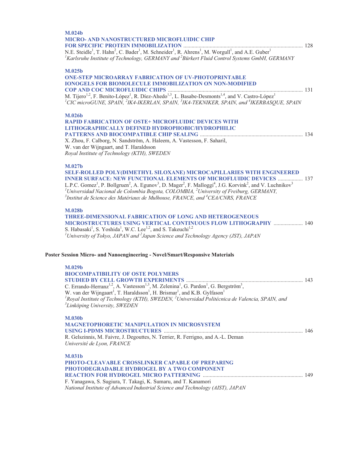| M.024b<br><b>MICRO- AND NANOSTRUCTURED MICROFLUIDIC CHIP</b><br>N.E. Steidle <sup>1</sup> , T. Hahn <sup>2</sup> , C. Bader <sup>1</sup> , M. Schneider <sup>1</sup> , R. Ahrens <sup>1</sup> , M. Worgull <sup>1</sup> , and A.E. Guber <sup>1</sup><br><sup>1</sup> Karlsruhe Institute of Technology, GERMANY and <sup>2</sup> Bürkert Fluid Control Systems GmbH, GERMANY                                                                                                                                                                                                               |  |
|---------------------------------------------------------------------------------------------------------------------------------------------------------------------------------------------------------------------------------------------------------------------------------------------------------------------------------------------------------------------------------------------------------------------------------------------------------------------------------------------------------------------------------------------------------------------------------------------|--|
| M.025b<br><b>ONE-STEP MICROARRAY FABRICATION OF UV-PHOTOPRINTABLE</b><br><b>IONOGELS FOR BIOMOLECULE IMMOBILIZATION ON NON-MODIFIED</b><br>M. Tijero <sup>1,2</sup> , F. Benito-López <sup>1</sup> , R. Díez-Ahedo <sup>1,3</sup> , L. Basabe-Desmonts <sup>1,4</sup> , and V. Castro-López <sup>1</sup><br><sup>1</sup> CIC microGUNE, SPAIN, <sup>2</sup> IK4-IKERLAN, SPAIN, <sup>3</sup> IK4-TEKNIKER, SPAIN, and <sup>4</sup> IKERBASOUE, SPAIN                                                                                                                                        |  |
| M.026b<br><b>RAPID FABRICATION OF OSTE+ MICROFLUIDIC DEVICES WITH</b><br>LITHOGRAPHICALLY DEFINED HYDROPHOBIC/HYDROPHILIC<br>X. Zhou, F. Calborg, N. Sandström, A. Haleem, A. Vastesson, F. Saharil,<br>W. van der Wijngaart, and T. Haraldsson<br>Royal Institute of Technology (KTH), SWEDEN                                                                                                                                                                                                                                                                                              |  |
| M.027b<br>SELF-ROLLED POLY(DIMETHYL SILOXANE) MICROCAPILLARIES WITH ENGINEERED<br><b>INNER SURFACE: NEW FUNCTIONAL ELEMENTS OF MICROFLUIDIC DEVICES  137</b><br>L.P.C. Gomez <sup>1</sup> , P. Bollgruen <sup>2</sup> , A. Egunov <sup>3</sup> , D. Mager <sup>2</sup> , F. Malloggi <sup>4</sup> , J.G. Korvink <sup>2</sup> , and V. Luchnikov <sup>3</sup><br><sup>1</sup> Universidad Nacional de Colombia Bogota, COLOMBIA, $^{2}$ University of Freiburg, GERMANY,<br>$3$ Institut de Science des Matériaux de Mulhouse, FRANCE, and $4$ CEA/CNRS, FRANCE                             |  |
| M.028b<br><b>THREE-DIMENSIONAL FABRICATION OF LONG AND HETEROGENEOUS</b><br>MICROSTRUCTURES USING VERTICAL CONTINUOUS FLOW LITHOGRAPHY  140<br>S. Habasaki <sup>1</sup> , S. Yoshida <sup>1</sup> , W.C. Lee <sup>1,2</sup> , and S. Takeuchi <sup>1,2</sup><br><sup>1</sup> University of Tokyo, JAPAN and $^{2}$ Japan Science and Technology Agency (JST), JAPAN                                                                                                                                                                                                                         |  |
| Poster Session Micro- and Nanoengineering - Novel/Smart/Responsive Materials<br>M.029b<br><b>BIOCOMPATIBILITY OF OSTE POLYMERS</b><br>C. Errando-Herranz <sup>1,2</sup> , A. Vastesson <sup>1,3</sup> , M. Zelenina <sup>1</sup> , G. Pardon <sup>1</sup> , G. Bergström <sup>3</sup> ,<br>W. van der Wijngaart <sup>1</sup> , T. Haraldsson <sup>1</sup> , H. Brismar <sup>1</sup> , and K.B. Gylfason <sup>1</sup><br><sup>1</sup> Royal Institute of Technology (KTH), SWEDEN, <sup>2</sup> Universidad Politécnica de Valencia, SPAIN, and<br><sup>3</sup> Linköping University, SWEDEN |  |
| <b>M.030b</b><br><b>MAGNETOPHORETIC MANIPULATION IN MICROSYSTEM</b><br>R. Gelszinnis, M. Faivre, J. Degouttes, N. Terrier, R. Ferrigno, and A.-L. Deman<br>Université de Lyon, FRANCE                                                                                                                                                                                                                                                                                                                                                                                                       |  |
| <b>M.031b</b><br>PHOTO-CLEAVABLE CROSSLINKER CAPABLE OF PREPARING<br>PHOTODEGRADABLE HYDROGEL BY A TWO COMPONENT<br>F. Yanagawa, S. Sugiura, T. Takagi, K. Sumaru, and T. Kanamori<br>National Institute of Advanced Industrial Science and Technology (AIST), JAPAN                                                                                                                                                                                                                                                                                                                        |  |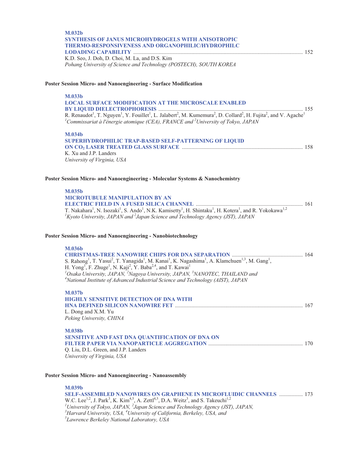| <b>M.032b</b><br><b>SYNTHESIS OF JANUS MICROHYDROGELS WITH ANISOTROPIC</b><br>THERMO-RESPONSIVENESS AND ORGANOPHILIC/HYDROPHILC                                                                                                                                                                                                |  |
|--------------------------------------------------------------------------------------------------------------------------------------------------------------------------------------------------------------------------------------------------------------------------------------------------------------------------------|--|
| K.D. Seo, J. Doh, D. Choi, M. La, and D.S. Kim<br>Pohang University of Science and Technology (POSTECH), SOUTH KOREA                                                                                                                                                                                                           |  |
| Poster Session Micro- and Nanoengineering - Surface Modification                                                                                                                                                                                                                                                               |  |
| M.033b                                                                                                                                                                                                                                                                                                                         |  |
| <b>LOCAL SURFACE MODIFICATION AT THE MICROSCALE ENABLED</b>                                                                                                                                                                                                                                                                    |  |
| R. Renaudot <sup>1</sup> , T. Nguyen <sup>1</sup> , Y. Fouillet <sup>1</sup> , L. Jalabert <sup>2</sup> , M. Kumemura <sup>2</sup> , D. Collard <sup>2</sup> , H. Fujita <sup>2</sup> , and V. Agache <sup>1</sup><br><sup>1</sup> Commissariat à l'énergie atomique (CEA), FRANCE and <sup>2</sup> University of Tokyo, JAPAN |  |
| M.034b                                                                                                                                                                                                                                                                                                                         |  |
| SUPERHYDROPHILIC TRAP-BASED SELF-PATTERNING OF LIQUID                                                                                                                                                                                                                                                                          |  |
| K. Xu and J.P. Landers                                                                                                                                                                                                                                                                                                         |  |
| University of Virginia, USA                                                                                                                                                                                                                                                                                                    |  |
| Poster Session Micro- and Nanoengineering - Molecular Systems & Nanochemistry                                                                                                                                                                                                                                                  |  |
| M.035b                                                                                                                                                                                                                                                                                                                         |  |
| <b>MICROTUBULE MANIPULATION BY AN</b>                                                                                                                                                                                                                                                                                          |  |
| T. Nakahara <sup>1</sup> , N. Isozaki <sup>1</sup> , S. Ando <sup>1</sup> , N.K. Kamisetty <sup>1</sup> , H. Shintaku <sup>1</sup> , H. Kotera <sup>1</sup> , and R. Yokokawa <sup>1,2</sup><br>${}^{1}$ Kyoto University, JAPAN and ${}^{2}$ Japan Science and Technology Agency (JST), JAPAN                                 |  |
| Poster Session Micro- and Nanoengineering - Nanobiotechnology                                                                                                                                                                                                                                                                  |  |
| <b>M.036b</b>                                                                                                                                                                                                                                                                                                                  |  |
| S. Rahong <sup>1</sup> , T. Yasui <sup>2</sup> , T. Yanagida <sup>1</sup> , M. Kanai <sup>1</sup> , K. Nagashima <sup>1</sup> , A. Klamchuen <sup>1,3</sup> , M. Gang <sup>1</sup> ,                                                                                                                                           |  |
| H. Yong <sup>1</sup> , F. Zhuge <sup>1</sup> , N. Kaji <sup>2</sup> , Y. Baba <sup>2,4</sup> , and T. Kawai <sup>1</sup>                                                                                                                                                                                                       |  |
| $^{1}$ Osaka University, JAPAN, $^{2}$ Nagoya University, JAPAN, $^{3}$ NANOTEC, THAILAND and<br><sup>4</sup> National Institute of Advanced Industrial Science and Technology (AIST), JAPAN                                                                                                                                   |  |
| M.037b                                                                                                                                                                                                                                                                                                                         |  |
| <b>HIGHLY SENSITIVE DETECTION OF DNA WITH</b>                                                                                                                                                                                                                                                                                  |  |
| L. Dong and X.M. Yu                                                                                                                                                                                                                                                                                                            |  |
| Peking University, CHINA                                                                                                                                                                                                                                                                                                       |  |
| <b>M.038b</b>                                                                                                                                                                                                                                                                                                                  |  |
| SENSITIVE AND FAST DNA QUANTIFICATION OF DNA ON                                                                                                                                                                                                                                                                                |  |
|                                                                                                                                                                                                                                                                                                                                |  |

Q. Liu, D.L. Green, and J.P. Landers *University of Virginia, USA* 

#### **Poster Session Micro- and Nanoengineering - Nanoassembly**

**M.039b SELF-ASSEMBLED NANOWIRES ON GRAPHENE IN MICROFLUIDIC CHANNELS** ................. 173 W.C. Lee<sup>1,2</sup>, J. Park<sup>3</sup>, K. Kim<sup>4,5</sup>, A. Zettl<sup>4,5</sup>, D.A. Weitz<sup>3</sup>, and S. Takeuchi<sup>1,2</sup><br><sup>*1</sup>University of Tokyo, JAPAN, <sup>2</sup>Japan Science and Technology Agency (JST), JAPAN,*  $\frac{3}{2}$ *Hanyard University USA* <sup>4</sup>*Univers</sup>* <sup>3</sup> Harvard University, USA, <sup>4</sup>University of California, Berkeley, USA, and <sup>5</sup><br><sup>5</sup> Lawrange Berkeley National Laboratory, USA *Lawrence Berkeley National Laboratory, USA*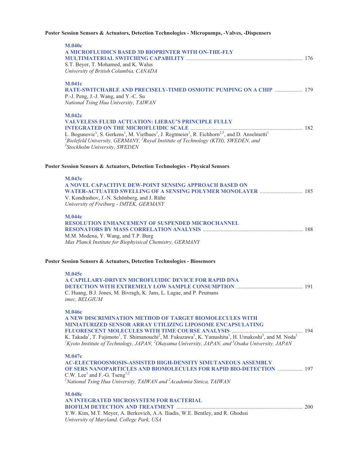### **Poster Session Sensors & Actuators, Detection Technologies - Micropumps, -Valves, -Dispensers**

| <b>M.040c</b><br>A MICROFLUIDICS BASED 3D BIOPRINTER WITH ON-THE-FLY<br>S.T. Beyer, T. Mohamed, and K. Walus<br>University of British Columbia, CANADA                                                                                                                                                                                                                                                                                                            |  |
|-------------------------------------------------------------------------------------------------------------------------------------------------------------------------------------------------------------------------------------------------------------------------------------------------------------------------------------------------------------------------------------------------------------------------------------------------------------------|--|
| <b>M.041c</b><br>RATE-SWITCHABLE AND PRECISELY-TIMED OSMOTIC PUMPING ON A CHIP  179<br>P.-J. Peng, J.-J. Wang, and Y.-C. Su<br>National Tsing Hua University, TAIWAN                                                                                                                                                                                                                                                                                              |  |
| <b>M.042c</b><br><b>VALVELESS FLUID ACTUATION: LIEBAU'S PRINCIPLE FULLY</b><br>L. Bogunovic <sup>1</sup> , S. Gerkens <sup>1</sup> , M. Viefhues <sup>1</sup> , J. Regtmeier <sup>1</sup> , R. Eichhorn <sup>2,3</sup> , and D. Anselmetti <sup>1</sup><br><sup>1</sup> Bielefeld University, GERMANY, <sup>2</sup> Royal Institute of Technology (KTH), SWEDEN, and<br><sup>3</sup> Stockholm University, SWEDEN                                                 |  |
| Poster Session Sensors & Actuators, Detection Technologies - Physical Sensors                                                                                                                                                                                                                                                                                                                                                                                     |  |
| M.043c<br>A NOVEL CAPACITIVE DEW-POINT SENSING APPROACH BASED ON<br>V. Kondrashov, J.-N. Schönberg, and J. Rühe<br>University of Freiburg - IMTEK, GERMANY                                                                                                                                                                                                                                                                                                        |  |
| <b>M.044c</b><br><b>RESOLUTION ENHANCEMENT OF SUSPENDED MICROCHANNEL</b><br>M.M. Modena, Y. Wang, and T.P. Burg<br>Max Planck Institute for Biophyisical Chemistry, GERMANY                                                                                                                                                                                                                                                                                       |  |
| Poster Session Sensors & Actuators, Detection Technologies - Biosensors                                                                                                                                                                                                                                                                                                                                                                                           |  |
| <b>M.045c</b><br>A CAPILLARY-DRIVEN MICROFLUIDIC DEVICE FOR RAPID DNA<br>C. Huang, B.J. Jones, M. Bivragh, K. Jans, L. Lagae, and P. Peumans<br>imec. BELGIUM                                                                                                                                                                                                                                                                                                     |  |
| <b>M.046c</b><br>A NEW DISCRIMINATION METHOD OF TARGET BIOMOLECULES WITH<br>MINIATURIZED SENSOR ARRAY UTILIZING LIPOSOME ENCAPSULATING<br>K. Takada <sup>1</sup> , T. Fujimoto <sup>1</sup> , T. Shimanouchi <sup>2</sup> , M. Fukuzawa <sup>1</sup> , K. Yamashita <sup>1</sup> , H. Umakoshi <sup>3</sup> , and M. Noda <sup>1</sup><br>${}^{1}$ Kyoto Institute of Technology, JAPAN, ${}^{2}$ Okayama University, JAPAN, and ${}^{3}$ Osaka University, JAPAN |  |
| <b>M.047c</b><br><b>AC-ELECTROOSMOSIS-ASSISTED HIGH-DENSITY SIMUTANEOUS ASSEMBLY</b><br>OF SERS NANOPARTICLES AND BIOMOLECULES FOR RAPID BIO-DETECTION  197<br>C.W. Lee <sup>1</sup> and F.-G. Tseng <sup>1,2</sup><br><sup>1</sup> National Tsing Hua University, TAIWAN and <sup>2</sup> Academia Sinica, TAIWAN                                                                                                                                                |  |
| M.048c<br>AN INTEGRATED MICROSYSTEM FOR BACTERIAL<br>Y.W. Kim, M.T. Meyer, A. Berkovich, A.A. Iliadis, W.E. Bentley, and R. Ghodssi<br>University of Maryland, College Park, USA                                                                                                                                                                                                                                                                                  |  |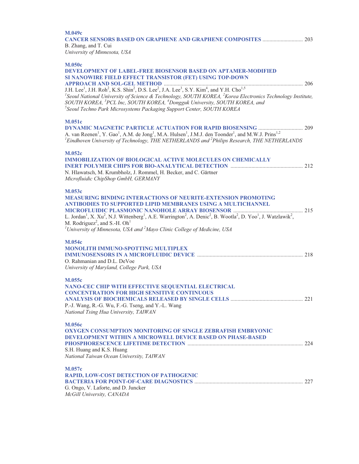| <b>M.049c</b><br>B. Zhang, and T. Cui<br>University of Minnesota, USA                                                                                                                                                                                                                                                                                                                                                                                                                                                                                                                                                                                                                                             |  |
|-------------------------------------------------------------------------------------------------------------------------------------------------------------------------------------------------------------------------------------------------------------------------------------------------------------------------------------------------------------------------------------------------------------------------------------------------------------------------------------------------------------------------------------------------------------------------------------------------------------------------------------------------------------------------------------------------------------------|--|
| <b>M.050c</b><br><b>DEVELOPMENT OF LABEL-FREE BIOSENSOR BASED ON APTAMER-MODIFIED</b><br>SI NANOWIRE FIELD EFFECT TRANSISTOR (FET) USING TOP-DOWN<br>J.H. Lee <sup>1</sup> , J.H. Roh <sup>2</sup> , K.S. Shin <sup>2</sup> , D.S. Lee <sup>2</sup> , J.A. Lee <sup>3</sup> , S.Y. Kim <sup>4</sup> , and Y.H. Cho <sup>1,5</sup><br><sup>1</sup> Sequal National University of S.<br><sup>1</sup> Seoul National University of Science & Technology, SOUTH KOREA, <sup>2</sup> Korea Electronics Technology Institute,<br>SOUTH KOREA, <sup>3</sup> PCL Inc, SOUTH KOREA, <sup>4</sup> Dongguk University, SOUTH KOREA, and<br><sup>5</sup> Seoul Techno Park Microsystems Packaging Support Center, SOUTH KOREA |  |
| <b>M.051c</b><br>A. van Reenen <sup>1</sup> , Y. Gao <sup>1</sup> , A.M. de Jong <sup>1</sup> , M.A. Hulsen <sup>1</sup> , J.M.J. den Toonder <sup>1</sup> , and M.W.J. Prins <sup>1,2</sup><br>${}^{1}$ Eindhoven University of Technology, THE NETHERLANDS and ${}^{2}$ Philips Research, THE NETHERLANDS                                                                                                                                                                                                                                                                                                                                                                                                       |  |
| <b>M.052c</b><br><b>IMMOBILIZATION OF BIOLOGICAL ACTIVE MOLECULES ON CHEMICALLY</b><br>N. Hlawatsch, M. Krumbholz, J. Rommel, H. Becker, and C. Gärtner<br>Microfluidic ChipShop GmbH, GERMANY                                                                                                                                                                                                                                                                                                                                                                                                                                                                                                                    |  |
| M.053c<br><b>MEASURING BINDING INTERACTIONS OF NEURITE-EXTENSION PROMOTING</b><br>ANTIBODIES TO SUPPORTED LIPID MEMBRANES USING A MULTICHANNEL<br>L. Jordan <sup>1</sup> , X. Xu <sup>2</sup> , N.J. Wittenberg <sup>1</sup> , A.E. Warrington <sup>2</sup> , A. Denic <sup>2</sup> , B. Wootla <sup>2</sup> , D. Yoo <sup>1</sup> , J. Watzlawik <sup>2</sup> ,<br>M. Rodriguez <sup>2</sup> , and S.-H. Oh <sup>1</sup><br><sup>1</sup> University of Minnesota, USA and $^2$ Mayo Clinic College of Medicine, USA                                                                                                                                                                                              |  |
| <b>M.054c</b><br>MONOLITH IMMUNO-SPOTTING MULTIPLEX<br>O. Rahmanian and D.L. DeVoe<br>University of Maryland, College Park, USA                                                                                                                                                                                                                                                                                                                                                                                                                                                                                                                                                                                   |  |
| <b>M.055c</b><br>NANO-CEC CHIP WITH EFFECTIVE SEQUENTIAL ELECTRICAL<br><b>CONCENTRATION FOR HIGH SENSITIVE CONTINUOUS</b><br>P.-J. Wang, R.-G. Wu, F.-G. Tseng, and Y.-L. Wang<br>National Tsing Hua University, TAIWAN                                                                                                                                                                                                                                                                                                                                                                                                                                                                                           |  |
| <b>M.056c</b><br><b>OXYGEN CONSUMPTION MONITORING OF SINGLE ZEBRAFISH EMBRYONIC</b><br><b>DEVELOPMENT WITHIN A MICROWELL DEVICE BASED ON PHASE-BASED</b><br>S.H. Huang and K.S. Huang<br>National Taiwan Ocean University, TAIWAN                                                                                                                                                                                                                                                                                                                                                                                                                                                                                 |  |
| <b>M.057c</b><br>RAPID, LOW-COST DETECTION OF PATHOGENIC<br>G. Ongo, V. Laforte, and D. Juncker<br>McGill University, CANADA                                                                                                                                                                                                                                                                                                                                                                                                                                                                                                                                                                                      |  |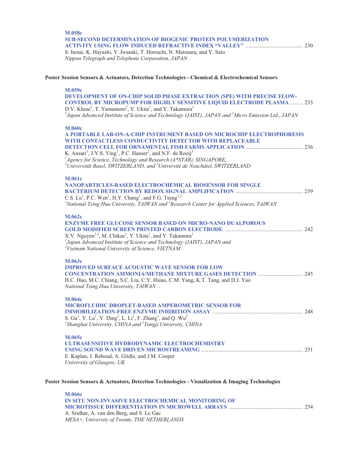## **M.058c SUB-SECOND DETERMINATION OF BIOGENIC PROTEIN POLYMERIZATION ACTIVITY USING FLOW INDUCED REFRACTIVE INDEX "VALLEY"** ......................................... 230

S. Inoue, K. Hayashi, Y. Iwasaki, T. Horiuchi, N. Matsuura, and Y. Sato *Nippon Telegraph and Telephone Corporation, JAPAN* 

#### **Poster Session Sensors & Actuators, Detection Technologies - Chemical & Electrochemical Sensors**

#### **M.059c**

**DEVELOPMENT OF ON-CHIP SOLID PHASE EXTRACTION (SPE) WITH PRECISE FLOW-CONTROL BY MICROPUMP FOR HIGHLY SENSITIVE LIQUID ELECTRODE PLASMA** ......... 233 D.V. Khoa $i^1$ , T. Yamamoto $^2$ , Y. Ukita $^1$ , and Y. Takamura $^1$ *1 Japan Advanced Institute of Science and Technology (JAIST), JAPAN and 2 Micro Emission Ltd., JAPAN* 

## **M.060**

| <b>M.UbUC</b><br>A PORTABLE LAB-ON-A-CHIP INSTRUMENT BASED ON MICROCHIP ELECTROPHORESIS<br>WITH CONTACTLESS CONDUCTIVITY DETECTOR WITH REPLACEABLE<br>K. Ansari <sup>1</sup> , J.Y.S. Ying <sup>1</sup> , P.C. Hauser <sup>2</sup> , and N.F. de Rooij <sup>3</sup><br><sup>1</sup> Agency for Science, Technology and Research ( $A$ *STAR), SINGAPORE,<br>$^{2}$ Universität Basel, SWITZERLAND, and $^{3}$ Université de Neuchâtel, SWITZERLAND |
|----------------------------------------------------------------------------------------------------------------------------------------------------------------------------------------------------------------------------------------------------------------------------------------------------------------------------------------------------------------------------------------------------------------------------------------------------|
| <b>M.061c</b><br><b>NANOPARTICLES-BASED ELECTROCHEMICAL BIOSENSOR FOR SINGLE</b><br>C.S. Lu <sup>1</sup> , P.C. Wen <sup>1</sup> , H.Y. Chang <sup>1</sup> , and F.G. Tseng <sup>1,2</sup><br><sup>1</sup> National Tsing Hua University, TAIWAN and <sup>2</sup> Research Center for Applied Sciences, TAIWAN                                                                                                                                     |
| <b>M.062c</b><br><b>ENZYME FREE GLUCOSE SENSOR BASED ON MICRO-NANO DUALPOROUS</b><br>X.V. Nguyen <sup>1,2</sup> , M. Chikae <sup>1</sup> , Y. Ukita <sup>1</sup> , and Y. Takamura <sup>1</sup><br>$^{1}$ Japan Advanced Institute of Science and Technology (JAIST), JAPAN and<br><sup>2</sup> Vietnam National University of Science, VIETNAM                                                                                                    |
| M.063c<br><b>IMPROVED SURFACE ACOUSTIC WAVE SENSOR FOR LOW</b><br>H.C. Hao, M.C. Chiang, S.C. Liu, C.Y. Hsiao, C.M. Yang, K.T. Tang, and D.J. Yao<br>National Tsing Hua University, TAIWAN                                                                                                                                                                                                                                                         |
| <b>M.064c</b><br><b>MICROFLUIDIC DROPLET-BASED AMPEROMETRIC SENSOR FOR</b><br>S. Gu <sup>1</sup> , Y. Lu <sup>1</sup> , Y. Ding <sup>1</sup> , L. Li <sup>1</sup> , F. Zhang <sup>1</sup> , and Q. Wu <sup>2</sup><br><sup>1</sup> Shanghai University, CHINA and <sup>2</sup> Tongji University, CHINA                                                                                                                                            |
| M.065c<br>ULTRASENSITIVE HYDRODYNAMIC ELECTROCHEMISTRY<br>251<br>E. Kaplan, J. Reboud, A. Glidle, and J.M. Cooper<br>University of Glasgow, UK                                                                                                                                                                                                                                                                                                     |

#### **Poster Session Sensors & Actuators, Detection Technologies - Visualization & Imaging Technologies**

| <b>M.066c</b>                                      |  |
|----------------------------------------------------|--|
| IN SITU NON-INVASIVE ELECTROCHEMICAL MONITORING OF |  |
|                                                    |  |
| A. Sridhar, A. van den Berg, and S. Le Gac         |  |
| MESA+, University of Twente, THE NETHERLANDS       |  |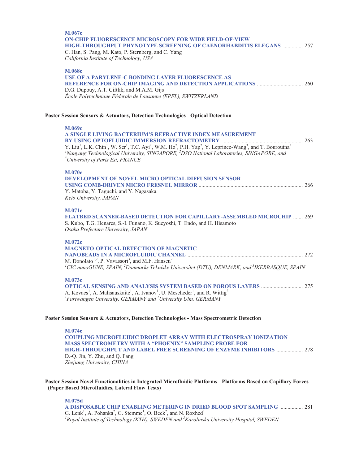## **M.067c ON-CHIP FLUORESCENCE MICROSCOPY FOR WIDE FIELD-OF-VIEW HIGH-THROUGHPUT PHYNOTYPE SCREENING OF CAENORHABDITIS ELEGANS** .............. 257

C. Han, S. Pang, M. Kato, P. Sternberg, and C. Yang *California Institute of Technology, USA* 

#### **M.068c**

#### **USE OF A PARYLENE-C BONDING LAYER FLUORESCENCE AS REFERENCE FOR ON-CHIP IMAGING AND DETECTION APPLICATIONS** ................................. 260 D.G. Dupouy, A.T. Ciftlik, and M.A.M. Gijs *École Polytechnique Féderale de Lausanne (EPFL), SWITZERLAND*

#### **Poster Session Sensors & Actuators, Detection Technologies - Optical Detection**

#### **M.069c**

| A SINGLE LIVING BACTERIUM'S REFRACTIVE INDEX MEASUREMENT<br>263<br>Y. Liu <sup>1</sup> , L.K. Chin <sup>1</sup> , W. Ser <sup>1</sup> , T.C. Ayi <sup>2</sup> , W.M. Ho <sup>2</sup> , P.H. Yap <sup>2</sup> , Y. Leprince-Wang <sup>3</sup> , and T. Bourouina <sup>3</sup><br><sup>1</sup> Nanyang Technological University, SINGAPORE, <sup>2</sup> DSO National Laboratories, SINGAPORE, and<br><sup>3</sup> University of Paris Est, FRANCE |  |
|--------------------------------------------------------------------------------------------------------------------------------------------------------------------------------------------------------------------------------------------------------------------------------------------------------------------------------------------------------------------------------------------------------------------------------------------------|--|
| <b>M.070c</b><br><b>DEVELOPMENT OF NOVEL MICRO OPTICAL DIFFUSION SENSOR</b><br>Y. Matoba, Y. Taguchi, and Y. Nagasaka<br>Keio University, JAPAN                                                                                                                                                                                                                                                                                                  |  |
| <b>M.071c</b><br><b>FLATBED SCANNER-BASED DETECTION FOR CAPILLARY-ASSEMBLED MICROCHIP  269</b><br>S. Kubo, T.G. Henares, S.-I. Funano, K. Sueyoshi, T. Endo, and H. Hisamoto<br>Osaka Prefecture University, JAPAN                                                                                                                                                                                                                               |  |
| M.072c<br><b>MAGNETO-OPTICAL DETECTION OF MAGNETIC</b><br>M. Donolato <sup>1,2</sup> , P. Vavassori <sup>3</sup> , and M.F. Hansen <sup>2</sup><br>$^{1}$ CIC nanoGUNE, SPAIN, $^{2}$ Danmarks Tekniske Universitet (DTU), DENMARK, and $^{3}$ IKERBASQUE, SPAIN                                                                                                                                                                                 |  |
| <b>M.073c</b><br><b>OPTICAL SENSING AND ANALYSIS SYSTEM BASED ON POROUS LAYERS </b><br>275<br>A Variate A Melicanskeitel A Irregul II Meashadar and D Wittia <sup>2</sup>                                                                                                                                                                                                                                                                        |  |

A. Kovacs<sup>1</sup>, A. Malisauskaite<sup>1</sup>, A. Ivanov<sup>1</sup>, U. Mescheder<sup>1</sup>, and R. Wittig<sup>2</sup><br><sup>1</sup> *Furtwangen University, GERMANY and <sup>2</sup> University Ulm, GERMANY* 

#### **Poster Session Sensors & Actuators, Detection Technologies - Mass Spectrometric Detection**

**M.074c COUPLING MICROFLUIDIC DROPLET ARRAY WITH ELECTROSPRAY IONIZATION MASS SPECTROMETRY WITH A "PHOENIX" SAMPLING PROBE FOR HIGH-THROUGHPUT AND LABEL FREE SCREENING OF ENZYME INHIBITORS** ................... 278 D.-Q. Jin, Y. Zhu, and Q. Fang *Zhejiang University, CHINA* 

**Poster Session Novel Functionalities in Integrated Microfluidic Platforms - Platforms Based on Capillary Forces (Paper Based Microfluidics, Lateral Flow Tests)** 

#### **M.075d**

**A DISPOSABLE CHIP ENABLING METERING IN DRIED BLOOD SPOT SAMPLING** ................ 281 G. Lenk<sup>1</sup>, A. Pohanka<sup>2</sup>, G. Stemme<sup>1</sup>, O. Beck<sup>2</sup>, and N. Roxhed<sup>1</sup> *1 Royal Institute of Technology (KTH), SWEDEN and 2 Karolinska University Hospital, SWEDEN*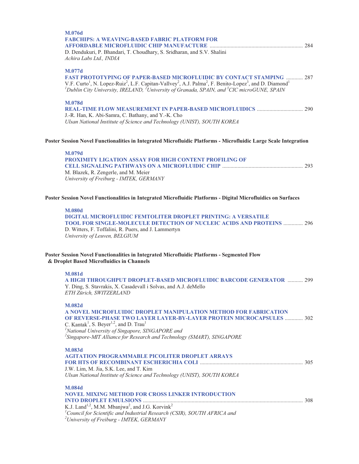| M.076d<br><b>FABCHIPS: A WEAVING-BASED FABRIC PLATFORM FOR</b><br>D. Dendukuri, P. Bhandari, T. Choudhary, S. Sridharan, and S.V. Shalini                                                                                                                                                                                                                                                            |  |
|------------------------------------------------------------------------------------------------------------------------------------------------------------------------------------------------------------------------------------------------------------------------------------------------------------------------------------------------------------------------------------------------------|--|
| Achira Labs Ltd., INDIA                                                                                                                                                                                                                                                                                                                                                                              |  |
| M.077d<br>FAST PROTOTYPING OF PAPER-BASED MICROFLUIDIC BY CONTACT STAMPING  287<br>V.F. Curto <sup>1</sup> , N. Lopez-Ruiz <sup>2</sup> , L.F. Capitan-Vallvey <sup>2</sup> , A.J. Palma <sup>2</sup> , F. Benito-Lopez <sup>3</sup> , and D. Diamond <sup>1</sup><br><sup>1</sup> Dublin City University, IRELAND, <sup>2</sup> University of Granada, SPAIN, and <sup>3</sup> CIC microGUNE, SPAIN |  |
| M.078d<br>J.-R. Han, K. Abi-Samra, C. Bathany, and Y.-K. Cho<br>Ulsan National Institute of Science and Technology (UNIST), SOUTH KOREA                                                                                                                                                                                                                                                              |  |
| Poster Session Novel Functionalities in Integrated Microfluidic Platforms - Microfluidic Large Scale Integration                                                                                                                                                                                                                                                                                     |  |
| M.079d                                                                                                                                                                                                                                                                                                                                                                                               |  |
| PROXIMITY LIGATION ASSAY FOR HIGH CONTENT PROFILING OF                                                                                                                                                                                                                                                                                                                                               |  |
| M. Blazek, R. Zengerle, and M. Meier                                                                                                                                                                                                                                                                                                                                                                 |  |
| University of Freiburg - IMTEK, GERMANY                                                                                                                                                                                                                                                                                                                                                              |  |
| Poster Session Novel Functionalities in Integrated Microfluidic Platforms - Digital Microfluidics on Surfaces                                                                                                                                                                                                                                                                                        |  |
| <b>M.080d</b>                                                                                                                                                                                                                                                                                                                                                                                        |  |
| <b>DIGITAL MICROFLUIDIC FEMTOLITER DROPLET PRINTING: A VERSATILE</b><br>TOOL FOR SINGLE-MOLECULE DETECTION OF NUCLEIC ACIDS AND PROTEINS  296                                                                                                                                                                                                                                                        |  |
| D. Witters, F. Toffalini, R. Puers, and J. Lammertyn<br>University of Leuven, BELGIUM                                                                                                                                                                                                                                                                                                                |  |
| Poster Session Novel Functionalities in Integrated Microfluidic Platforms - Segmented Flow<br>& Droplet Based Microfluidics in Channels                                                                                                                                                                                                                                                              |  |
| <b>M.081d</b>                                                                                                                                                                                                                                                                                                                                                                                        |  |
| A HIGH THROUGHPUT DROPLET-BASED MICROFLUIDIC BARCODE GENERATOR  299<br>Y. Ding, S. Stavrakis, X. Casadevall i Solvas, and A.J. deMello<br>ETH Zürich, SWITZERLAND                                                                                                                                                                                                                                    |  |
| <b>M.082d</b>                                                                                                                                                                                                                                                                                                                                                                                        |  |
| A NOVEL MICROFLUIDIC DROPLET MANIPULATION METHOD FOR FABRICATION<br>OF REVERSE-PHASE TWO LAYER LAYER-BY-LAYER PROTEIN MICROCAPSULES  302<br>C. Kantak <sup>1</sup> , S. Beyer <sup>1,2</sup> , and D. Trau <sup>1</sup><br><sup>1</sup> National University of Singapore, SINGAPORE and                                                                                                              |  |
| <sup>2</sup> Singapore-MIT Alliance for Research and Technology (SMART), SINGAPORE                                                                                                                                                                                                                                                                                                                   |  |
| <b>M 083d</b>                                                                                                                                                                                                                                                                                                                                                                                        |  |

| - 171.VO.IU                                                                          |  |
|--------------------------------------------------------------------------------------|--|
| <b>AGITATION PROGRAMMABLE PICOLITER DROPLET ARRAYS</b>                               |  |
|                                                                                      |  |
| J.W. Lim, M. Jia, S.K. Lee, and T. Kim                                               |  |
| Ulsan National Institute of Science and Technology (UNIST), SOUTH KOREA              |  |
|                                                                                      |  |
| <b>M.084d</b>                                                                        |  |
| <b>NOVEL MIXING METHOD FOR CROSS LINKER INTRODUCTION</b>                             |  |
|                                                                                      |  |
| K.J. Land <sup>1,2</sup> , M.M. Mbanjwa <sup>2</sup> , and J.G. Korvink <sup>2</sup> |  |
|                                                                                      |  |

K.J. Land<sup>1,2</sup>, M.M. Mbanjwa<sup>2</sup>, and J.G. Korvink<sup>2</sup><br><sup>*1*</sup>Council for Scientific and Industrial Research (CSIR), SOUTH AFRICA and <sup>2</sup>University of Freiburg - IMTEK, GERMANY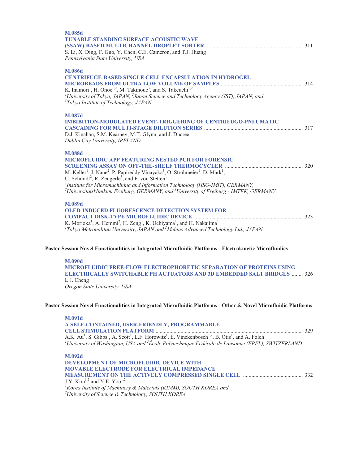| M.085d                                                                                                                                   |  |
|------------------------------------------------------------------------------------------------------------------------------------------|--|
| <b>TUNABLE STANDING SURFACE ACOUSTIC WAVE</b>                                                                                            |  |
|                                                                                                                                          |  |
| S. Li, X. Ding, F. Guo, Y. Chen, C.E. Cameron, and T.J. Huang                                                                            |  |
| Pennsylvania State University, USA                                                                                                       |  |
| M.086d                                                                                                                                   |  |
| <b>CENTRIFUGE-BASED SINGLE CELL ENCAPSULATION IN HYDROGEL</b>                                                                            |  |
|                                                                                                                                          |  |
| K. Inamori <sup>1</sup> , H. Onoe <sup>1,2</sup> , M. Takinoue <sup>3</sup> , and S. Takeuchi <sup>1,2</sup>                             |  |
| <sup>1</sup> University of Tokyo, JAPAN, $^{2}$ Japan Science and Technology Agency (JST), JAPAN, and                                    |  |
| <sup>3</sup> Tokyo Institute of Technology, JAPAN                                                                                        |  |
|                                                                                                                                          |  |
| M.087d                                                                                                                                   |  |
| <b>IMBIBITION-MODULATED EVENT-TRIGGERING OF CENTRIFUGO-PNEUMATIC</b>                                                                     |  |
|                                                                                                                                          |  |
| D.J. Kinahan, S.M. Kearney, M.T. Glynn, and J. Ducrée                                                                                    |  |
| Dublin City University, IRELAND                                                                                                          |  |
| <b>M.088d</b>                                                                                                                            |  |
| <b>MICROFLUIDIC APP FEATURING NESTED PCR FOR FORENSIC</b>                                                                                |  |
|                                                                                                                                          |  |
| M. Keller <sup>1</sup> , J. Naue <sup>2</sup> , P. Papireddy Vinayaka <sup>3</sup> , O. Strohmeier <sup>1</sup> , D. Mark <sup>1</sup> , |  |
| U. Schmidt <sup>2</sup> , R. Zengerle <sup>3</sup> , and F. von Stetten <sup>1</sup>                                                     |  |
| <sup>1</sup> Institute for Micromachining and Information Technology (HSG-IMIT), GERMANY,                                                |  |
| $^{2}$ Universitätsklinikum Freiburg, GERMANY, and $^{3}$ University of Freiburg - IMTEK, GERMANY                                        |  |
| M.089d                                                                                                                                   |  |
| <b>OLED-INDUCED FLUORESCENCE DETECTION SYSTEM FOR</b>                                                                                    |  |
|                                                                                                                                          |  |
| K. Morioka <sup>1</sup> , A. Hemmi <sup>2</sup> , H. Zeng <sup>1</sup> , K. Uchiyama <sup>1</sup> , and H. Nakajima <sup>1</sup>         |  |
| $1$ Tokyo Metropolitan University, JAPAN and $2$ Mebius Advanced Technology Ltd., JAPAN                                                  |  |
|                                                                                                                                          |  |
| Poster Session Novel Functionalities in Integrated Microfluidic Platforms - Electrokinetic Microfluidics                                 |  |
| <b>M.090d</b>                                                                                                                            |  |
| <b>MICROFLUIDIC FREE-FLOW ELECTROPHORETIC SEPARATION OF PROTEINS USING</b>                                                               |  |
|                                                                                                                                          |  |

**ELECTRICALLY SWITCHABLE PH ACTUATORS AND 3D EMBEDDED SALT BRIDGES** ........ 326 L.J. Cheng *Oregon State University, USA* 

#### **Poster Session Novel Functionalities in Integrated Microfluidic Platforms - Other & Novel Microfluidic Platforms**

| <b>M.091d</b>                                                                                                                                                                         |  |
|---------------------------------------------------------------------------------------------------------------------------------------------------------------------------------------|--|
| A SELF-CONTAINED, USER-FRIENDLY, PROGRAMMABLE                                                                                                                                         |  |
|                                                                                                                                                                                       |  |
| A.K. Au <sup>1</sup> , S. Gibbs <sup>1</sup> , A. Scott <sup>1</sup> , L.F. Horowitz <sup>1</sup> , E. Vinckenbosch <sup>1,2</sup> , B. Otis <sup>1</sup> , and A. Folch <sup>1</sup> |  |
| <sup>1</sup> University of Washington, USA and $2$ Ecole Polytechnique Fédérale de Lausanne (EPFL), SWITZERLAND                                                                       |  |
| M.092d                                                                                                                                                                                |  |
| <b>DEVELOPMENT OF MICROFLUIDIC DEVICE WITH</b>                                                                                                                                        |  |
| <b>MOVABLE ELECTRODE FOR ELECTRICAL IMPEDANCE</b>                                                                                                                                     |  |

| <u> 110 hedd dedu i nodd i o'n bedu i muchd 1111 bdin 108</u> |  |
|---------------------------------------------------------------|--|
|                                                               |  |
| J.Y. Kim <sup>1,2</sup> and Y.E. Yoo <sup>1,2</sup>           |  |

J.Y. Kim<sup>1,2</sup> and Y.E. Yoo<sup>1,2</sup><br><sup>1</sup>Korea Institute of Machinery & Materials (KIMM), SOUTH KOREA and <sup>2</sup>University of Science & Technology, SOUTH KOREA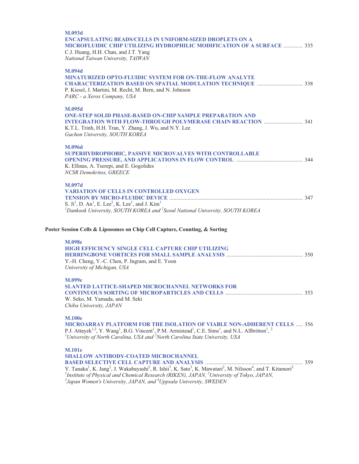| M.093d<br><b>ENCAPSULATING BEADS/CELLS IN UNIFORM-SIZED DROPLETS ON A</b><br>MICROFLUIDIC CHIP UTILIZING HYDROPHILIC MODIFICATION OF A SURFACE  335<br>C.J. Huang, H.H. Chan, and J.T. Yang<br>National Taiwan University, TAIWAN                                                                                                                                                                                                                                              |  |
|--------------------------------------------------------------------------------------------------------------------------------------------------------------------------------------------------------------------------------------------------------------------------------------------------------------------------------------------------------------------------------------------------------------------------------------------------------------------------------|--|
| <b>M.094d</b><br><b>MINATURIZED OPTO-FLUIDIC SYSTEM FOR ON-THE-FLOW ANALYTE</b><br>P. Kiesel, J. Martini, M. Recht, M. Bern, and N. Johnson<br>PARC - a Xerox Company, USA                                                                                                                                                                                                                                                                                                     |  |
| M.095d<br><b>ONE-STEP SOLID PHASE-BASED ON-CHIP SAMPLE PREPARATION AND</b><br>K.T.L. Trinh, H.H. Tran, Y. Zhang, J. Wu, and N.Y. Lee<br>Gachon University, SOUTH KOREA                                                                                                                                                                                                                                                                                                         |  |
| M.096d<br>SUPERHYDROPHOBIC, PASSIVE MICROVALVES WITH CONTROLLABLE<br>K. Ellinas, A. Tserepi, and E. Gogolides<br>NCSR Demokritos, GREECE                                                                                                                                                                                                                                                                                                                                       |  |
| M.097d<br><b>VARIATION OF CELLS IN CONTROLLED OXYGEN</b><br>S. Ji <sup>1</sup> , D. An <sup>1</sup> , E. Lee <sup>2</sup> , K. Lee <sup>1</sup> , and J. Kim <sup>1</sup><br>${}^{1}$ Dankook University, SOUTH KOREA and ${}^{2}$ Seoul National University, SOUTH KOREA                                                                                                                                                                                                      |  |
| Poster Session Cells & Liposomes on Chip Cell Capture, Counting, & Sorting                                                                                                                                                                                                                                                                                                                                                                                                     |  |
| <b>M.098e</b><br><b>HIGH EFFICIENCY SINGLE CELL CAPTURE CHIP UTILIZING</b><br>Y.-H. Cheng, Y.-C. Chen, P. Ingram, and E. Yoon<br>University of Michigan, USA                                                                                                                                                                                                                                                                                                                   |  |
| M.099e<br><b>SLANTED LATTICE-SHAPED MICROCHANNEL NETWORKS FOR</b><br>W. Seko, M. Yamada, and M. Seki<br>Chiba University, JAPAN                                                                                                                                                                                                                                                                                                                                                |  |
| <b>M.100e</b><br>MICROARRAY PLATFORM FOR THE ISOLATION OF VIABLE NON-ADHERENT CELLS  356<br>P.J. Attayek <sup>1,2</sup> , Y. Wang <sup>1</sup> , B.G. Vincent <sup>1</sup> , P.M. Armistead <sup>1</sup> , C.E. Sims <sup>1</sup> , and N.L. Allbritton <sup>1</sup> , <sup>2</sup><br><sup>1</sup> University of North Carolina, USA and $^2$ North Carolina State University, USA                                                                                            |  |
| <b>M.101e</b><br><b>SHALLOW ANTIBODY-COATED MICROCHANNEL</b><br>Y. Tanaka <sup>1</sup> , K. Jang <sup>2</sup> , J. Wakabayashi <sup>2</sup> , R. Ishii <sup>3</sup> , K. Sato <sup>3</sup> , K. Mawatari <sup>2</sup> , M. Nilsson <sup>4</sup> , and T. Kitamori <sup>2</sup><br><sup>1</sup> Institute of Physical and Chemical Research (RIKEN), JAPAN, <sup>2</sup> University of Tokyo, JAPAN,<br>$3$ Japan Women's University, JAPAN, and $4$ Uppsala University, SWEDEN |  |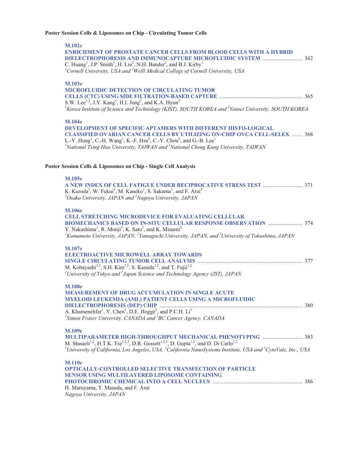## **Poster Session Cells & Liposomes on Chip - Circulating Tumor Cells**

| <b>M.102e</b><br>ENRICHMENT OF PROSTATE CANCER CELLS FROM BLOOD CELLS WITH A HYBRID<br>C. Huang <sup>1</sup> , J.P. Smith <sup>1</sup> , H. Liu <sup>2</sup> , N.H. Bander <sup>2</sup> , and B.J. Kirby <sup>1</sup><br><sup>1</sup> Cornell University, USA and <sup>2</sup> Weill Medical College of Cornell University, USA                                                                                     |
|---------------------------------------------------------------------------------------------------------------------------------------------------------------------------------------------------------------------------------------------------------------------------------------------------------------------------------------------------------------------------------------------------------------------|
| <b>M.103e</b><br><b>MICROFLUIDIC DETECTION OF CIRCULATING TUMOR</b><br>S.W. Lee <sup>1,2</sup> , J.Y. Kang <sup>1</sup> , H.I. Jung <sup>2</sup> , and K.A. Hyun <sup>2</sup><br><sup>1</sup> Korea Institute of Science and Technology (KIST), SOUTH KOREA and <sup>2</sup> Yonsei University, SOUTH KOREA                                                                                                         |
| <b>M.104e</b><br><b>DEVELOPMENT OF SPECIFIC APTAMERS WITH DIFFERENT HISTO-LOGICAL</b><br><b>CLASSIFIED OVARIAN CANCER CELLS BY UTILIZING ON-CHIP OVCA CELL-SELEX  368</b><br>L.-Y. Hung <sup>1</sup> , C.-H. Wang <sup>1</sup> , K.-F. Hsu <sup>2</sup> , C.-Y. Chou <sup>2</sup> , and G.-B. Lee <sup>1</sup><br><sup>1</sup> National Tsing Hua University, TAIWAN and $2$ National Cheng Kung University, TAIWAN |
| Poster Session Cells & Liposomes on Chip - Single Cell Analysis                                                                                                                                                                                                                                                                                                                                                     |
| <b>M.105e</b><br>K. Kuroda <sup>1</sup> , W. Fukui <sup>1</sup> , M. Kaneko <sup>1</sup> , S. Sakuma <sup>1</sup> , and F. Arai <sup>2</sup><br>$^{1}$ Osaka University, JAPAN and $^{2}$ Nagoya University, JAPAN                                                                                                                                                                                                  |
| <b>M.106e</b><br><b>CELL STRETCHING MICRODEVICE FOR EVALUATING CELLULAR</b><br>Y. Nakashima <sup>1</sup> , R. Monji <sup>2</sup> , K. Sato <sup>3</sup> , and K. Minami <sup>2</sup><br>${}^{1}$ Kumamoto University, JAPAN, ${}^{2}$ Yamaguchi University, JAPAN, and ${}^{3}$ University of Tokushima, JAPAN                                                                                                      |
| M.107e<br><b>ELECTROACTIVE MICROWELL ARRAY TOWARDS</b><br>M. Kobayashi <sup>1,2</sup> , S.H. Kim <sup>1,2</sup> , S. Kaneda <sup>1,2</sup> , and T. Fujii <sup>1,2</sup><br><sup>1</sup> University of Tokyo and $^{2}$ Japan Science and Technology Agency (JST), JAPAN                                                                                                                                            |
| <b>M.108e</b><br><b>MENT OF DRUG ACCUMULATION IN SINGLE ACUTE</b><br>MYELOID LEUKEMIA (AML) PATIENT CELLS USING A MICROFLUIDIC<br><sup>1</sup> Simon Fraser University, CANADA and ${}^{2}BC$ Cancer Agency, CANADA                                                                                                                                                                                                 |
| M.109e<br>M. Masaeli <sup>1,2</sup> , H.T.K. Tse <sup>1,2,3</sup> , D.R. Gossett <sup>1,2,3</sup> , D. Gupta <sup>1,2</sup> , and D. Di Carlo <sup>1,2</sup><br><sup>1</sup> University of California, Los Angeles, USA, <sup>2</sup> California NanoSystems Institute, USA and <sup>3</sup> CytoVale, Inc., USA                                                                                                    |
| <b>M.110e</b><br><b>OPTICALLY-CONTROLLED SELECTIVE TRANSFECTION OF PARTICLE</b><br><b>SENSOR USING MULTILAYERED LIPOSOME CONTAINING</b><br>H. Maruyama, T. Masuda, and F. Arai<br>Nagoya University, JAPAN                                                                                                                                                                                                          |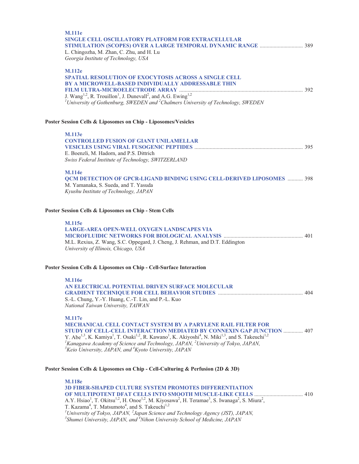| <b>M.111e</b><br>SINGLE CELL OSCILLATORY PLATFORM FOR EXTRACELLULAR<br>L. Chingozha, M. Zhan, C. Zhu, and H. Lu<br>Georgia Institute of Technology, USA                                                                                                                                                                                                                                                                                                                                                                         |  |
|---------------------------------------------------------------------------------------------------------------------------------------------------------------------------------------------------------------------------------------------------------------------------------------------------------------------------------------------------------------------------------------------------------------------------------------------------------------------------------------------------------------------------------|--|
| <b>M.112e</b><br><b>SPATIAL RESOLUTION OF EXOCYTOSIS ACROSS A SINGLE CELL</b><br><b>BY A MICROWELL-BASED INDIVIDUALLY ADDRESSABLE THIN</b><br>J. Wang <sup>1,2</sup> , R. Trouillon <sup>1</sup> , J. Dunevall <sup>2</sup> , and A.G. Ewing <sup>1,2</sup><br><sup>1</sup> University of Gothenburg, SWEDEN and $^{2}$ Chalmers University of Technology, SWEDEN                                                                                                                                                               |  |
| Poster Session Cells & Liposomes on Chip - Liposomes/Vesicles                                                                                                                                                                                                                                                                                                                                                                                                                                                                   |  |
| <b>M.113e</b><br><b>CONTROLLED FUSION OF GIANT UNILAMELLAR</b><br>E. Boenzli, M. Hadorn, and P.S. Dittrich<br>Swiss Federal Institute of Technology, SWITZERLAND                                                                                                                                                                                                                                                                                                                                                                |  |
| <b>M.114e</b><br><b>QCM DETECTION OF GPCR-LIGAND BINDING USING CELL-DERIVED LIPOSOMES  398</b><br>M. Yamanaka, S. Sueda, and T. Yasuda<br>Kyushu Institute of Technology, JAPAN                                                                                                                                                                                                                                                                                                                                                 |  |
| Poster Session Cells & Liposomes on Chip - Stem Cells                                                                                                                                                                                                                                                                                                                                                                                                                                                                           |  |
| <b>M.115e</b><br><b>LARGE-AREA OPEN-WELL OXYGEN LANDSCAPES VIA</b><br>M.L. Rexius, Z. Wang, S.C. Oppegard, J. Cheng, J. Rehman, and D.T. Eddington<br>University of Illinois, Chicago, USA                                                                                                                                                                                                                                                                                                                                      |  |
| Poster Session Cells & Liposomes on Chip - Cell-Surface Interaction                                                                                                                                                                                                                                                                                                                                                                                                                                                             |  |
| <b>M.116e</b><br>AN ELECTRICAL POTENTIAL DRIVEN SURFACE MOLECULAR<br>S.-L. Chung, Y.-Y. Huang, C.-T. Lin, and P.-L. Kuo<br>National Taiwan University, TAIWAN                                                                                                                                                                                                                                                                                                                                                                   |  |
| <b>M.117e</b><br>MECHANICAL CELL CONTACT SYSTEM BY A PARYLENE RAIL FILTER FOR<br>STUDY OF CELL-CELL INTERACTION MEDIATED BY CONNEXIN GAP JUNCTION  407<br>Y. Abe <sup>1,3</sup> , K. Kamiya <sup>1</sup> , T. Osaki <sup>1,2</sup> , R. Kawano <sup>1</sup> , K. Akiyoshi <sup>4</sup> , N. Miki <sup>1,3</sup> , and S. Takeuchi <sup>1,2</sup><br><sup>1</sup> Kanagawa Academy of Science and Technology, JAPAN, $^{2}$ University of Tokyo, JAPAN,<br>${}^{3}$ Keio University, JAPAN, and ${}^{4}$ Kyoto University, JAPAN |  |
| Poster Session Cells & Liposomes on Chip - Cell-Culturing & Perfusion (2D & 3D)                                                                                                                                                                                                                                                                                                                                                                                                                                                 |  |
| <b>M.118e</b><br><b>3D FIBER-SHAPED CULTURE SYSTEM PROMOTES DIFFERENTIATION</b><br>A.Y. Hsiao <sup>1</sup> , T. Okitsu <sup>1,2</sup> , H. Onoe <sup>1,2</sup> , M. Kiyosawa <sup>2</sup> , H. Teramae <sup>3</sup> , S. Iwanaga <sup>2</sup> , S. Miura <sup>2</sup> ,                                                                                                                                                                                                                                                         |  |

T. Kazama<sup>4</sup>, T. Matsumoto<sup>4</sup>, and S. Takeuchi<sup>1,2</sup><br><sup>1</sup>University of Tokyo, JAPAN, <sup>2</sup>Japan Science and Technology Agency (JST), JAPAN,<br><sup>3</sup>Shumei University, JAPAN, and <sup>4</sup>Nihon University School of Medicine, JAPAN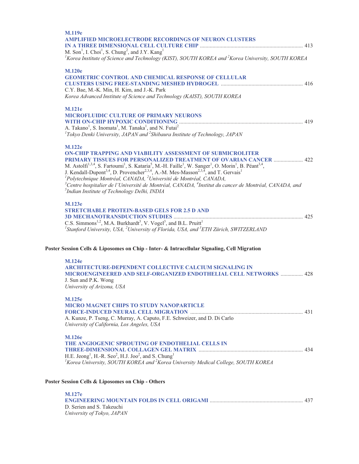| M.127e                                                                                                                                                                                                                                                                                                                                                                                                                                                                                                                                                                                                                                                                                                                                                        |  |
|---------------------------------------------------------------------------------------------------------------------------------------------------------------------------------------------------------------------------------------------------------------------------------------------------------------------------------------------------------------------------------------------------------------------------------------------------------------------------------------------------------------------------------------------------------------------------------------------------------------------------------------------------------------------------------------------------------------------------------------------------------------|--|
| Poster Session Cells & Liposomes on Chip - Others                                                                                                                                                                                                                                                                                                                                                                                                                                                                                                                                                                                                                                                                                                             |  |
| <b>M.126e</b><br>THE ANGIOGENIC SPROUTING OF ENDOTHELIAL CELLS IN<br>H.E. Jeong <sup>1</sup> , H.-R. Seo <sup>2</sup> , H.J. Joo <sup>2</sup> , and S. Chung <sup>1</sup><br>${}^{1}$ Korea University, SOUTH KOREA and ${}^{2}$ Korea University Medical College, SOUTH KOREA                                                                                                                                                                                                                                                                                                                                                                                                                                                                                |  |
| <b>M.125e</b><br><b>MICRO MAGNET CHIPS TO STUDY NANOPARTICLE</b><br>A. Kunze, P. Tseng, C. Murray, A. Caputo, F.E. Schweizer, and D. Di Carlo<br>University of California, Los Angeles, USA                                                                                                                                                                                                                                                                                                                                                                                                                                                                                                                                                                   |  |
| <b>M.124e</b><br><b>ARCHITECTURE-DEPENDENT COLLECTIVE CALCIUM SIGNALING IN</b><br><b>MICROENGINEERED AND SELF-ORGANIZED ENDOTHELIAL CELL NETWORKS  428</b><br>J. Sun and P.K. Wong<br>University of Arizona, USA                                                                                                                                                                                                                                                                                                                                                                                                                                                                                                                                              |  |
| <b>M.123e</b><br><b>STRETCHABLE PROTEIN-BASED GELS FOR 2.5 D AND</b><br>C.S. Simmons <sup>1,2</sup> , M.A. Burkhardt <sup>3</sup> , V. Vogel <sup>3</sup> , and B.L. Pruitt <sup>1</sup><br>${}^{1}$ Stanford University, USA, ${}^{2}$ University of Florida, USA, and ${}^{3}ETH$ Zürich, SWITZERLAND<br>Poster Session Cells & Liposomes on Chip - Inter- & Intracellular Signaling, Cell Migration                                                                                                                                                                                                                                                                                                                                                        |  |
| <b>M.122e</b><br><b>ON-CHIP TRAPPING AND VIABILITY ASSESSMENT OF SUBMICROLITER</b><br>PRIMARY TISSUES FOR PERSONALIZED TREATMENT OF OVARIAN CANCER  422<br>M. Astolfi <sup>1,3,4</sup> , S. Fartoumi <sup>1</sup> , S. Kataria <sup>5</sup> , M.-H. Faille <sup>1</sup> , W. Sanger <sup>1</sup> , O. Morin <sup>1</sup> , B. Péant <sup>3,4</sup> ,<br>J. Kendall-Dupont <sup>3,4</sup> , D. Provencher <sup>2,3,4</sup> , A.-M. Mes-Masson <sup>2,3,4</sup> , and T. Gervais <sup>1</sup><br>${}^{1}$ Polytechnique Montréal, CANADA, ${}^{2}$ Université de Montréal, CANADA,<br>$^3$ Centre hospitalier de l'Université de Montréal, CANADA, $^4$ Institut du cancer de Montréal, CANADA, and<br><sup>5</sup> Indian Institute of Technology Delhi, INDIA |  |
| <b>M.121e</b><br><b>MICROFLUIDIC CULTURE OF PRIMARY NEURONS</b><br>A. Takano <sup>1</sup> , S. Inomata <sup>1</sup> , M. Tanaka <sup>1</sup> , and N. Futai <sup>2</sup><br>${}^{1}$ Tokyo Denki University, JAPAN and ${}^{2}$ Shibaura Institute of Technology, JAPAN                                                                                                                                                                                                                                                                                                                                                                                                                                                                                       |  |
| <b>M.120e</b><br><b>GEOMETRIC CONTROL AND CHEMICAL RESPONSE OF CELLULAR</b><br>C.Y. Bae, M.-K. Min, H. Kim, and J.-K. Park<br>Korea Advanced Institute of Science and Technology (KAIST), SOUTH KOREA                                                                                                                                                                                                                                                                                                                                                                                                                                                                                                                                                         |  |
| <b>M.119e</b><br><b>AMPLIFIED MICROELECTRODE RECORDINGS OF NEURON CLUSTERS</b><br>M. Son <sup>1</sup> , I. Choi <sup>1</sup> , S. Chung <sup>2</sup> , and J.Y. Kang <sup>1</sup><br><sup>1</sup> Korea Institute of Science and Technology (KIST), SOUTH KOREA and <sup>2</sup> Korea University, SOUTH KOREA                                                                                                                                                                                                                                                                                                                                                                                                                                                |  |

**ENGINEERING MOUNTAIN FOLDS IN CELL ORIGAMI** ................................................................... 437 D. Serien and S. Takeuchi *University of Tokyo, JAPAN*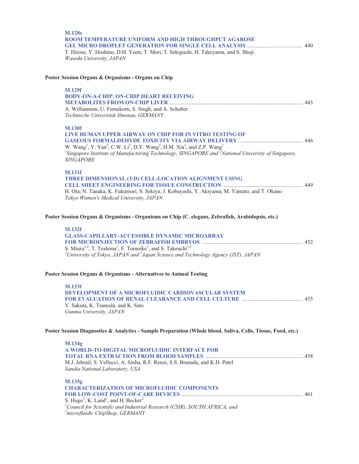| <b>M.128e</b><br>ROOM TEMPERATURE UNIFORM AND HIGH THROUGHPUT AGAROSE<br>T. Hirose, Y. Hoshino, D.H. Yoon, T. Mori, T. Sekiguchi, H. Takeyama, and S. Shoji<br>Waseda University, JAPAN                                                                                                                                                                                                          |  |
|--------------------------------------------------------------------------------------------------------------------------------------------------------------------------------------------------------------------------------------------------------------------------------------------------------------------------------------------------------------------------------------------------|--|
| Poster Session Organs & Organisms - Organs on Chip                                                                                                                                                                                                                                                                                                                                               |  |
| <b>M.129f</b><br><b>BODY-ON-A-CHIP: ON-CHIP HEART RECEIVING</b><br>A. Williamson, U. Fernekorn, S. Singh, and A. Schober<br>Technische Universität Ilmenau, GERMANY                                                                                                                                                                                                                              |  |
| <b>M.130f</b><br>LIVE HUMAN UPPER AIRWAY ON CHIP FOR IN VITRO TESTING OF<br>W. Wang <sup>1</sup> , Y. Yan <sup>2</sup> , C.W. Li <sup>2</sup> , D.Y. Wang <sup>2</sup> , H.M. Xia <sup>1</sup> , and Z.P. Wang <sup>1</sup><br>$^{1}$ Singapore Institute of Manufacturing Technology, SINGAPORE and $^{2}$ National University of Singapore,<br><b>SINGAPORE</b>                                |  |
| <b>M.131f</b><br>THREE DIMENSIONAL (3-D) CELL-LOCATION ALIGNMENT USING<br>H. Ota, N. Tanaka, K. Fukumori, S. Sekiya, J. Kobayashi, Y. Akiyama, M. Yamato, and T. Okano<br>Tokyo Women's Medical University, JAPAN                                                                                                                                                                                |  |
| Poster Session Organs & Organisms - Organisms on Chip (C. elegans, Zebrafish, Arabidopsis, etc.)<br><b>M.132f</b><br><b>GLASS-CAPILLARY-ACCESSIBLE DYNAMIC MICROARRAY</b><br>S. Miura <sup>1,2</sup> , T. Teshima <sup>1</sup> , F. Tomoike <sup>1</sup> , and S. Takeuchi <sup>1,2</sup><br><sup>1</sup> University of Tokyo, JAPAN and $^{2}$ Japan Science and Technology Agency (JST), JAPAN |  |
| Poster Session Organs & Organisms - Alternatives to Animal Testing<br><b>M.133f</b><br>DEVELOPMENT OF A MICROFLUIDIC CARDIOVASCULAR SYSTEM<br>Y. Sakuta, K. Tsunoda, and K. Sato<br>Gunma University, JAPAN                                                                                                                                                                                      |  |
| Poster Session Diagnostics & Analytics - Sample Preparation (Whole blood, Saliva, Cells, Tissue, Food, etc.)                                                                                                                                                                                                                                                                                     |  |
| M.134g<br>A WORLD-TO-DIGITAL MICROFLUIDIC INTERFACE FOR<br>M.J. Jebrail, S. Vellucci, A. Sinha, R.F. Renzi, S.S. Branada, and K.D. Patel<br>Sandia National Laboratory, USA                                                                                                                                                                                                                      |  |
| M.135g<br><b>CHARACTERIZATION OF MICROFLUIDIC COMPONENTS</b><br>S. Hugo <sup>1</sup> , K. Land <sup>1</sup> , and H. Becker <sup>2</sup><br>${}^{1}$ Council for Scientific and Industrial Research (CSIR), SOUTH AFRICA, and<br><sup>2</sup> microfluidic ChipShop, GERMANY                                                                                                                     |  |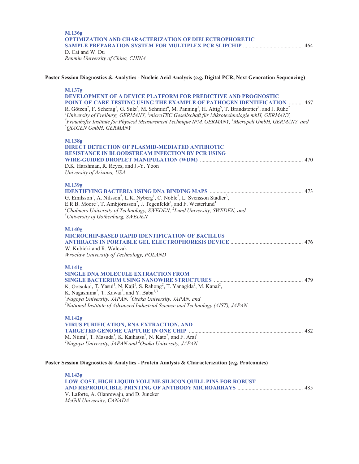#### **M.136g OPTIMIZATION AND CHARACTERIZATION OF DIELECTROPHORETIC SAMPLE PREPARATION SYSTEM FOR MULTIPLEX PCR SLIPCHIP** ........................................... 464 D. Cai and W. Du *Renmin University of China, CHINA*

#### **Poster Session Diagnostics & Analytics - Nucleic Acid Analysis (e.g. Digital PCR, Next Generation Sequencing)**

| M.137g<br><b>DEVELOPMENT OF A DEVICE PLATFORM FOR PREDICTIVE AND PROGNOSTIC</b><br>POINT-OF-CARE TESTING USING THE EXAMPLE OF PATHOGEN IDENTIFICATION  467<br>R. Götzen <sup>2</sup> , F. Scherag <sup>1</sup> , G. Sulz <sup>3</sup> , M. Schmidt <sup>4</sup> , M. Panning <sup>1</sup> , H. Attig <sup>5</sup> , T. Brandstetter <sup>2</sup> , and J. Rühe <sup>2</sup><br><sup>1</sup> University of Freiburg, GERMANY, $^2$ microTEC Gesellschaft für Mikrotechnologie mbH, GERMANY,<br><sup>3</sup> Fraunhofer Institute for Physical Measurement Technique IPM, GERMANY, <sup>4</sup> Micropelt GmbH, GERMANY, and<br><sup>5</sup> QIAGEN GmbH, GERMANY |  |
|-----------------------------------------------------------------------------------------------------------------------------------------------------------------------------------------------------------------------------------------------------------------------------------------------------------------------------------------------------------------------------------------------------------------------------------------------------------------------------------------------------------------------------------------------------------------------------------------------------------------------------------------------------------------|--|
| M.138g<br><b>DIRECT DETECTION OF PLASMID-MEDIATED ANTIBIOTIC</b><br><b>RESISTANCE IN BLOODSTREAM INFECTION BY PCR USING</b><br>D.K. Harshman, R. Reyes, and J.-Y. Yoon<br>University of Arizona, USA                                                                                                                                                                                                                                                                                                                                                                                                                                                            |  |
| M.139g<br>G. Emilsson <sup>1</sup> , A. Nilsson <sup>2</sup> , L.K. Nyberg <sup>1</sup> , C. Noble <sup>2</sup> , L. Svensson Stadler <sup>3</sup> ,<br>E.R.B. Moore <sup>3</sup> , T. Ambjörnsson <sup>2</sup> , J. Tegenfeldt <sup>2</sup> , and F. Westerlund <sup>1</sup><br><sup>1</sup> Chalmers University of Technology, SWEDEN, <sup>2</sup> Lund University, SWEDEN, and<br><sup>3</sup> University of Gothenburg, SWEDEN                                                                                                                                                                                                                             |  |
| M.140g<br><b>MICROCHIP-BASED RAPID IDENTIFICATION OF BACILLUS</b><br>W. Kubicki and R. Walczak<br>Wroclaw University of Technology, POLAND                                                                                                                                                                                                                                                                                                                                                                                                                                                                                                                      |  |
| <b>M.141g</b><br><b>SINGLE DNA MOLECULE EXTRACTION FROM</b><br>K. Ootsuka <sup>1</sup> , T. Yasui <sup>1</sup> , N. Kaji <sup>1</sup> , S. Rahong <sup>2</sup> , T. Yanagida <sup>2</sup> , M. Kanai <sup>2</sup> ,<br>K. Nagashima <sup>2</sup> , T. Kawai <sup>2</sup> , and Y. Baba <sup>1,3</sup><br><sup>1</sup> Nagoya University, JAPAN, $^{2}$ Osaka University, JAPAN, and<br>$3^3$ National Institute of Advanced Industrial Science and Technology (AIST), JAPAN                                                                                                                                                                                     |  |
| M.142g<br><b>VIRUS PURIFICATION, RNA EXTRACTION, AND</b><br>M. Niimi <sup>1</sup> , T. Masuda <sup>1</sup> , K. Kaihatsu <sup>2</sup> , N. Kato <sup>2</sup> , and F. Arai <sup>1</sup><br>${}^{1}$ Nagoya University, JAPAN and ${}^{2}$ Osaka University, JAPAN                                                                                                                                                                                                                                                                                                                                                                                               |  |
| Poster Session Diagnostics & Analytics - Protein Analysis & Characterization (e.g. Proteomics)                                                                                                                                                                                                                                                                                                                                                                                                                                                                                                                                                                  |  |

**M.143g LOW-COST, HIGH LIQUID VOLUME SILICON QUILL PINS FOR ROBUST AND REPRODUCIBLE PRINTING OF ANTIBODY MICROARRAYS** ............................................... 485 V. Laforte, A. Olanrewaju, and D. Juncker *McGill University, CANADA*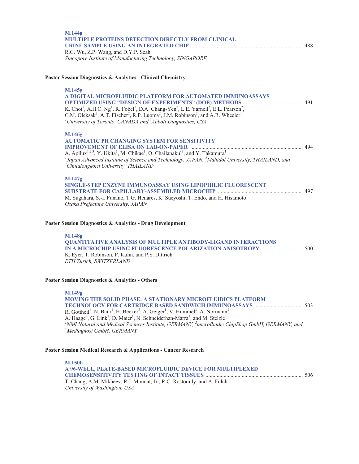| M.144g<br>MULTIPLE PROTEINS DETECTION DIRECTLY FROM CLINICAL<br>R.G. Wu, Z.P. Wang, and D.Y.P. Seah<br>Singapore Institute of Manufacturing Technology, SINGAPORE                                                                                                                                                                                                                                                                                                                                                                                  |  |
|----------------------------------------------------------------------------------------------------------------------------------------------------------------------------------------------------------------------------------------------------------------------------------------------------------------------------------------------------------------------------------------------------------------------------------------------------------------------------------------------------------------------------------------------------|--|
| Poster Session Diagnostics & Analytics - Clinical Chemistry                                                                                                                                                                                                                                                                                                                                                                                                                                                                                        |  |
| M.145g<br>A DIGITAL MICROFLUIDIC PLATFORM FOR AUTOMATED IMMUNOASSAYS<br>K. Choi <sup>1</sup> , A.H.C. Ng <sup>1</sup> , R. Fobel <sup>1</sup> , D.A. Chang-Yen <sup>2</sup> , L.E. Yarnell <sup>2</sup> , E.L. Pearson <sup>2</sup> , C.M. Oleksak <sup>2</sup> , A.T. Fischer <sup>2</sup> , R.P. Luoma <sup>2</sup> , J.M. Robinson <sup>2</sup> , and A.R. Wheeler <sup>1</sup><br><sup>1</sup> University of Toronto, CANADA and <sup>2</sup> Abbott Diagnostics, USA                                                                          |  |
| M.146g<br><b>AUTOMATIC PH CHANGING SYSTEM FOR SENSITIVITY</b><br>A. Apilux <sup>1,2,3</sup> , Y. Ukita <sup>1</sup> , M. Chikae <sup>1</sup> , O. Chailapakul <sup>3</sup> , and Y. Takamura <sup>1</sup><br><sup>1</sup> Japan Advanced Institute of Science and Technology, JAPAN, <sup>2</sup> Mahidol University, THAILAND, and<br><sup>3</sup> Chulalongkorn University, THAILAND                                                                                                                                                             |  |
| M.147g<br>SINGLE-STEP ENZYNE IMMUNOASSAY USING LIPOPHILIC FLUORESCENT<br>M. Sugahara, S.-I. Funano, T.G. Henares, K. Sueyoshi, T. Endo, and H. Hisamoto<br>Osaka Prefecture University, JAPAN                                                                                                                                                                                                                                                                                                                                                      |  |
| Poster Session Diagnostics & Analytics - Drug Development                                                                                                                                                                                                                                                                                                                                                                                                                                                                                          |  |
| M.148g<br><b>QUANTITATIVE ANALYSIS OF MULTIPLE ANTIBODY-LIGAND INTERACTIONS</b><br>K. Eyer, T. Robinson, P. Kuhn, and P.S. Dittrich<br>ETH Zürich, SWITZERLAND                                                                                                                                                                                                                                                                                                                                                                                     |  |
| <b>Poster Session Diagnostics &amp; Analytics - Others</b>                                                                                                                                                                                                                                                                                                                                                                                                                                                                                         |  |
| M.149g<br><b>MOVING THE SOLID PHASE: A STATIONARY MICROFLUIDICS PLATFORM</b><br>R. Gottheil <sup>1</sup> , N. Baur <sup>1</sup> , H. Becker <sup>2</sup> , A. Geiger <sup>1</sup> , V. Hummel <sup>3</sup> , A. Normann <sup>3</sup> , A. Haage <sup>3</sup> , G. Link <sup>1</sup> , D. Maier <sup>1</sup> , N. Schneiderhan-Marra <sup>1</sup> , and M. Stelzle <sup>1</sup><br><sup>1</sup> NMI Natural and Medical Sciences Institute, GERMANY, <sup>2</sup> microfluidic ChipShop GmbH, GERMANY, and<br><sup>3</sup> Mediagnost GmbH, GERMANY |  |
| Poster Session Medical Research & Applications - Cancer Research                                                                                                                                                                                                                                                                                                                                                                                                                                                                                   |  |
| <b>M.150h</b><br>A 96-WELL, PLATE-BASED MICROFLUIDIC DEVICE FOR MULTIPLEXED<br>T. Chang, A.M. Mikheev, R.J. Monnat, Jr., R.C. Rostomily, and A. Folch<br>University of Washington, USA                                                                                                                                                                                                                                                                                                                                                             |  |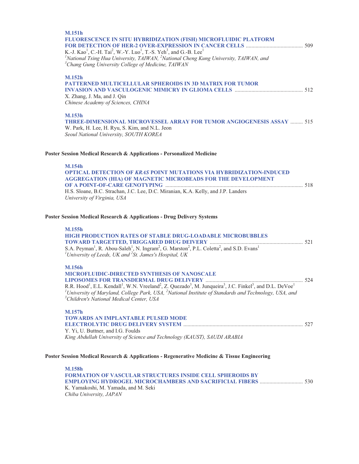| <b>M.151h</b><br><b>FLUORESCENCE IN SITU HYBRIDIZATION (FISH) MICROFLUIDIC PLATFORM</b><br>K.-J. Kao <sup>1</sup> , C.-H. Tai <sup>2</sup> , W.-Y. Luo <sup>1</sup> , T.-S. Yeh <sup>3</sup> , and G.-B. Lee <sup>1</sup><br><sup>1</sup> National Tsing Hua University, TAIWAN, <sup>2</sup> National Cheng Kung University, TAIWAN, and<br><sup>3</sup> Chang Gung University College of Medicine, TAIWAN                                                     |
|-----------------------------------------------------------------------------------------------------------------------------------------------------------------------------------------------------------------------------------------------------------------------------------------------------------------------------------------------------------------------------------------------------------------------------------------------------------------|
| <b>M.152h</b><br><b>PATTERNED MULTICELLULAR SPHEROIDS IN 3D MATRIX FOR TUMOR</b><br>X. Zhang, J. Ma, and J. Qin<br>Chinese Academy of Sciences, CHINA                                                                                                                                                                                                                                                                                                           |
| M.153h<br><b>THREE-DIMENSIONAL MICROVESSEL ARRAY FOR TUMOR ANGIOGENESIS ASSAY  515</b><br>W. Park, H. Lee, H. Ryu, S. Kim, and N.L. Jeon<br>Seoul National University, SOUTH KOREA                                                                                                                                                                                                                                                                              |
| Poster Session Medical Research & Applications - Personalized Medicine                                                                                                                                                                                                                                                                                                                                                                                          |
| <b>M.154h</b><br>OPTICAL DETECTION OF KRAS POINT MUTATIONS VIA HYBRIDIZATION-INDUCED<br><b>AGGREGATION (HIA) OF MAGNETIC MICROBEADS FOR THE DEVELOPMENT</b><br>H.S. Sloane, B.C. Strachan, J.C. Lee, D.C. Miranian, K.A. Kelly, and J.P. Landers<br>University of Virginia, USA                                                                                                                                                                                 |
| Poster Session Medical Research & Applications - Drug Delivery Systems                                                                                                                                                                                                                                                                                                                                                                                          |
| M.155h<br><b>HIGH PRODUCTION RATES OF STABLE DRUG-LOADABLE MICROBUBBLES</b><br>S.A. Peyman <sup>1</sup> , R. Abou-Saleh <sup>1</sup> , N. Ingram <sup>2</sup> , G. Marston <sup>2</sup> , P.L. Coletta <sup>2</sup> , and S.D. Evans <sup>1</sup><br><sup>1</sup> University of Leeds, UK and <sup>2</sup> St. James's Hospital, UK                                                                                                                             |
| <b>M.156h</b><br><b>MICROFLUIDIC-DIRECTED SYNTHESIS OF NANOSCALE</b><br>R.R. Hood <sup>1</sup> , E.L. Kendall <sup>1</sup> , W.N. Vreeland <sup>2</sup> , Z. Quezado <sup>3</sup> , M. Junqueira <sup>3</sup> , J.C. Finkel <sup>3</sup> , and D.L. DeVoe <sup>1</sup><br><sup>1</sup> University of Maryland, College Park, USA, <sup>2</sup> National Institute of Standards and Technology, USA, and<br><sup>3</sup> Children's National Medical Center, USA |
| M.157h<br><b>TOWARDS AN IMPLANTABLE PULSED MODE</b><br>Y. Yi, U. Buttner, and I.G. Foulds<br>King Abdullah University of Science and Technology (KAUST), SAUDI ARABIA                                                                                                                                                                                                                                                                                           |
| Poster Session Medical Research & Applications - Regenerative Medicine & Tissue Engineering                                                                                                                                                                                                                                                                                                                                                                     |
| <b>M.158h</b><br><b>FORMATION OF VASCULAR STRUCTURES INSIDE CELL SPHEROIDS BY</b><br>K. Yamakoshi, M. Yamada, and M. Seki                                                                                                                                                                                                                                                                                                                                       |

*Chiba University, JAPAN*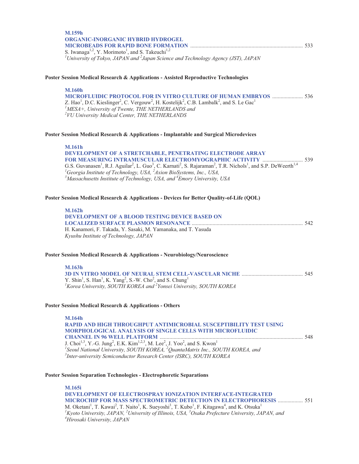| M.159h                                                                                              |  |
|-----------------------------------------------------------------------------------------------------|--|
| <b>ORGANIC-INORGANIC HYBRID HYDROGEL</b>                                                            |  |
|                                                                                                     |  |
| S. Iwanaga <sup>1,2</sup> , Y. Morimoto <sup>1</sup> , and S. Takeuchi <sup>1,2</sup>               |  |
| <sup>1</sup> University of Tokyo, JAPAN and $^{2}$ Japan Science and Technology Agency (JST), JAPAN |  |

#### **Poster Session Medical Research & Applications - Assisted Reproductive Technologies**

#### **M.160h**

**MICROFLUIDIC PROTOCOL FOR IN VITRO CULTURE OF HUMAN EMBRYOS** ...................... 536 Z. Hao<sup>1</sup>, D.C. Kieslinger<sup>2</sup>, C. Vergouw<sup>2</sup>, H. Kostelijk<sup>2</sup>, C.B. Lambalk<sup>2</sup>, and S. Le Gac<sup>1</sup> *1 MESA+, University of Twente, THE NETHERLANDS and 2 VU University Medical Center, THE NETHERLANDS* 

#### **Poster Session Medical Research & Applications - Implantable and Surgical Microdevices**

#### **M.161h**

| <b>DEVELOPMENT OF A STRETCHABLE, PENETRATING ELECTRODE ARRAY</b>                                                                                                                                   |  |
|----------------------------------------------------------------------------------------------------------------------------------------------------------------------------------------------------|--|
|                                                                                                                                                                                                    |  |
| G.S. Guvanasen <sup>1</sup> , R.J. Aguilar <sup>2</sup> , L. Guo <sup>3</sup> , C. Karnati <sup>2</sup> , S. Rajaraman <sup>2</sup> , T.R. Nichols <sup>1</sup> , and S.P. DeWeerth <sup>1,4</sup> |  |
| <sup>1</sup> Georgia Institute of Technology, USA, ${}^{2}$ Axion BioSystems, Inc., USA,                                                                                                           |  |
| <sup>3</sup> Massachusetts Institute of Technology, USA, and <sup>4</sup> Emory University, USA                                                                                                    |  |

#### **Poster Session Medical Research & Applications - Devices for Better Quality-of-Life (QOL)**

| M.162h<br><b>DEVELOPMENT OF A BLOOD TESTING DEVICE BASED ON</b> |  |
|-----------------------------------------------------------------|--|
| H. Kanamori, F. Takada, Y. Sasaki, M. Yamanaka, and T. Yasuda   |  |
| Kyushu Institute of Technology, JAPAN                           |  |

#### **Poster Session Medical Research & Applications - Neurobiology/Neuroscience**

| M.163h                                                                                                                 |  |
|------------------------------------------------------------------------------------------------------------------------|--|
|                                                                                                                        |  |
| Y. Shin <sup>1</sup> , S. Han <sup>1</sup> , K. Yang <sup>2</sup> , S.-W. Cho <sup>2</sup> , and S. Chung <sup>1</sup> |  |
| <sup>1</sup> Korea University, SOUTH KOREA and <sup>2</sup> Yonsei University, SOUTH KOREA                             |  |

#### **Poster Session Medical Research & Applications - Others**

| 548 |
|-----|
|     |
|     |
|     |
|     |

#### **Poster Session Separation Technologies - Electrophoretic Separations**

| M.165i                                                                                                                                                                            |  |
|-----------------------------------------------------------------------------------------------------------------------------------------------------------------------------------|--|
| <b>DEVELOPMENT OF ELECTROSPRAY IONIZATION INTERFACE-INTEGRATED</b>                                                                                                                |  |
| <b>MICROCHIP FOR MASS SPECTROMETRIC DETECTION IN ELECTROPHORESIS  551</b>                                                                                                         |  |
| M. Oketani <sup>1</sup> , T. Kawai <sup>2</sup> , T. Naito <sup>1</sup> , K. Sueyoshi <sup>3</sup> , T. Kubo <sup>1</sup> , F. Kitagawa <sup>4</sup> , and K. Otsuka <sup>1</sup> |  |
| ${}^{1}$ Kyoto University, JAPAN, ${}^{2}$ University of Illinois, USA, ${}^{3}$ Osaka Prefecture University, JAPAN, and                                                          |  |
| <sup>4</sup> Hirosaki University, JAPAN                                                                                                                                           |  |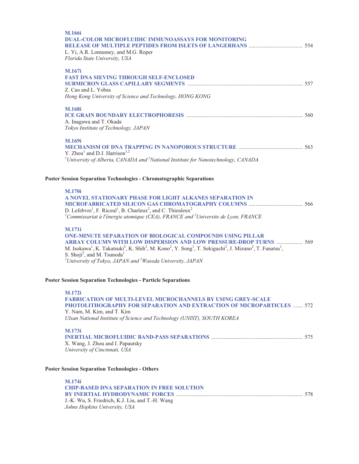| M.166i<br><b>DUAL-COLOR MICROFLUIDIC IMMUNOASSAYS FOR MONITORING</b><br>L. Yi, A.R. Lomasney, and M.G. Roper<br>Florida State University, USA                                                                                                                                                                                                                                                                                                                                                             |  |
|-----------------------------------------------------------------------------------------------------------------------------------------------------------------------------------------------------------------------------------------------------------------------------------------------------------------------------------------------------------------------------------------------------------------------------------------------------------------------------------------------------------|--|
| M.167i<br><b>FAST DNA SIEVING THROUGH SELF-ENCLOSED</b><br>Z. Cao and L. Yobas<br>Hong Kong University of Science and Technology, HONG KONG                                                                                                                                                                                                                                                                                                                                                               |  |
| <b>M.168i</b><br>A. Inagawa and T. Okada<br>Tokyo Institute of Technology, JAPAN                                                                                                                                                                                                                                                                                                                                                                                                                          |  |
| M.169i<br>Y. Zhou <sup>1</sup> and D.J. Harrison <sup>1,2</sup><br><sup>1</sup> University of Alberta, CANADA and <sup>2</sup> National Institute for Nanotechnology, CANADA                                                                                                                                                                                                                                                                                                                              |  |
| <b>Poster Session Separation Technologies - Chromatographic Separations</b>                                                                                                                                                                                                                                                                                                                                                                                                                               |  |
| <b>M.170i</b><br>A NOVEL STATIONARY PHASE FOR LIGHT ALKANES SEPARATION IN<br>D. Lefebvre <sup>1</sup> , F. Ricoul <sup>1</sup> , B. Charleux <sup>2</sup> , and C. Thieuleux <sup>2</sup><br><sup>1</sup> Commissariat à l'énergie atomique (CEA), FRANCE and <sup>2</sup> Universite de Lyon, FRANCE                                                                                                                                                                                                     |  |
| <b>M.171i</b><br>ONE-MINUTE SEPARATION OF BIOLOGICAL COMPOUNDS USING PILLAR<br>ARRAY COLUMN WITH LOW DISPERSION AND LOW PRESSURE-DROP TURNS  569<br>M. Isokawa <sup>1</sup> , K. Takatsuki <sup>2</sup> , K. Shih <sup>2</sup> , M. Kono <sup>2</sup> , Y. Song <sup>1</sup> , T. Sekiguchi <sup>2</sup> , J. Mizuno <sup>2</sup> , T. Funatsu <sup>1</sup> ,<br>S. Shoji <sup>2</sup> , and M. Tsunoda <sup>1</sup><br><sup>1</sup> University of Tokyo, JAPAN and <sup>2</sup> Waseda University, JAPAN |  |
| <b>Poster Session Separation Technologies - Particle Separations</b>                                                                                                                                                                                                                                                                                                                                                                                                                                      |  |
| <b>M.172i</b><br><b>FABRICATION OF MULTI-LEVEL MICROCHANNELS BY USING GREY-SCALE</b><br>PHOTOLITHOGRAPHY FOR SEPARATION AND EXTRACTION OF MICROPARTICLES  572<br>Y. Nam, M. Kim, and T. Kim<br>Ulsan National Institute of Science and Technology (UNIST), SOUTH KOREA                                                                                                                                                                                                                                    |  |
| M.173i<br>X. Wang, J. Zhou and I. Papautsky<br>University of Cincinnati, USA                                                                                                                                                                                                                                                                                                                                                                                                                              |  |
| <b>Poster Session Separation Technologies - Others</b>                                                                                                                                                                                                                                                                                                                                                                                                                                                    |  |
| M.174i<br><b>CHIP-BASED DNA SEPARATION IN FREE SOLUTION</b><br>J.-K. Wu, S. Friedrich, K.J. Liu, and T.-H. Wang<br>Johns Hopkins University, USA                                                                                                                                                                                                                                                                                                                                                          |  |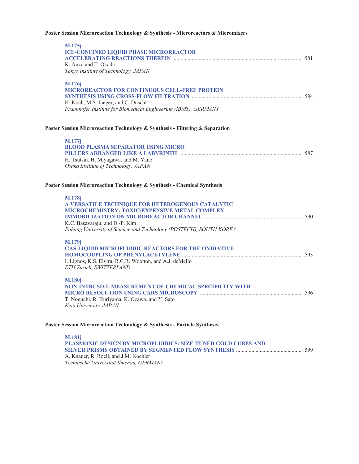#### **Poster Session Microreaction Technology & Synthesis - Microreactors & Micromixers**

| M.175j<br><b>ICE-CONFINED LIQUID PHASE MICROREACTOR</b><br>K. Anzo and T. Okada     |  |
|-------------------------------------------------------------------------------------|--|
| Tokyo Institute of Technology, JAPAN                                                |  |
| M.176j<br><b>MICROREACTOR FOR CONTINUOUS CELL-FREE PROTEIN</b>                      |  |
|                                                                                     |  |
| H. Koch, M.S. Jaeger, and C. Duschl                                                 |  |
| Fraunhofer Institute for Biomedical Engineering (IBMT), GERMANY                     |  |
| Poster Session Microreaction Technology & Synthesis - Filtering & Separation        |  |
| M.177j                                                                              |  |
| <b>BLOOD PLASMA SEPARATOR USING MICRO</b>                                           |  |
| H. Tsutsui, H. Miyagawa, and M. Yano                                                |  |
| Osaka Institute of Technology, JAPAN                                                |  |
| Poster Session Microreaction Technology & Synthesis - Chemical Synthesis            |  |
| <b>M.178j</b>                                                                       |  |
| A VERSATILE TECHNIQUE FOR HETEROGENOUS CATALYTIC                                    |  |
| MICROCHEMISTRY: TOXIC/EXPENSIVE METAL COMPLEX                                       |  |
|                                                                                     |  |
|                                                                                     |  |
| K.C. Basavaraju, and D.-P. Kim                                                      |  |
| Pohang University of Science and Technology (POSTECH), SOUTH KOREA                  |  |
| M.179j                                                                              |  |
| <b>GAS-LIQUID MICROFLUIDIC REACTORS FOR THE OXIDATIVE</b>                           |  |
|                                                                                     |  |
| I. Lignos, K.S. Elvira, R.C.R. Wootton, and A.J. deMello<br>ETH Zürich, SWITZERLAND |  |
| <b>M.180j</b>                                                                       |  |
| <b>NON-INTRUSIVE MEASUREMENT OF CHEMICAL SPECIFICITY WITH</b>                       |  |
|                                                                                     |  |
| T. Noguchi, R. Kuriyama, K. Ozawa, and Y. Sato                                      |  |
| Keio University, JAPAN                                                              |  |

#### **Poster Session Microreaction Technology & Synthesis - Particle Synthesis**

**M.181j PLASMONIC DESIGN BY MICROFLUIDICS: SIZE-TUNED GOLD CUBES AND SILVER PRISMS OBTAINED BY SEGMENTED FLOW SYNTHESIS** ................................................ 599 A. Knauer, R. Roell, and J.M. Koehler *Technische Universität Ilmenau, GERMANY*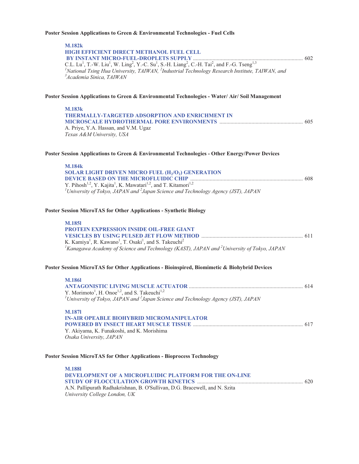## **Poster Session Applications to Green & Environmental Technologies - Fuel Cells**

| <b>M.182k</b><br><b>IGH EFFICIENT DIRECT METHANOL FUEL CELL</b><br><sup>1</sup> National Tsing Hua University, TAIWAN, <sup>2</sup> Industrial Technology Research Institute, TAIWAN, and                              |  |
|------------------------------------------------------------------------------------------------------------------------------------------------------------------------------------------------------------------------|--|
| <sup>3</sup> Academia Sinica, TAIWAN                                                                                                                                                                                   |  |
| Poster Session Applications to Green & Environmental Technologies - Water/ Air/ Soil Management                                                                                                                        |  |
| <b>M.183k</b><br>THERMALLY-TARGETED ADSORPTION AND ENRICHMENT IN<br>A. Priye, Y.A. Hassan, and V.M. Ugaz                                                                                                               |  |
| Texas A&M University, USA                                                                                                                                                                                              |  |
| Poster Session Applications to Green & Environmental Technologies - Other Energy/Power Devices                                                                                                                         |  |
| <b>M.184k</b><br>SOLAR LIGHT DRIVEN MICRO FUEL (H <sub>2</sub> /O <sub>2</sub> ) GENERATION                                                                                                                            |  |
|                                                                                                                                                                                                                        |  |
| Y. Pihosh <sup>1,2</sup> , Y. Kajita <sup>1</sup> , K. Mawatari <sup>1,2</sup> , and T. Kitamori <sup>1,2</sup><br><sup>1</sup> University of Tokyo, JAPAN and $^{2}$ Japan Science and Technology Agency (JST), JAPAN |  |
|                                                                                                                                                                                                                        |  |
| Poster Session MicroTAS for Other Applications - Synthetic Biology                                                                                                                                                     |  |
| <b>M.1851</b><br>PROTEIN EXPRESSION INSIDE OIL-FREE GIANT                                                                                                                                                              |  |
|                                                                                                                                                                                                                        |  |
| K. Kamiya <sup>1</sup> , R. Kawano <sup>1</sup> , T. Osaki <sup>1</sup> , and S. Takeuchi <sup>2</sup><br>${}^{1}$ Kanagawa Academy of Science and Technology (KAST), JAPAN and ${}^{2}$ University of Tokyo, JAPAN    |  |
|                                                                                                                                                                                                                        |  |
| Poster Session MicroTAS for Other Applications - Bioinspired, Biomimetic & Biohybrid Devices                                                                                                                           |  |
| <b>M.1861</b>                                                                                                                                                                                                          |  |
| Y. Morimoto <sup>1</sup> , H. Onoe <sup>1,2</sup> , and S. Takeuchi <sup>1,2</sup>                                                                                                                                     |  |
| <sup>1</sup> University of Tokyo, JAPAN and $^{2}$ Japan Science and Technology Agency (JST), JAPAN                                                                                                                    |  |
| <b>M.1871</b>                                                                                                                                                                                                          |  |
| <b>IN-AIR OPEABLE BIOHYBRID MICROMANIPULATOR</b>                                                                                                                                                                       |  |
| Y. Akiyama, K. Funakoshi, and K. Morishima                                                                                                                                                                             |  |
| Osaka University, JAPAN                                                                                                                                                                                                |  |
| Poster Session MicroTAS for Other Applications - Bioprocess Technology                                                                                                                                                 |  |
| <b>M.1881</b>                                                                                                                                                                                                          |  |
| DEVELOPMENT OF A MICROFLUIDIC PLATFORM FOR THE ON-LINE                                                                                                                                                                 |  |
| A.N. Pallipurath Radhakrishnan, B. O'Sullivan, D.G. Bracewell, and N. Szita<br>University College London, UK                                                                                                           |  |
|                                                                                                                                                                                                                        |  |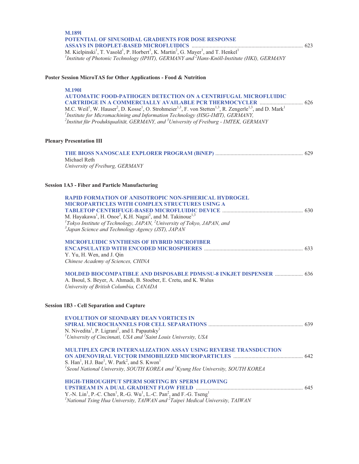| <b>M.1891</b>                                                                                                                                               |  |
|-------------------------------------------------------------------------------------------------------------------------------------------------------------|--|
| <b>POTENTIAL OF SINUSOIDAL GRADIENTS FOR DOSE RESPONSE</b>                                                                                                  |  |
|                                                                                                                                                             |  |
| M. Kielpinski <sup>1</sup> , T. Vasold <sup>1</sup> , P. Horbert <sup>1</sup> , K. Martin <sup>2</sup> , G. Mayer <sup>1</sup> , and T. Henkel <sup>1</sup> |  |
| <sup>1</sup> Institute of Photonic Technology (IPHT), GERMANY and <sup>2</sup> Hans-Knöll-Institute (HKI), GERMANY                                          |  |

#### **Poster Session MicroTAS for Other Applications - Food & Nutrition**

#### **M.190l**

**AUTOMATIC FOOD-PATHOGEN DETECTION ON A CENTRIFUGAL MICROFLUIDIC CARTRIDGE IN A COMMERCIALLY AVAILABLE PCR THERMOCYCLER** ............................... 626 M.C. Weil<sup>1</sup>, W. Hauser<sup>2</sup>, D. Kosse<sup>1</sup>, O. Strohmeier<sup>1,3</sup>, F. von Stetten<sup>1,3</sup>, R. Zengerle<sup>1,3</sup>, and D. Mark<sup>1</sup> *1 Institute for Micromachining and Information Technology (HSG-IMIT), GERMANY, 2 Institut für Produktqualität, GERMANY, and <sup>3</sup> University of Freiburg - IMTEK, GERMANY* 

### **Plenary Presentation III**

| Michael Reth                    |  |
|---------------------------------|--|
| University of Freiburg, GERMANY |  |

### **Session 1A3 - Fiber and Particle Manufacturing**

| <b>RAPID FORMATION OF ANISOTROPIC NON-SPHERICAL HYDROGEL</b><br><b>MICROPARTICLES WITH COMPLEX STRUCTURES USING A</b><br>M. Hayakawa <sup>1</sup> , H. Onoe <sup>2</sup> , K.H. Nagai <sup>2</sup> , and M. Takinoue <sup>1,3</sup><br><sup>1</sup> Tokyo Institute of Technology, JAPAN, $^2$ University of Tokyo, JAPAN, and<br><sup>3</sup> Japan Science and Technology Agency (JST), JAPAN |  |
|-------------------------------------------------------------------------------------------------------------------------------------------------------------------------------------------------------------------------------------------------------------------------------------------------------------------------------------------------------------------------------------------------|--|
| <b>MICROFLUIDIC SYNTHESIS OF HYBRID MICROFIBER</b><br>Y. Yu, H. Wen, and J. Qin<br>Chinese Academy of Sciences, CHINA                                                                                                                                                                                                                                                                           |  |
| MOLDED BIOCOMPATIBLE AND DISPOSABLE PDMS/SU-8 INKJET DISPENSER  636<br>A. Bsoul, S. Beyer, A. Ahmadi, B. Stoeber, E. Cretu, and K. Walus<br>University of British Columbia, CANADA                                                                                                                                                                                                              |  |
| <b>Session 1B3 - Cell Separation and Capture</b>                                                                                                                                                                                                                                                                                                                                                |  |
| <b>EVOLUTION OF SEONDARY DEAN VORTICES IN</b><br>N. Nivedita <sup>1</sup> , P. Ligrani <sup>2</sup> , and I. Papautsky <sup>1</sup><br><sup>1</sup> University of Cincinnati, USA and $2$ Saint Louis University, USA                                                                                                                                                                           |  |
| <b>MULTIPLEX GPCR INTERNALIZATION ASSAY USING REVERSE TRANSDUCTION</b><br>S. Han <sup>1</sup> , H.J. Bae <sup>1</sup> , W. Park <sup>2</sup> , and S. Kwon <sup>1</sup><br><sup>1</sup> Seoul National University, SOUTH KOREA and ${}^{2}K$ yung Hee University, SOUTH KOREA                                                                                                                   |  |
| <b>HIGH-THROUGHPUT SPERM SORTING BY SPERM FLOWING</b><br>Y.-N. $\text{Lin}^1$ , P.-C. Chen <sup>1</sup> , R.-G. Wu <sup>1</sup> , L.-C. Pan <sup>2</sup> , and F.-G. Tseng <sup>1</sup><br><sup>1</sup> National Tsing Hua University, TAIWAN and <sup>2</sup> Taipei Medical University, TAIWAN                                                                                                |  |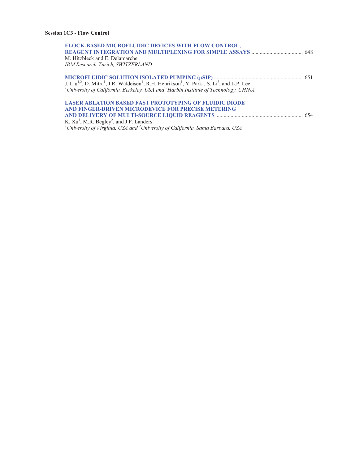| <b>FLOCK-BASED MICROFLUIDIC DEVICES WITH FLOW CONTROL,</b>                                                                                                                        |  |
|-----------------------------------------------------------------------------------------------------------------------------------------------------------------------------------|--|
|                                                                                                                                                                                   |  |
| M. Hitzbleck and E. Delamarche                                                                                                                                                    |  |
| IBM Research-Zurich, SWITZERLAND                                                                                                                                                  |  |
|                                                                                                                                                                                   |  |
|                                                                                                                                                                                   |  |
| J. Liu <sup>1,2</sup> , D. Mitra <sup>1</sup> , J.R. Waldeisen <sup>1</sup> , R.H. Henrikson <sup>1</sup> , Y. Park <sup>1</sup> , S. Li <sup>2</sup> , and L.P. Lee <sup>1</sup> |  |
| <sup>1</sup> University of California, Berkeley, USA and <sup>2</sup> Harbin Institute of Technology, CHINA                                                                       |  |
| <b>LASER ABLATION BASED FAST PROTOTYPING OF FLUIDIC DIODE</b>                                                                                                                     |  |
| AND FINGER-DRIVEN MICRODEVICE FOR PRECISE METERING                                                                                                                                |  |
|                                                                                                                                                                                   |  |
| K. $Xu1$ , M.R. Begley <sup>2</sup> , and J.P. Landers <sup>1</sup>                                                                                                               |  |
| <sup>1</sup> University of Virginia, USA and $^{2}$ University of California, Santa Barbara, USA                                                                                  |  |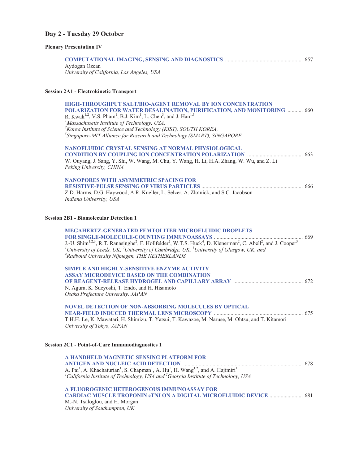## **Day 2 - Tuesday 29 October**

### **Plenary Presentation IV**

| Aydogan Ozcan<br>University of California, Los Angeles, USA                                                                                                                                                                                                                                                                                                                                                                                                                                                 |  |
|-------------------------------------------------------------------------------------------------------------------------------------------------------------------------------------------------------------------------------------------------------------------------------------------------------------------------------------------------------------------------------------------------------------------------------------------------------------------------------------------------------------|--|
| <b>Session 2A1 - Electrokinetic Transport</b>                                                                                                                                                                                                                                                                                                                                                                                                                                                               |  |
| <b>HIGH-THROUGHPUT SALT/BIO-AGENT REMOVAL BY ION CONCENTRATION</b><br>POLARIZATION FOR WATER DESALINATION, PURIFICATION, AND MONITORING  660<br>R. Kwak <sup>1,2</sup> , V.S. Pham <sup>1</sup> , B.J. Kim <sup>1</sup> , L. Chen <sup>3</sup> , and J. Han <sup>1,3</sup><br><sup>1</sup> Massachusetts Institute of Technology, USA,<br><sup>2</sup> Korea Institute of Science and Technology (KIST), SOUTH KOREA,<br><sup>3</sup> Singapore-MIT Alliance for Research and Technology (SMART), SINGAPORE |  |
| <b>NANOFLUIDIC CRYSTAL SENSING AT NORMAL PHYSIOLOGICAL</b><br>W. Ouyang, J. Sang, Y. Shi, W. Wang, M. Chu, Y. Wang, H. Li, H.A. Zhang, W. Wu, and Z. Li<br>Peking University, CHINA                                                                                                                                                                                                                                                                                                                         |  |
| <b>NANOPORES WITH ASYMMETRIC SPACING FOR</b><br>Z.D. Harms, D.G. Haywood, A.R. Kneller, L. Selzer, A. Zlotnick, and S.C. Jacobson<br>Indiana University, USA                                                                                                                                                                                                                                                                                                                                                |  |
| <b>Session 2B1 - Biomolecular Detection 1</b>                                                                                                                                                                                                                                                                                                                                                                                                                                                               |  |
| MEGAHERTZ-GENERATED FEMTOLITER MICROFLUIDIC DROPLETS<br>J.-U. Shim <sup>1,2,3</sup> , R.T. Ranasinghe <sup>2</sup> , F. Hollfelder <sup>2</sup> , W.T.S. Huck <sup>4</sup> , D. Klenerman <sup>2</sup> , C. Abell <sup>2</sup> , and J. Cooper <sup>3</sup><br><sup>1</sup> University of Leeds, UK, <sup>2</sup> University of Cambridge, UK, <sup>3</sup> University of Glasgow, UK, and<br><sup>4</sup> Radboud University Nijmegen, THE NETHERLANDS                                                     |  |
| SIMPLE AND HIGHLY-SENSITIVE ENZYME ACTIVITY<br><b>ASSAY MICRODEVICE BASED ON THE COMBINATION</b><br>N. Agura, K. Sueyoshi, T. Endo, and H. Hisamoto<br>Osaka Prefecture University, JAPAN                                                                                                                                                                                                                                                                                                                   |  |
| <b>NOVEL DETECTION OF NON-ABSORBING MOLECULES BY OPTICAL</b><br>T.H.H. Le, K. Mawatari, H. Shimizu, T. Yatsui, T. Kawazoe, M. Naruse, M. Ohtsu, and T. Kitamori<br>University of Tokyo, JAPAN                                                                                                                                                                                                                                                                                                               |  |
| <b>Session 2C1 - Point-of-Care Immunodiagnostics 1</b>                                                                                                                                                                                                                                                                                                                                                                                                                                                      |  |
| A HANDHELD MAGNETIC SENSING PLATFORM FOR<br>A. Pai <sup>1</sup> , A. Khachaturian <sup>1</sup> , S. Chapman <sup>1</sup> , A. Hu <sup>1</sup> , H. Wang <sup>1,2</sup> , and A. Hajimiri <sup>1</sup><br><sup>1</sup> California Institute of Technology, USA and <sup>2</sup> Georgia Institute of Technology, USA                                                                                                                                                                                         |  |
| A FLUOROGENIC HETEROGENOUS IMMUNOASSAY FOR<br>CARDIAC MUSCLE TROPONIN CTNI ON A DIGITAL MICROFLUIDIC DEVICE  681<br>M.-N. Tsaloglou, and H. Morgan<br>University of Southampton, UK                                                                                                                                                                                                                                                                                                                         |  |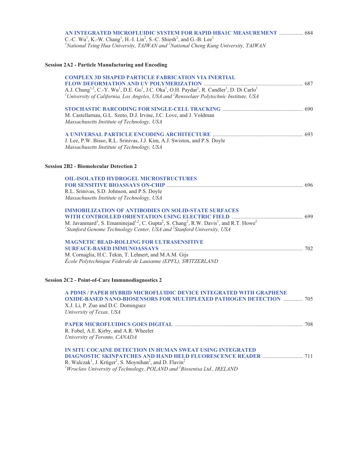| AN INTEGRATED MICROFLUIDIC SYSTEM FOR RAPID HBA1C MEASUREMENT  684                                                                 |  |
|------------------------------------------------------------------------------------------------------------------------------------|--|
| C.-C. Wu <sup>1</sup> , K.-W. Chang <sup>1</sup> , H.-I. Lin <sup>2</sup> , S.-C. Shiesh <sup>2</sup> , and G.-B. Lee <sup>1</sup> |  |
| <sup>1</sup> National Tsing Hua University, TAIWAN and <sup>2</sup> National Cheng Kung University, TAIWAN                         |  |

## **Session 2A2 - Particle Manufacturing and Encoding**

| <b>COMPLEX 3D SHAPED PARTICLE FABRICATION VIA INERTIAL</b><br>A.J. Chung <sup>1,2</sup> , C.-Y. Wu <sup>1</sup> , D.E. Go <sup>1</sup> , J.C. Oka <sup>1</sup> , O.H. Paydar <sup>1</sup> , R. Candler <sup>1</sup> , D. Di Carlo <sup>1</sup><br><sup>1</sup> University of California, Los Angeles, USA and <sup>2</sup> Rensselaer Polytechnic Institute, USA |  |
|------------------------------------------------------------------------------------------------------------------------------------------------------------------------------------------------------------------------------------------------------------------------------------------------------------------------------------------------------------------|--|
| M. Castellarnau, G.L. Szeto, D.J. Irvine, J.C. Love, and J. Voldman<br>Massachusetts Institute of Technology, USA                                                                                                                                                                                                                                                |  |
| J. Lee, P.W. Bisso, R.L. Srinivas, J.J. Kim, A.J. Swiston, and P.S. Doyle<br>Massachusetts Institute of Technology, USA                                                                                                                                                                                                                                          |  |
| <b>Session 2B2 - Biomolecular Detection 2</b>                                                                                                                                                                                                                                                                                                                    |  |
| <b>OIL-ISOLATED HYDROGEL MICROSTRUCTURES</b>                                                                                                                                                                                                                                                                                                                     |  |
|                                                                                                                                                                                                                                                                                                                                                                  |  |
| R.L. Srinivas, S.D. Johnson, and P.S. Doyle<br>Massachusetts Institute of Technology, USA                                                                                                                                                                                                                                                                        |  |
| <b>IMMOBILIZATION OF ANTIBODIES ON SOLID-STATE SURFACES</b>                                                                                                                                                                                                                                                                                                      |  |
|                                                                                                                                                                                                                                                                                                                                                                  |  |
| M. Javanmard <sup>1</sup> , S. Emaminejad <sup>1,2</sup> , C. Gupta <sup>2</sup> , S. Chang <sup>2</sup> , R.W. Davis <sup>1</sup> , and R.T. Howe <sup>2</sup><br><sup>1</sup> Stanford Genome Technology Center, USA and <sup>2</sup> Stanford University, USA                                                                                                 |  |
| <b>MAGNETIC BEAD-ROLLING FOR ULTRASENSITIVE</b>                                                                                                                                                                                                                                                                                                                  |  |
|                                                                                                                                                                                                                                                                                                                                                                  |  |
| M. Cornaglia, H.C. Tekin, T. Lehnert, and M.A.M. Gijs<br>École Polytechnique Féderale de Lausanne (EPFL), SWITZERLAND                                                                                                                                                                                                                                            |  |
| <b>Session 2C2 - Point-of-Care Immunodiagnostics 2</b>                                                                                                                                                                                                                                                                                                           |  |
| A PDMS / PAPER HYBRID MICROFLUIDIC DEVICE INTEGRATED WITH GRAPHENE<br><b>OXIDE-BASED NANO-BIOSENSORS FOR MULTIPLEXED PATHOGEN DETECTION  705</b><br>X.J. Li, P. Zuo and D.C. Dominguez<br>University of Texas, USA                                                                                                                                               |  |
| R. Fobel, A.E. Kirby, and A.R. Wheeler<br>University of Toronto, CANADA                                                                                                                                                                                                                                                                                          |  |
| IN SITU COCAINE DETECTION IN HUMAN SWEAT USING INTEGRATED<br>R. Walczak <sup>1</sup> , J. Krüger <sup>2</sup> , S. Moynihan <sup>2</sup> , and D. Flavin <sup>2</sup><br><sup>1</sup> Wroclaw University of Technology, POLAND and $^{2}$ Biosenisa Ltd., IRELAND                                                                                                |  |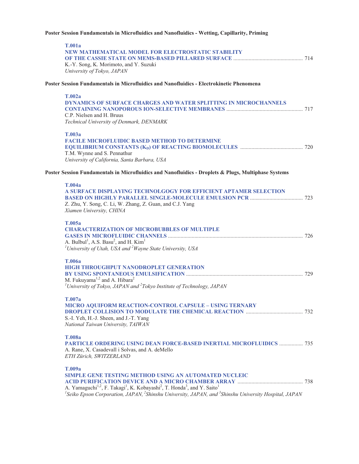### **Poster Session Fundamentals in Microfluidics and Nanofluidics - Wetting, Capillarity, Priming**

| <b>T.001a</b><br>NEW MATHEMATICAL MODEL FOR ELECTROSTATIC STABILITY<br>K.-Y. Song, K. Morimoto, and Y. Suzuki<br>University of Tokyo, JAPAN                                                                                                                                                                                                                |  |
|------------------------------------------------------------------------------------------------------------------------------------------------------------------------------------------------------------------------------------------------------------------------------------------------------------------------------------------------------------|--|
| Poster Session Fundamentals in Microfluidics and Nanofluidics - Electrokinetic Phenomena                                                                                                                                                                                                                                                                   |  |
| T.002a<br><b>DYNAMICS OF SURFACE CHARGES AND WATER SPLITTING IN MICROCHANNELS</b><br>C.P. Nielsen and H. Bruus<br>Technical University of Denmark, DENMARK                                                                                                                                                                                                 |  |
| T.003a<br><b>FACILE MICROFLUIDIC BASED METHOD TO DETERMINE</b><br>T.M. Wynne and S. Pennathur<br>University of California, Santa Barbara, USA                                                                                                                                                                                                              |  |
| Poster Session Fundamentals in Microfluidics and Nanofluidics - Droplets & Plugs, Multiphase Systems                                                                                                                                                                                                                                                       |  |
| <b>T.004a</b><br>A SURFACE DISPLAYING TECHNOLGOGY FOR EFFICIENT APTAMER SELECTION<br>Z. Zhu, Y. Song, C. Li, W. Zhang, Z. Guan, and C.J. Yang<br>Xiamen University, CHINA                                                                                                                                                                                  |  |
| T.005a<br><b>CHARACTERIZATION OF MICROBUBBLES OF MULTIPLE</b><br>A. Bulbul <sup>1</sup> , A.S. Basu <sup>2</sup> , and H. Kim <sup>1</sup><br><sup>1</sup> University of Utah, USA and <sup>2</sup> Wayne State University, USA                                                                                                                            |  |
| <b>T.006a</b><br>HIGH THROUGHPUT NANODROPLET GENERATION<br>M. Fukuyama <sup>1,2</sup> and A. Hibara <sup>2</sup><br><sup>1</sup> University of Tokyo, JAPAN and <sup>2</sup> Tokyo Institute of Technology, JAPAN                                                                                                                                          |  |
| T.007a<br>MICRO AQUIFORM REACTION-CONTROL CAPSULE - USING TERNARY<br>S.-I. Yeh, H.-J. Sheen, and J.-T. Yang<br>National Taiwan University, TAIWAN                                                                                                                                                                                                          |  |
| <b>T.008a</b><br><b>PARTICLE ORDERING USING DEAN FORCE-BASED INERTIAL MICROFLUIDICS  735</b><br>A. Rane, X. Casadevall i Solvas, and A. deMello<br>ETH Zürich, SWITZERLAND                                                                                                                                                                                 |  |
| T.009a<br><b>SIMPLE GENE TESTING METHOD USING AN AUTOMATED NUCLEIC</b><br>A. Yamaguchi <sup>1,2</sup> , F. Takagi <sup>1</sup> , K. Kobayashi <sup>2</sup> , T. Honda <sup>3</sup> , and Y. Saito <sup>1</sup><br><sup>1</sup> Seiko Epson Corporation, JAPAN, <sup>2</sup> Shinshu University, JAPAN, and <sup>3</sup> Shinshu University Hospital, JAPAN |  |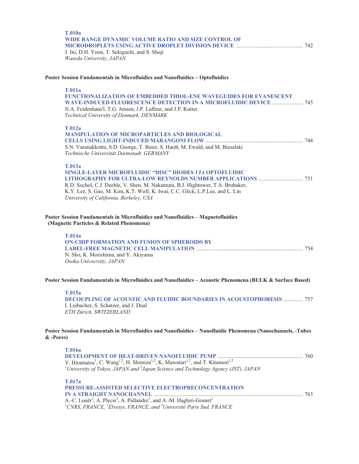| <b>T.010a</b><br>WIDE RANGE DYNAMIC VOLUME RATIO AND SIZE CONTROL OF<br>J. Ito, D.H. Yoon, T. Sekiguchi, and S. Shoji<br>Waseda University, JAPAN                                                                                                                                                |  |
|--------------------------------------------------------------------------------------------------------------------------------------------------------------------------------------------------------------------------------------------------------------------------------------------------|--|
| Poster Session Fundamentals in Microfluidics and Nanofluidics - Optofluidics                                                                                                                                                                                                                     |  |
| <b>T.011a</b><br><b>FUNCTIONALIZATION OF EMBEDDED THIOL-ENE WAVEGUIDES FOR EVANESCENT</b><br><b>WAVE-INDUCED FLUORESCENCE DETECTION IN A MICROFLUIDIC DEVICE  745</b><br>N.A. Feidenhans'l, T.G. Jensen, J.P. Lafleur, and J.P. Kutter<br>Technical University of Denmark, DENMARK               |  |
| <b>T.012a</b><br><b>MANIPULATION OF MICROPARTICLES AND BIOLOGICAL</b><br>S.N. Varanakkottu, S.D. George, T. Baier, S. Hardt, M. Ewald, and M. Biesalski<br>Technische Universität Darmstadt, GERMANY                                                                                             |  |
| T.013a<br><b>SINGLE-LAYER MICROFLUIDIC "DISC" DIODES VIA OPTOFLUIDIC</b><br>R.D. Sochol, C.J. Deeble, V. Shen, M. Nakamura, B.J. Hightower, T.A. Brubaker,<br>K.Y. Lee, S. Gao, M. Kim, K.T. Wolf, K. Iwai, C.C. Glick, L.P.Lee, and L. Lin<br>University of California, Berkeley, USA           |  |
| Poster Session Fundamentals in Microfluidics and Nanofluidics - Magnetofluidics<br>(Magnetic Particles & Related Phenomena)                                                                                                                                                                      |  |
| <b>T.014a</b><br><b>ON-CHIP FORMATION AND FUSION OF SPHEROIDS BY</b><br>N. Sho, K. Morishima, and Y. Akiyama<br>Osaka Univsersity, JAPAN                                                                                                                                                         |  |
| Poster Session Fundamentals in Microfluidics and Nanofluidics - Acoustic Phenomena (BULK & Surface Based)                                                                                                                                                                                        |  |
| T.015a<br><b>DECOUPLING OF ACOUSTIC AND FLUIDIC BOUNDARIES IN ACOUSTOPHORESIS  757</b><br>I. Leibacher, S. Schatzer, and J. Dual<br>ETH Zürich, SWITZERLAND                                                                                                                                      |  |
| Poster Session Fundamentals in Microfluidics and Nanofluidics - Nanofluidic Phenomena (Nanochannels, -Tubes<br>$&$ -Pores)                                                                                                                                                                       |  |
| <b>T.016a</b><br>Y. Hiramatsu <sup>1</sup> , C. Wang <sup>1,2</sup> , H. Shimizu <sup>1,2</sup> , K. Mawatari <sup>1,2</sup> , and T. Kitamori <sup>1,2</sup><br><sup>1</sup> University of Tokyo, JAPAN and $^{2}$ Japan Science and Technology Agency (JST), JAPAN                             |  |
| T.017a<br>PRESSURE-ASSISTED SELECTIVE ELECTROPRECONCENTRATION<br>A.-C. Louër <sup>1</sup> , A. Plecis <sup>2</sup> , A. Pallandre <sup>3</sup> , and A.-M. Haghiri-Gosnet <sup>1</sup><br><sup>1</sup> CNRS, FRANCE, <sup>2</sup> Elvesys, FRANCE, and <sup>3</sup> Université Paris Sud, FRANCE |  |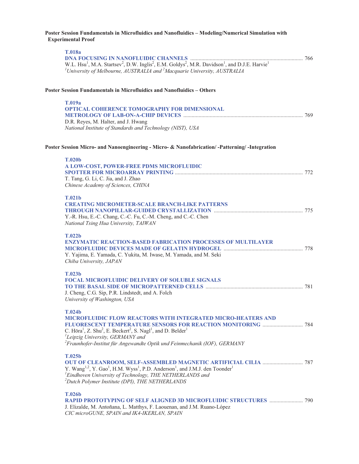#### **Poster Session Fundamentals in Microfluidics and Nanofluidics – Modeling/Numerical Simulation with Experimental Proof**

| <b>T.018a</b>                                                                                                                                                                                                                                                      |  |
|--------------------------------------------------------------------------------------------------------------------------------------------------------------------------------------------------------------------------------------------------------------------|--|
| W.L. Hsu <sup>1</sup> , M.A. Startsev <sup>2</sup> , D.W. Inglis <sup>2</sup> , E.M. Goldys <sup>2</sup> , M.R. Davidson <sup>1</sup> , and D.J.E. Harvie <sup>1</sup><br>${}^{1}$ University of Melbourne, AUSTRALIA and ${}^{2}$ Macquarie University, AUSTRALIA |  |
| Poster Session Fundamentals in Microfluidics and Nanofluidics - Others                                                                                                                                                                                             |  |
| T.019a                                                                                                                                                                                                                                                             |  |
| OPTICAL COHERENCE TOMOGRAPHY FOR DIMENSIONAL                                                                                                                                                                                                                       |  |
| D.R. Reyes, M. Halter, and J. Hwang                                                                                                                                                                                                                                |  |
| National Institute of Standards and Technology (NIST), USA                                                                                                                                                                                                         |  |
| Poster Session Micro- and Nanoengineering - Micro- & Nanofabrication/-Patterning/-Integration                                                                                                                                                                      |  |
| <b>T.020b</b>                                                                                                                                                                                                                                                      |  |
| A LOW-COST, POWER-FREE PDMS MICROFLUIDIC                                                                                                                                                                                                                           |  |
| T. Tang, G. Li, C. Jia, and J. Zhao                                                                                                                                                                                                                                |  |
| Chinese Academy of Sciences, CHINA                                                                                                                                                                                                                                 |  |
| T.021b                                                                                                                                                                                                                                                             |  |
| <b>CREATING MICROMETER-SCALE BRANCH-LIKE PATTERNS</b>                                                                                                                                                                                                              |  |
| Y.-R. Hsu, E.-C. Chang, C.-C. Fu, C.-M. Cheng, and C.-C. Chen                                                                                                                                                                                                      |  |
| National Tsing Hua University, TAIWAN                                                                                                                                                                                                                              |  |
| T.022b                                                                                                                                                                                                                                                             |  |
| <b>ENZYMATIC REACTION-BASED FABRICATION PROCESSES OF MULTILAYER</b>                                                                                                                                                                                                |  |
| Y. Yajima, E. Yamada, C. Yukita, M. Iwase, M. Yamada, and M. Seki                                                                                                                                                                                                  |  |
| Chiba University, JAPAN                                                                                                                                                                                                                                            |  |
| T.023b                                                                                                                                                                                                                                                             |  |
| <b>FOCAL MICROFLUIDIC DELIVERY OF SOLUBLE SIGNALS</b>                                                                                                                                                                                                              |  |
| J. Cheng, C.G. Sip, P.R. Lindstedt, and A. Folch                                                                                                                                                                                                                   |  |
| University of Washington, USA                                                                                                                                                                                                                                      |  |
| <b>T.024b</b>                                                                                                                                                                                                                                                      |  |
| <b>MICROFLUIDIC FLOW REACTORS WITH INTEGRATED MICRO-HEATERS AND</b>                                                                                                                                                                                                |  |
| C. Höra <sup>1</sup> , Z. Shu <sup>2</sup> , E. Beckert <sup>2</sup> , S. Nagl <sup>1</sup> , and D. Belder <sup>1</sup>                                                                                                                                           |  |
| <sup>1</sup> Leipzig University, GERMANY and                                                                                                                                                                                                                       |  |
| ${}^{2}$ Fraunhofer-Institut für Angewandte Optik und Feinmechanik (IOF), GERMANY                                                                                                                                                                                  |  |
| T.025b                                                                                                                                                                                                                                                             |  |
| Y. Wang <sup>1,2</sup> , Y. Gao <sup>1</sup> , H.M. Wyss <sup>1</sup> , P.D. Anderson <sup>1</sup> , and J.M.J. den Toonder <sup>1</sup>                                                                                                                           |  |
| <sup>1</sup> Eindhoven University of Technology, THE NETHERLANDS and                                                                                                                                                                                               |  |
| <sup>2</sup> Dutch Polymer Institute (DPI), THE NETHERLANDS                                                                                                                                                                                                        |  |
| <b>T.026b</b>                                                                                                                                                                                                                                                      |  |
| J. Elizalde, M. Antoñana, L. Matthys, F. Laouenan, and J.M. Ruano-López                                                                                                                                                                                            |  |

*CIC microGUNE, SPAIN and IK4-IKERLAN, SPAIN*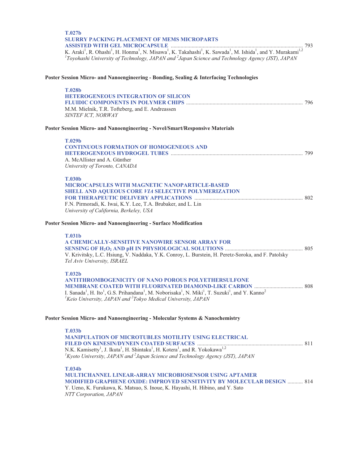| T.027 <sub>b</sub><br><b>SLURRY PACKING PLACEMENT OF MEMS MICROPARTS</b>                                                                                                                                                                                                                                                           |  |
|------------------------------------------------------------------------------------------------------------------------------------------------------------------------------------------------------------------------------------------------------------------------------------------------------------------------------------|--|
| K. Araki <sup>1</sup> , R. Ohashi <sup>1</sup> , H. Honma <sup>1</sup> , N. Misawa <sup>1</sup> , K. Takahashi <sup>1</sup> , K. Sawada <sup>1</sup> , M. Ishida <sup>1</sup> , and Y. Murakami <sup>1,2</sup><br>${}^{1}$ Toyohashi University of Technology, JAPAN and ${}^{2}$ Japan Science and Technology Agency (JST), JAPAN |  |
| Poster Session Micro- and Nanoengineering - Bonding, Sealing & Interfacing Technologies                                                                                                                                                                                                                                            |  |
| <b>T.028b</b>                                                                                                                                                                                                                                                                                                                      |  |
| <b>HETEROGENEOUS INTEGRATION OF SILICON</b>                                                                                                                                                                                                                                                                                        |  |
| M.M. Mielnik, T.R. Tofteberg, and E. Andreassen                                                                                                                                                                                                                                                                                    |  |
| SINTEF ICT, NORWAY                                                                                                                                                                                                                                                                                                                 |  |
| Poster Session Micro- and Nanoengineering - Novel/Smart/Responsive Materials                                                                                                                                                                                                                                                       |  |
| <b>T.029b</b>                                                                                                                                                                                                                                                                                                                      |  |
| <b>CONTINUOUS FORMATION OF HOMOGENEOUS AND</b>                                                                                                                                                                                                                                                                                     |  |
| A. McAllister and A. Günther                                                                                                                                                                                                                                                                                                       |  |
| University of Toronto, CANADA                                                                                                                                                                                                                                                                                                      |  |
| <b>T.030b</b>                                                                                                                                                                                                                                                                                                                      |  |
| MICROCAPSULES WITH MAGNETIC NANOPARTICLE-BASED                                                                                                                                                                                                                                                                                     |  |
| SHELL AND AQUEOUS CORE VIA SELECTIVE POLYMERIZATION                                                                                                                                                                                                                                                                                |  |
| F.N. Pirmoradi, K. Iwai, K.Y. Lee, T.A. Brubaker, and L. Lin                                                                                                                                                                                                                                                                       |  |
| University of California, Berkeley, USA                                                                                                                                                                                                                                                                                            |  |
| Poster Session Micro- and Nanoengineering - Surface Modification                                                                                                                                                                                                                                                                   |  |
| <b>T.031b</b>                                                                                                                                                                                                                                                                                                                      |  |
| A CHEMICALLY-SENSITIVE NANOWIRE SENSOR ARRAY FOR                                                                                                                                                                                                                                                                                   |  |
| V. Krivitsky, L.C. Hsiung, V. Naddaka, Y.K. Conroy, L. Burstein, H. Peretz-Soroka, and F. Patolsky                                                                                                                                                                                                                                 |  |
| Tel Aviv University, ISRAEL                                                                                                                                                                                                                                                                                                        |  |
| <b>T.032b</b>                                                                                                                                                                                                                                                                                                                      |  |
| <b>ANTITHROMBOGENICITY OF NANO POROUS POLYETHERSULFONE</b>                                                                                                                                                                                                                                                                         |  |
| I. Sanada <sup>1</sup> , H. Ito <sup>1</sup> , G.S. Prihandana <sup>1</sup> , M. Noborisaka <sup>1</sup> , N. Miki <sup>1</sup> , T. Suzuki <sup>1</sup> , and Y. Kanno <sup>2</sup>                                                                                                                                               |  |
| <sup>1</sup> Keio University, JAPAN and $^{2}$ Tokyo Medical University, JAPAN                                                                                                                                                                                                                                                     |  |
| Poster Session Micro- and Nanoengineering - Molecular Systems & Nanochemistry                                                                                                                                                                                                                                                      |  |
| T.033b                                                                                                                                                                                                                                                                                                                             |  |
| <b>MANIPULATION OF MICROTUBLES MOTILITY USING ELECTRICAL</b>                                                                                                                                                                                                                                                                       |  |
|                                                                                                                                                                                                                                                                                                                                    |  |
| ${}^{1}$ Kyoto University, JAPAN and ${}^{2}$ Japan Science and Technology Agency (JST), JAPAN                                                                                                                                                                                                                                     |  |
|                                                                                                                                                                                                                                                                                                                                    |  |
| <b>T.034b</b><br>MULTICHANNEL LINEAR-ARRAY MICROBIOSENSOR USING APTAMER                                                                                                                                                                                                                                                            |  |
| <b>MODIFIED GRAPHENE OXIDE: IMPROVED SENSITIVITY BY MOLECULAR DESIGN  814</b>                                                                                                                                                                                                                                                      |  |
| Y. Ueno, K. Furukawa, K. Matsuo, S. Inoue, K. Hayashi, H. Hibino, and Y. Sato                                                                                                                                                                                                                                                      |  |

*NTT Corporation, JAPAN*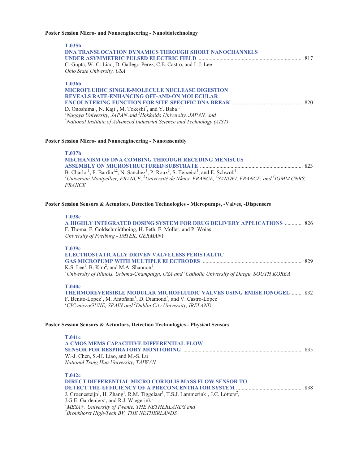### **Poster Session Micro- and Nanoengineering - Nanobiotechnology**

| T.035b<br>DNA TRANSLOCATION DYNAMICS THROUGH SHORT NANOCHANNELS<br>C. Gupta, W.-C. Liao, D. Gallego-Perez, C.E. Castro, and L.J. Lee<br>Ohio State University, USA                                                                                                                                                                                                                                                   |  |
|----------------------------------------------------------------------------------------------------------------------------------------------------------------------------------------------------------------------------------------------------------------------------------------------------------------------------------------------------------------------------------------------------------------------|--|
| <b>T.036b</b><br>MICROFLUIDIC SINGLE-MOLECULE NUCLEASE DIGESTION<br><b>REVEALS RATE-ENHANCING OFF-AND-ON MOLECULAR</b><br>D. Onoshima <sup>1</sup> , N. Kaji <sup>1</sup> , M. Tokeshi <sup>2</sup> , and Y. Baba <sup>1,3</sup><br>${}^{1}$ Nagoya University, JAPAN and ${}^{2}$ Hokkaido University, JAPAN, and<br><sup>3</sup> National Institute of Advanced Industrial Science and Technology (AIST)           |  |
| <b>Poster Session Micro- and Nanoengineering - Nanoassembly</b>                                                                                                                                                                                                                                                                                                                                                      |  |
| <b>T.037b</b><br><b>MECHANISM OF DNA COMBING THROUGH RECEDING MENISCUS</b><br>B. Charlot <sup>1</sup> , F. Bardin <sup>1,2</sup> , N. Sanchez <sup>3</sup> , P. Roux <sup>3</sup> , S. Teixeira <sup>3</sup> , and E. Schwob <sup>4</sup><br><sup>1</sup> Université Montpellier, FRANCE, <sup>2</sup> Université de Nîmes, FRANCE, <sup>3</sup> SANOFI, FRANCE, and <sup>4</sup> IGMM CNRS,<br><b>FRANCE</b>        |  |
| Poster Session Sensors & Actuators, Detection Technologies - Micropumps, -Valves, -Dispensers                                                                                                                                                                                                                                                                                                                        |  |
| T.038c<br>A HIGHLY INTEGRATED DOSING SYSTEM FOR DRUG DELIVERY APPLICATIONS  826<br>F. Thoma, F. Goldschmidtböing, H. Feth, E. Möller, and P. Woias<br>University of Freiburg - IMTEK, GERMANY                                                                                                                                                                                                                        |  |
| T.039c<br><b>ELECTROSTATICALLY DRIVEN VALVELESS PERISTALTIC</b><br>K.S. Lee <sup>1</sup> , B. Kim <sup>2</sup> , and M.A. Shannon <sup>1</sup><br>$^{1}$ University of Illinois, Urbana-Champaign, USA and $^{2}$ Catholic University of Daegu, SOUTH KOREA                                                                                                                                                          |  |
| <b>T.040c</b><br>THERMOREVERSIBLE MODULAR MICROFLUIDIC VALVES USING EMISE IONOGEL  832<br>F. Benito-Lopez <sup>1</sup> , M. Antoñana <sup>1</sup> , D. Diamond <sup>2</sup> , and V. Castro-López <sup>1</sup><br>$^{1}$ CIC microGUNE, SPAIN and $^{2}$ Dublin City University, IRELAND                                                                                                                             |  |
| Poster Session Sensors & Actuators, Detection Technologies - Physical Sensors                                                                                                                                                                                                                                                                                                                                        |  |
| <b>T.041c</b><br>A CMOS MEMS CAPACITIVE DIFFERENTIAL FLOW<br>W.-J. Chen, S.-H. Liao, and M.-S. Lu<br>National Tsing Hua University, TAIWAN                                                                                                                                                                                                                                                                           |  |
| T.042c<br><b>DIRECT DIFFERENTIAL MICRO CORIOLIS MASS FLOW SENSOR TO</b><br>J. Groenesteijn <sup>1</sup> , H. Zhang <sup>1</sup> , R.M. Tiggelaar <sup>1</sup> , T.S.J. Lammerink <sup>1</sup> , J.C. Lötters <sup>2</sup> ,<br>J.G.E. Gardeniers <sup>1</sup> , and R.J. Wiegerink <sup>1</sup><br>${}^{1}$ MESA+, University of Twente, THE NETHERLANDS and<br>$^{2}$ <i>Prophonet High Tool PV THE NETHEPLANDS</i> |  |

*2 Bronkhorst High-Tech BV, THE NETHERLANDS*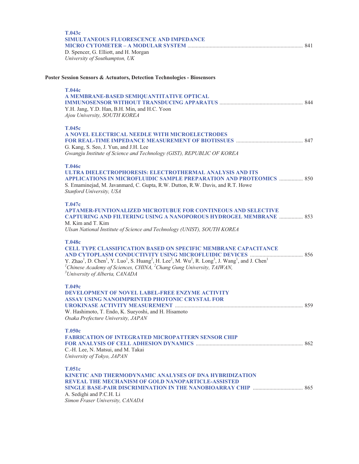| T.043c<br>SIMULTANEOUS FLUORESCENCE AND IMPEDANCE<br>D. Spencer, G. Elliott, and H. Morgan<br>University of Southampton, UK                                                                                                                                                                                                                                                                                                                      |  |
|--------------------------------------------------------------------------------------------------------------------------------------------------------------------------------------------------------------------------------------------------------------------------------------------------------------------------------------------------------------------------------------------------------------------------------------------------|--|
| Poster Session Sensors & Actuators, Detection Technologies - Biosensors                                                                                                                                                                                                                                                                                                                                                                          |  |
| <b>T.044c</b><br>A MEMBRANE-BASED SEMIQUANTITATIVE OPTICAL<br>Y.H. Jang, Y.D. Han, B.H. Min, and H.C. Yoon<br>Ajou University, SOUTH KOREA                                                                                                                                                                                                                                                                                                       |  |
| T.045c<br>A NOVEL ELECTRICAL NEEDLE WITH MICROELECTRODES<br>G. Kang, S. Seo, J. Yun, and J.H. Lee<br>Gwangju Institute of Science and Technology (GIST), REPUBLIC OF KOREA                                                                                                                                                                                                                                                                       |  |
| <b>T.046c</b><br>ULTRA DIELECTROPHORESIS: ELECTROTHERMAL ANALYSIS AND ITS<br><b>APPLICATIONS IN MICROFLUIDIC SAMPLE PREPARATION AND PROTEOMICS  850</b><br>S. Emaminejad, M. Javanmard, C. Gupta, R.W. Dutton, R.W. Davis, and R.T. Howe<br>Stanford University, USA                                                                                                                                                                             |  |
| T.047c<br><b>APTAMER-FUNTIONALIZED MICROTUBUE FOR CONTINEOUS AND SELECTIVE</b><br><b>CAPTURING AND FILTERING USING A NANOPOROUS HYDROGEL MEMBRANE  853</b><br>M. Kim and T. Kim<br>Ulsan National Institute of Science and Technology (UNIST), SOUTH KOREA                                                                                                                                                                                       |  |
| <b>T.048c</b><br><b>CELL TYPE CLASSIFICATION BASED ON SPECIFIC MEMBRANE CAPACITANCE</b><br>Y. Zhao <sup>1</sup> , D. Chen <sup>1</sup> , Y. Luo <sup>1</sup> , S. Huang <sup>2</sup> , H. Lee <sup>2</sup> , M. Wu <sup>2</sup> , R. Long <sup>3</sup> , J. Wang <sup>1</sup> , and J. Chen <sup>1</sup><br><sup>1</sup> Chinese Academy of Sciences, CHINA, $^{2}$ Chang Gung University, TAIWAN,<br><sup>3</sup> University of Alberta, CANADA |  |
| Т.049с<br><b>DEVELOPMENT OF NOVEL LABEL-FREE ENZYME ACTIVITY</b><br><b>ASSAY USING NANOIMPRINTED PHOTONIC CRYSTAL FOR</b><br>W. Hashimoto, T. Endo, K. Sueyoshi, and H. Hisamoto<br>Osaka Prefecture University, JAPAN                                                                                                                                                                                                                           |  |
| <b>T.050c</b><br><b>FABRICATION OF INTEGRATED MICROPATTERN SENSOR CHIP</b><br>C.-H. Lee, N. Matsui, and M. Takai<br>University of Tokyo, JAPAN                                                                                                                                                                                                                                                                                                   |  |
| T.051c<br>KINETIC AND THERMODYNAMIC ANALYSES OF DNA HYBRIDIZATION<br><b>REVEAL THE MECHANISM OF GOLD NANOPARTICLE-ASSISTED</b><br>A. Sedighi and P.C.H. Li<br>Simon Fraser University, CANADA                                                                                                                                                                                                                                                    |  |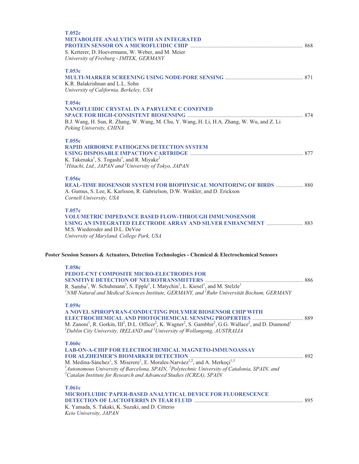| T.052c<br><b>METABOLITE ANALYTICS WITH AN INTEGRATED</b><br>S. Ketterer, D. Hoevermann, W. Weber, and M. Meier<br>University of Freiburg - IMTEK, GERMANY                                                                                                                                                                                                                                                                 |  |
|---------------------------------------------------------------------------------------------------------------------------------------------------------------------------------------------------------------------------------------------------------------------------------------------------------------------------------------------------------------------------------------------------------------------------|--|
| T.053c<br>K.R. Balakrishnan and L.L. Sohn<br>University of California, Berkeley, USA                                                                                                                                                                                                                                                                                                                                      |  |
| T.054c<br><b>NANOFLUIDIC CRYSTAL IN A PARYLENE C CONFINED</b><br>B.J. Wang, H. Sun, R. Zhang, W. Wang, M. Chu, Y. Wang, H. Li, H.A. Zhang, W. Wu, and Z. Li<br>Peking University, CHINA                                                                                                                                                                                                                                   |  |
| T.055c<br><b>RAPID AIRBORNE PATHOGENS DETECTION SYSTEM</b><br>K. Takenaka <sup>1</sup> , S. Togashi <sup>1</sup> , and R. Miyake <sup>2</sup><br><sup>1</sup> Hitachi, Ltd., JAPAN and <sup>2</sup> University of Tokyo, JAPAN                                                                                                                                                                                            |  |
| <b>T.056c</b><br><b>REAL-TIME BIOSENSOR SYSTEM FOR BIOPHYSICAL MONITORING OF BIRDS  880</b><br>A. Gumus, S. Lee, K. Karlsson, R. Gabrielson, D.W. Winkler, and D. Erickson<br>Cornell University, USA                                                                                                                                                                                                                     |  |
| T.057c<br><b>VOLUMETRIC IMPEDANCE BASED FLOW-THROUGH IMMUNOSENSOR</b><br>M.S. Wiederoder and D.L. DeVoe<br>University of Maryland, College Park, USA                                                                                                                                                                                                                                                                      |  |
| Poster Session Sensors & Actuators, Detection Technologies - Chemical & Electrochemical Sensors                                                                                                                                                                                                                                                                                                                           |  |
| T.058c<br>PEDOT-CNT COMPOSITE MICRO-ELECTRODES FOR<br>R. Samba <sup>1</sup> , W. Schuhmann <sup>2</sup> , S. Epple <sup>1</sup> , I. Matychin <sup>1</sup> , L. Kiesel <sup>1</sup> , and M. Stelzle <sup>1</sup><br><sup>1</sup> NMI Natural and Medical Sciences Institute, GERMANY, and <sup>2</sup> Ruhr Universität Bochum, GERMANY                                                                                  |  |
| T.059c<br>A NOVEL SPIROPYRAN-CONDUCTING POLYMER BIOSENSOR CHIP WITH<br>M. Zanoni <sup>1</sup> , R. Gorkin, III <sup>2</sup> , D.L. Officer <sup>2</sup> , K. Wagner <sup>2</sup> , S. Gambhir <sup>2</sup> , G.G. Wallace <sup>2</sup> , and D. Diamond <sup>1</sup><br>${}^{1}$ Dublin City University, IRELAND and ${}^{2}$ University of Wollongong, AUSTRALIA                                                         |  |
| <b>T.060c</b><br><b>LAB-ON-A-CHIP FOR ELECTROCHEMICAL MAGNETO-IMMUNOASSAY</b><br>M. Medina-Sánchez <sup>1</sup> , S. Miserere <sup>1</sup> , E. Morales-Narváez <sup>1,2</sup> , and A. Merkoçi <sup>1,3</sup><br><sup>1</sup> Autonomous University of Barcelona, SPAIN, <sup>2</sup> Polytechnic University of Catalonia, SPAIN, and<br><sup>3</sup> Catalan Institute for Research and Advanced Studies (ICREA), SPAIN |  |
| <b>T.061c</b><br><b>MICROFLUIDIC PAPER-BASED ANALYTICAL DEVICE FOR FLUORESCENCE</b><br>K. Yamada, S. Takaki, K. Suzuki, and D. Citterio<br>Keio University, JAPAN                                                                                                                                                                                                                                                         |  |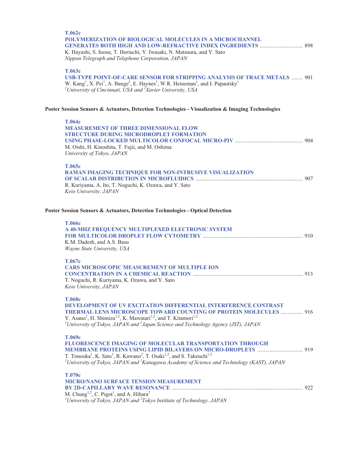| <b>T.062c</b><br>POLYMERIZATION OF BIOLOGICAL MOLECULES IN A MICROCHANNEL<br><b>GENERATES BOTH HIGH AND LOW-REFRACTIVE INDEX INGREDIENTS  898</b><br>K. Hayashi, S. Inoue, T. Horiuchi, Y. Iwasaki, N. Matsuura, and Y. Sato<br>Nippon Telegraph and Telephone Corporation, JAPAN                                                                                                             |  |
|-----------------------------------------------------------------------------------------------------------------------------------------------------------------------------------------------------------------------------------------------------------------------------------------------------------------------------------------------------------------------------------------------|--|
| T.063c<br><b>USB-TYPE POINT-OF-CARE SENSOR FOR STRIPPING ANALYSIS OF TRACE METALS  901</b><br>W. Kang <sup>1</sup> , X. Pei <sup>1</sup> , A. Bange <sup>2</sup> , E. Haynes <sup>1</sup> , W.R. Heineman <sup>1</sup> , and I. Papautsky <sup>1</sup><br><sup>1</sup> University of Cincinnati, USA and ${}^{2}$ Xavier University, USA                                                      |  |
| Poster Session Sensors & Actuators, Detection Technologies - Visualization & Imaging Technologies                                                                                                                                                                                                                                                                                             |  |
| T.064c<br><b>MEASUREMENT OF THREE DIMENSIONAL FLOW</b><br><b>STRUCTURE DURING MICRODROPLET FORMATION</b><br>M. Oishi, H. Kinoshita, T. Fujii, and M. Oshima<br>University of Tokyo, JAPAN                                                                                                                                                                                                     |  |
| T.065c<br>RAMAN IMAGING TECHNIQUE FOR NON-INTRUSIVE VISUALIZATION<br>R. Kuriyama, A. Ito, T. Noguchi, K. Ozawa, and Y. Sato<br>Keio University, JAPAN                                                                                                                                                                                                                                         |  |
| Poster Session Sensors & Actuators, Detection Technologies - Optical Detection                                                                                                                                                                                                                                                                                                                |  |
| <b>T.066c</b>                                                                                                                                                                                                                                                                                                                                                                                 |  |
| A 40-MHZ FREQUENCY MULTIPLEXED ELECTRONIC SYSTEM<br>K.M. Dadesh, and A.S. Basu<br>Wayne State University, USA                                                                                                                                                                                                                                                                                 |  |
| T.067c<br><b>CARS MICROSCOPIC MEASUREMENT OF MULTIPLE ION</b><br>T. Noguchi, R. Kuriyama, K. Ozawa, and Y. Sato                                                                                                                                                                                                                                                                               |  |
| Keio University, JAPAN                                                                                                                                                                                                                                                                                                                                                                        |  |
| <b>T.068c</b><br><b>DEVELOPMENT OF UV EXCITATION DIFFERENTIAL INTERFERENCE CONTRAST</b><br><b>THERMAL LENS MICROSCOPE TOWARD COUNTING OF PROTEIN MOLECULES  916</b><br>Y. Asano <sup>1</sup> , H. Shimizu <sup>1,2</sup> , K. Mawatari <sup>1,2</sup> , and T. Kitamori <sup>1,2</sup><br><sup>1</sup> University of Tokyo, JAPAN and $^{2}$ Japan Science and Technology Agency (JST), JAPAN |  |
| T.069c<br><b>FLUORESCENCE IMAGING OF MOLECULAR TRANSPORTATION THROUGH</b><br>T. Tonooka <sup>1</sup> , K. Sato <sup>1</sup> , R. Kawano <sup>2</sup> , T. Osaki <sup>1,2</sup> , and S. Takeuchi <sup>1,2</sup><br><sup>1</sup> University of Tokyo, JAPAN and <sup>2</sup> Kanagawa Academy of Science and Technology (KAST), JAPAN                                                          |  |
| <b>T.070c</b><br><b>MICRO/NANO SURFACE TENSION MEASUREMENT</b>                                                                                                                                                                                                                                                                                                                                |  |
| M. Chung <sup>1,2</sup> , C. Pigot <sup>1</sup> , and A. Hibara <sup>2</sup>                                                                                                                                                                                                                                                                                                                  |  |

M. Chung<sup>1,2</sup>, C. Pigot<sup>1</sup>, and A. Hibara<sup>2</sup><br><sup>*1*</sup> University of Tokyo, JAPAN and <sup>2</sup> Tokyo Institute of Technology, JAPAN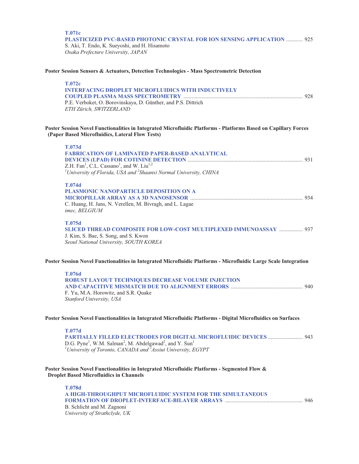## **T.071c PLASTICIZED PVC-BASED PHOTONIC CRYSTAL FOR ION SENSING APPLICATION** ............ 925 S. Aki, T. Endo, K. Sueyoshi, and H. Hisamoto

*Osaka Prefecture University, JAPAN* 

## **Poster Session Sensors & Actuators, Detection Technologies - Mass Spectrometric Detection**

| T.072c                                                        |  |
|---------------------------------------------------------------|--|
| <b>INTERFACING DROPLET MICROFLUIDICS WITH INDUCTIVELY</b>     |  |
|                                                               |  |
| P.E. Verboket, O. Borovinskaya, D. Günther, and P.S. Dittrich |  |
| <i>ETH Zürich. SWITZERLAND</i>                                |  |
|                                                               |  |

# **Poster Session Novel Functionalities in Integrated Microfluidic Platforms - Platforms Based on Capillary Forces (Paper Based Microfluidics, Lateral Flow Tests)**

| <b>T.073d</b><br><b>FABRICATION OF LAMINATED PAPER-BASED ANALYTICAL</b>                                                                        |  |
|------------------------------------------------------------------------------------------------------------------------------------------------|--|
|                                                                                                                                                |  |
| Z.H. Fan <sup>1</sup> , C.L. Cassano <sup>1</sup> , and W. Liu <sup>1,2</sup>                                                                  |  |
| <sup>1</sup> University of Florida, USA and <sup>2</sup> Shaanxi Normal University, CHINA                                                      |  |
| <b>T.074d</b>                                                                                                                                  |  |
| PLASMONIC NANOPARTICLE DEPOSITION ON A                                                                                                         |  |
|                                                                                                                                                |  |
| C. Huang, H. Jans, N. Verellen, M. Bivragh, and L. Lagae<br>imec, BELGIUM                                                                      |  |
| <b>T.075d</b>                                                                                                                                  |  |
| SLICED THREAD COMPOSITE FOR LOW-COST MULTIPLEXED IMMUNOASSAY  937                                                                              |  |
| J. Kim, S. Bae, S. Song, and S. Kwon                                                                                                           |  |
| Seoul National University, SOUTH KOREA                                                                                                         |  |
| Poster Session Novel Functionalities in Integrated Microfluidic Platforms - Microfluidic Large Scale Integration                               |  |
| <b>T.076d</b>                                                                                                                                  |  |
| ROBUST LAYOUT TECHNIQUES DECREASE VOLUME INJECTION                                                                                             |  |
|                                                                                                                                                |  |
| F. Yu, M.A. Horowitz, and S.R. Quake                                                                                                           |  |
| Stanford University, USA                                                                                                                       |  |
| Poster Session Novel Functionalities in Integrated Microfluidic Platforms - Digital Microfluidics on Surfaces                                  |  |
| <b>T.077d</b>                                                                                                                                  |  |
|                                                                                                                                                |  |
| D.G. Pyne <sup>1</sup> , W.M. Salman <sup>2</sup> , M. Abdelgawad <sup>2</sup> , and Y. Sun <sup>1</sup>                                       |  |
| <sup>1</sup> University of Toronto, CANADA and <sup>2</sup> Assiut University, EGYPT                                                           |  |
|                                                                                                                                                |  |
| Poster Session Novel Functionalities in Integrated Microfluidic Platforms - Segmented Flow &<br><b>Droplet Based Microfluidics in Channels</b> |  |

| <b>T.078d</b>                                              |  |
|------------------------------------------------------------|--|
| A HIGH-THROUGHPUT MICROFLUIDIC SYSTEM FOR THE SIMULTANEOUS |  |
|                                                            |  |
| B. Schlicht and M. Zagnoni                                 |  |
| University of Strathclyde, UK                              |  |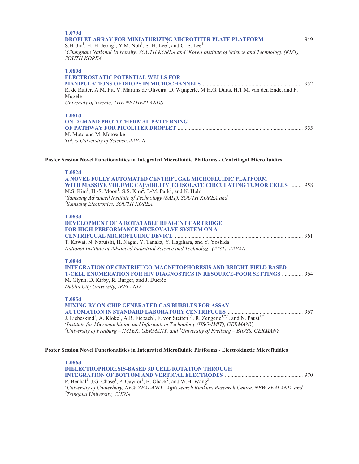# **T.079d DROPLET ARRAY FOR MINIATURIZING MICROTITER PLATE PLATFORM** ........................... 949 S.H. Jin<sup>1</sup>, H.-H. Jeong<sup>1</sup>, Y.M. Noh<sup>1</sup>, S.-H. Lee<sup>2</sup>, and C.-S. Lee<sup>1</sup> <sup>1</sup> Chungnam National University, SOUTH KOREA and <sup>2</sup> Korea Institute of Science and Technology (KIST), *SOUTH KOREA*  **T.080d ELECTROSTATIC POTENTIAL WELLS FOR MANIPULATIONS OF DROPS IN MICROCHANNELS** ........................................................................ 952 R. de Ruiter, A.M. Pit, V. Martins de Oliveira, D. Wijnperlé, M.H.G. Duits, H.T.M. van den Ende, and F. Mugele *University of Twente, THE NETHERLANDS*  **T.081d ON-DEMAND PHOTOTHERMAL PATTERNING OF PATHWAY FOR PICOLITER DROPLET** .......................................................................................... 955 M. Muto and M. Motosuke

#### **Poster Session Novel Functionalities in Integrated Microfluidic Platforms - Centrifugal Microfluidics**

#### **T.082d**

**A NOVEL FULLY AUTOMATED CENTRIFUGAL MICROFLUIDIC PLATFORM WITH MASSIVE VOLUME CAPABILITY TO ISOLATE CIRCULATING TUMOR CELLS** ......... 958 M.S.  $\mathrm{Kim}^1$ , H.-S. Moon<sup>1</sup>, S.S.  $\mathrm{Kim}^2$ , J.-M. Park<sup>1</sup>, and N.  $\mathrm{Huh}^1$ *1 Samsung Advanced Institute of Technology (SAIT), SOUTH KOREA and 2 Samsung Electronics, SOUTH KOREA* 

#### **T.083d**

| <b>DEVELOPMENT OF A ROTATABLE REAGENT CARTRIDGE</b>                            |  |
|--------------------------------------------------------------------------------|--|
| <b>FOR HIGH-PERFORMANCE MICROVALVE SYSTEM ON A</b>                             |  |
|                                                                                |  |
| T. Kawai, N. Naruishi, H. Nagai, Y. Tanaka, Y. Hagihara, and Y. Yoshida        |  |
| National Institute of Advanced Industrial Science and Technology (AIST), JAPAN |  |

#### **T.084d**

**INTEGRATION OF CENTRIFUGO-MAGNETOPHORESIS AND BRIGHT-FIELD BASED T-CELL ENUMERATION FOR HIV DIAGNOSTICS IN RESOURCE-POOR SETTINGS** ............... 964 M. Glynn, D. Kirby, R. Burger, and J. Ducrée

*Dublin City University, IRELAND* 

*Tokyo University of Science, JAPAN* 

# **T.085d**

**MIXING BY ON-CHIP GENERATED GAS BUBBLES FOR ASSAY AUTOMATION IN STANDARD LABORATORY CENTRIFUGES** ...................................................... 967 J. Liebeskind<sup>1</sup>, A. Kloke<sup>1</sup>, A.R. Fiebach<sup>1</sup>, F. von Stetten<sup>1,2</sup>, R. Zengerle<sup>1,2,3</sup>, and N. Paust<sup>1,2</sup>

<sup>1</sup> Institute for Micromachining and Information Technology (HSG-IMIT), GERMANY,<br><sup>2</sup>University of Freibyrg – IMTEK, GERMANY, and <sup>3</sup>University of Freibyrg – BIOSS *University of Freiburg – IMTEK, GERMANY, and <sup>3</sup> University of Freiburg – BIOSS, GERMANY* 

#### **Poster Session Novel Functionalities in Integrated Microfluidic Platforms - Electrokinetic Microfluidics**

**T.086d DIELECTROPHORESIS-BASED 3D CELL ROTATION THROUGH INTEGRATION OF BOTTOM AND VERTICAL ELECTRODES** ........................................................ 970 P. Benhal<sup>1</sup>, J.G. Chase<sup>1</sup>, P. Gaynor<sup>1</sup>, B. Oback<sup>2</sup>, and W.H. Wang<sup>3</sup> <sup>1</sup> University of Canterbury, NEW ZEALAND, <sup>2</sup>AgResearch Ruakura Research Centre, NEW ZEALAND, and<br><sup>3</sup>Teinghua University, CHIMA *Tsinghua University, CHINA*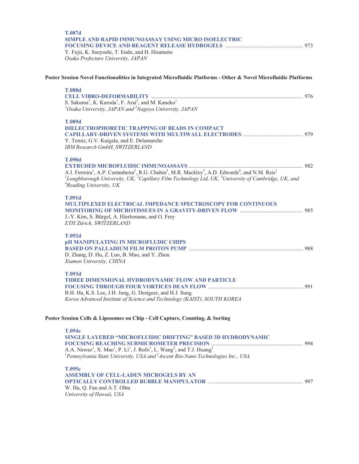| <b>T.087d</b><br><b>SIMPLE AND RAPID IMMUNOASSAY USING MICRO ISOELECTRIC</b><br>Y. Fujii, K. Sueyoshi, T. Endo, and H. Hisamoto<br>Osaka Prefecture University, JAPAN          |  |
|--------------------------------------------------------------------------------------------------------------------------------------------------------------------------------|--|
| Poster Session Novel Functionalities in Integrated Microfluidic Platforms - Other & Novel Microfluidic Platforms                                                               |  |
| <b>T.088d</b>                                                                                                                                                                  |  |
| S. Sakuma <sup>1</sup> , K. Kuroda <sup>1</sup> , F. Arai <sup>2</sup> , and M. Kaneko <sup>1</sup>                                                                            |  |
| $^{1}$ Osaka University, JAPAN and $^{2}$ Nagoya University, JAPAN                                                                                                             |  |
| <b>T.089d</b>                                                                                                                                                                  |  |
| DIELECTROPHORETIC TRAPPING OF BEADS IN COMPACT                                                                                                                                 |  |
| Y. Temiz, G.V. Kaigala, and E. Delamarche                                                                                                                                      |  |
| IBM Research GmbH, SWITZERLAND                                                                                                                                                 |  |
| <b>T.090d</b>                                                                                                                                                                  |  |
| A.I. Ferreira <sup>1</sup> , A.P. Castanheira <sup>2</sup> , R.G. Chahin <sup>3</sup> , M.R. Mackley <sup>3</sup> , A.D. Edwards <sup>4</sup> , and N.M. Reis <sup>1</sup>     |  |
| <sup>1</sup> Loughborough University, UK, <sup>2</sup> Capillary Film Technology Ltd, UK, <sup>3</sup> University of Cambridge, UK, and<br><sup>4</sup> Reading University, UK |  |
| <b>T.091d</b>                                                                                                                                                                  |  |
| <b>MULTIPLEXED ELECTRICAL IMPEDANCE SPECTROSCOPY FOR CONTINUOUS</b>                                                                                                            |  |
| J.-Y. Kim, S. Bürgel, A. Hierlemann, and O. Frey                                                                                                                               |  |
| ETH Zürich, SWITZERLAND                                                                                                                                                        |  |
| <b>T.092d</b>                                                                                                                                                                  |  |
| <b>pH MANIPULATING IN MICROFLUDIC CHIPS</b>                                                                                                                                    |  |
| D. Zhang, D. Hu, Z. Luo, B. Mao, and Y. Zhou                                                                                                                                   |  |
| Xiamen University, CHINA                                                                                                                                                       |  |
| T.093d                                                                                                                                                                         |  |
| <b>THREE DIMENSIONAL HYDRODYNAMIC FLOW AND PARTICLE</b>                                                                                                                        |  |
| B.H. Ha, K.S. Lee, J.H. Jung, G. Destgeer, and H.J. Sung                                                                                                                       |  |
| Korea Advanced Institute of Science and Technology (KAIST), SOUTH KOREA                                                                                                        |  |
| Poster Session Cells & Liposomes on Chip - Cell Capture, Counting, & Sorting                                                                                                   |  |
| T.094e                                                                                                                                                                         |  |
| SINGLE LAYERED "MICROFLUIDIC DRIFTING" BASED 3D HYDRODYNAMIC                                                                                                                   |  |
| A.A. Nawaz <sup>1</sup> , X. Mao <sup>1</sup> , P. Li <sup>1</sup> , J. Rufo <sup>1</sup> , L. Wang <sup>2</sup> , and T.J. Huang <sup>1</sup>                                 |  |
| <sup>1</sup> Pennsylvania State University, USA and $^{2}$ Ascent Bio-Nano Technologies Inc., USA                                                                              |  |
| T.095e                                                                                                                                                                         |  |
| <b>ASSEMBLY OF CELL-LADEN MICROGELS BY AN</b>                                                                                                                                  |  |
|                                                                                                                                                                                |  |

W. Hu, Q. Fan and A.T. Ohta *University of Hawaii, USA*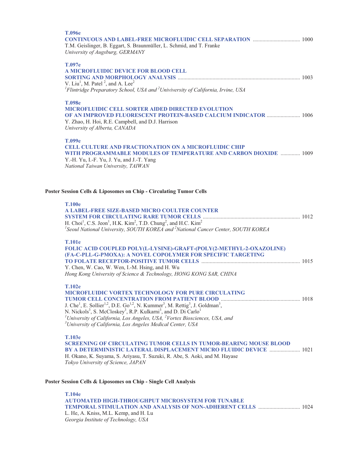| T.104e                                                                                                                                                                                                                                                                                                                                                                                                                                                                                                                      |  |
|-----------------------------------------------------------------------------------------------------------------------------------------------------------------------------------------------------------------------------------------------------------------------------------------------------------------------------------------------------------------------------------------------------------------------------------------------------------------------------------------------------------------------------|--|
| Poster Session Cells & Liposomes on Chip - Single Cell Analysis                                                                                                                                                                                                                                                                                                                                                                                                                                                             |  |
| T.103e<br><b>SCREENING OF CIRCULATING TUMOR CELLS IN TUMOR-BEARING MOUSE BLOOD</b><br>BY A DETERMINISTIC LATERAL DISPLACEMENT MICRO FLUIDIC DEVICE  1021<br>H. Okano, K. Suyama, S. Ariyasu, T. Suzuki, R. Abe, S. Aoki, and M. Hayase<br>Tokyo University of Science, JAPAN                                                                                                                                                                                                                                                |  |
| <b>T.102e</b><br>MICROFLUIDIC VORTEX TECHNOLOGY FOR PURE CIRCULATING<br>J. Che <sup>1</sup> , E. Sollier <sup>1,2</sup> , D.E. Go <sup>1,2</sup> , N. Kummer <sup>3</sup> , M. Rettig <sup>3</sup> , J. Goldman <sup>3</sup> ,<br>N. Nickols <sup>3</sup> , S. McCloskey <sup>3</sup> , R.P. Kulkarni <sup>3</sup> , and D. Di Carlo <sup>1</sup><br><sup>1</sup> University of California, Los Angeles, USA, $^{2}$ Vortex Biosciences, USA, and<br><sup>3</sup> University of California, Los Angeles Medical Center, USA |  |
| <b>T.101e</b><br>FOLIC ACID COUPLED POLY(L-LYSINE)-GRAFT-(POLY(2-METHYL-2-OXAZOLINE)<br>(FA-C-PLL-G-PMOXA): A NOVEL COPOLYMER FOR SPECIFIC TARGETING<br>Y. Chen, W. Cao, W. Wen, I.-M. Hsing, and H. Wu<br>Hong Kong University of Science & Technology, HONG KONG SAR, CHINA                                                                                                                                                                                                                                               |  |
| Poster Session Cells & Liposomes on Chip - Circulating Tumor Cells<br><b>T.100e</b><br>A LABEL-FREE SIZE-BASED MICRO COULTER COUNTER<br>H. Choi <sup>1</sup> , C.S. Jeon <sup>1</sup> , H.K. Kim <sup>2</sup> , T.D. Chung <sup>2</sup> , and H.C. Kim <sup>2</sup><br><sup>1</sup> Seoul National University, SOUTH KOREA and <sup>2</sup> National Cancer Center, SOUTH KOREA                                                                                                                                             |  |
| T.099e<br><b>CELL CULTURE AND FRACTIONATION ON A MICROFLUIDIC CHIP</b><br>WITH PROGRAMMABLE MODULES OF TEMPERATURE AND CARBON DIOXIDE  1009<br>Y.-H. Yu, I.-F. Yu, J. Yu, and J.-T. Yang<br>National Taiwan University, TAIWAN                                                                                                                                                                                                                                                                                              |  |
| <b>T.098e</b><br><b>MICROFLUIDIC CELL SORTER AIDED DIRECTED EVOLUTION</b><br><b>OF AN IMPROVED FLUORESCENT PROTEIN-BASED CALCIUM INDICATOR  1006</b><br>Y. Zhao, H. Hoi, R.E. Campbell, and D.J. Harrison<br>University of Alberta, CANADA                                                                                                                                                                                                                                                                                  |  |
| T.097e<br>A MICROFLUIDIC DEVICE FOR BLOOD CELL<br>V. Liu <sup>1</sup> , M. Patel <sup>2</sup> , and A. Lee <sup>2</sup><br>${}^{1}$ Flintridge Preparatory School, USA and ${}^{2}$ Univiversity of California, Irvine, USA                                                                                                                                                                                                                                                                                                 |  |
| <b>T.096e</b><br><b>CONTINUOUS AND LABEL-FREE MICROFLUIDIC CELL SEPARATION  1000</b><br>T.M. Geislinger, B. Eggart, S. Braunmüller, L. Schmid, and T. Franke<br>University of Augsburg, GERMANY                                                                                                                                                                                                                                                                                                                             |  |

**AUTOMATED HIGH-THROUGHPUT MICROSYSTEM FOR TUNABLE TEMPORAL STIMULATION AND ANALYSIS OF NON-ADHERENT CELLS** .............................. 1024 L. He, A. Kniss, M.L. Kemp, and H. Lu *Georgia Institute of Technology, USA*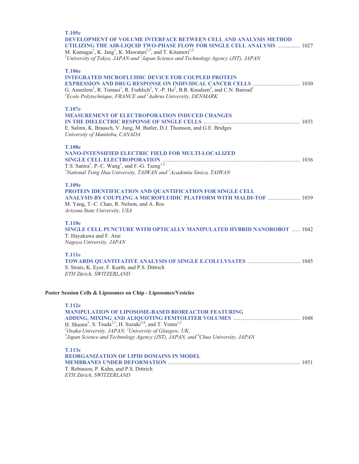| T.105e<br><b>DEVELOPMENT OF VOLUME INTERFACE BETWEEN CELL AND ANALYSIS METHOD</b><br>UTILIZING THE AIR-LIQUID TWO-PHASE FLOW FOR SINGLE CELL ANALYSIS  1027<br>M. Kumagai <sup>1</sup> , K. Jang <sup>1</sup> , K. Mawatari <sup>1,2</sup> , and T. Kitamori <sup>1,2</sup><br><sup>1</sup> University of Tokyo, JAPAN and $^{2}$ Japan Science and Technology Agency (JST), JAPAN |
|------------------------------------------------------------------------------------------------------------------------------------------------------------------------------------------------------------------------------------------------------------------------------------------------------------------------------------------------------------------------------------|
| <b>T.106e</b><br><b>INTEGRATED MICROFLUIDIC DEVICE FOR COUPLED PROTEIN</b><br>G. Amselem <sup>1</sup> , R. Tomasi <sup>1</sup> , R. Frøhlich <sup>2</sup> , Y.-P. Ho <sup>2</sup> , B.R. Knudsen <sup>2</sup> , and C.N. Baroud <sup>1</sup><br>${}^{1}$ Ecole Polytechnique, FRANCE and ${}^{2}$ Aahrus University, DENMARK                                                       |
| T.107e<br><b>MEASUREMENT OF ELECTROPORATION INDUCED CHANGES</b><br>E. Salimi, K. Braasch, V. Jung, M. Butler, D.J. Thomson, and G.E. Bridges<br>University of Manitoba, CANADA                                                                                                                                                                                                     |
| <b>T.108e</b><br><b>NANO-INTENSIFIED ELECTRIC FIELD FOR MULTI-LOCALIZED</b><br>T.S. Santra <sup>1</sup> , P.-C. Wang <sup>1</sup> , and F.-G. Tseng <sup>1,2</sup><br><sup>1</sup> National Tsing Hua University, TAIWAN and <sup>2</sup> Academia Sinica, TAIWAN                                                                                                                  |
| T.109e<br>PROTEIN IDENTIFICATION AND QUANTIFICATION FOR SINGLE CELL<br>ANALYSIS BY COUPLING A MICROFLUIDIC PLATFORM WITH MALDI-TOF  1039<br>M. Yang, T.-C. Chao, R. Nelson, and A. Ros<br>Arizona State University, USA                                                                                                                                                            |
| <b>T.110e</b><br>SINGLE CELL PUNCTURE WITH OPTICALLY MANIPULATED HYBRID NANOROBOT  1042<br>T. Hayakawa and F. Arai<br>Nagoya University, JAPAN                                                                                                                                                                                                                                     |
| <b>T.111e</b><br>S. Stratz, K. Eyer, F. Kurth, and P.S. Dittrich<br>ETH Zürich, SWITZERLAND                                                                                                                                                                                                                                                                                        |
| Poster Session Cells & Liposomes on Chip - Liposomes/Vesicles                                                                                                                                                                                                                                                                                                                      |
| <b>T.112e</b><br><b>MANIPULATION OF LIPOSOME-BASED BIOREACTOR FEATURING</b>                                                                                                                                                                                                                                                                                                        |

H. Shiomi<sup>1</sup>, S. Tsuda<sup>2,3</sup>, H. Suzuki<sup>3,4</sup>, and T. Yomo<sup>1,3</sup><br><sup>1</sup>Osaka University, JAPAN, <sup>2</sup>University of Glasgow, UK,<br><sup>3</sup>Japan Science and Technology Agency (JST), JAPAN, and <sup>4</sup>Chuo University, JAPAN

| T.113e                                          |  |
|-------------------------------------------------|--|
| <b>REORGANIZATION OF LIPID DOMAINS IN MODEL</b> |  |
|                                                 |  |
| T. Robinson, P. Kuhn, and P.S. Dittrich         |  |
| ETH Zürich, SWITZERLAND                         |  |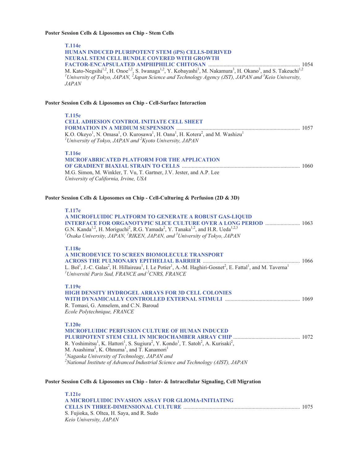| <b>T.114e</b>                                                                                                                                                                                                                                                                                                                                                   |  |
|-----------------------------------------------------------------------------------------------------------------------------------------------------------------------------------------------------------------------------------------------------------------------------------------------------------------------------------------------------------------|--|
| HUMAN INDUCED PLURIPOTENT STEM (iPS) CELLS-DERIVED<br><b>NEURAL STEM CELL BUNDLE COVERED WITH GROWTH</b>                                                                                                                                                                                                                                                        |  |
|                                                                                                                                                                                                                                                                                                                                                                 |  |
| M. Kato-Negsihi <sup>1,2</sup> , H. Onoe <sup>1,2</sup> , S. Iwanaga <sup>1,2</sup> , Y. Kobayashi <sup>3</sup> , M. Nakamura <sup>3</sup> , H. Okano <sup>3</sup> , and S. Takeuchi <sup>1,2</sup><br><sup>1</sup> University of Tokyo, JAPAN, <sup>2</sup> Japan Science and Technology Agency (JST), JAPAN and <sup>3</sup> Keio University,<br><b>JAPAN</b> |  |
|                                                                                                                                                                                                                                                                                                                                                                 |  |
| Poster Session Cells & Liposomes on Chip - Cell-Surface Interaction                                                                                                                                                                                                                                                                                             |  |
| T.115e                                                                                                                                                                                                                                                                                                                                                          |  |
| <b>CELL ADHESION CONTROL INITIATE CELL SHEET</b>                                                                                                                                                                                                                                                                                                                |  |
| K.O. Okeyo <sup>1</sup> , N. Omasa <sup>1</sup> , O. Kurosawa <sup>1</sup> , H. Oana <sup>1</sup> , H. Kotera <sup>2</sup> , and M. Washizu <sup>1</sup>                                                                                                                                                                                                        |  |
| <sup>1</sup> University of Tokyo, JAPAN and ${}^{2}$ Kyoto University, JAPAN                                                                                                                                                                                                                                                                                    |  |
| <b>T.116e</b>                                                                                                                                                                                                                                                                                                                                                   |  |
| MICROFABRICATED PLATFORM FOR THE APPLICATION                                                                                                                                                                                                                                                                                                                    |  |
| M.G. Simon, M. Winkler, T. Vu, T. Gartner, J.V. Jester, and A.P. Lee                                                                                                                                                                                                                                                                                            |  |
| University of California, Irvine, USA                                                                                                                                                                                                                                                                                                                           |  |
| Poster Session Cells & Liposomes on Chip - Cell-Culturing & Perfusion (2D & 3D)                                                                                                                                                                                                                                                                                 |  |
|                                                                                                                                                                                                                                                                                                                                                                 |  |
| T.117e                                                                                                                                                                                                                                                                                                                                                          |  |
| A MICROFLUIDIC PLATFORM TO GENERATE A ROBUST GAS-LIQUID                                                                                                                                                                                                                                                                                                         |  |
| <b>INTERFACE FOR ORGANOTYPIC SLICE CULTURE OVER A LONG PERIOD  1063</b><br>G.N. Kanda <sup>1,2</sup> , H. Moriguchi <sup>2</sup> , R.G. Yamada <sup>2</sup> , Y. Tanaka <sup>1,2</sup> , and H.R. Ueda <sup>1,2,3</sup>                                                                                                                                         |  |
| ${}^{1}$ Osaka University, JAPAN, ${}^{2}$ RIKEN, JAPAN, and ${}^{3}$ University of Tokyo, JAPAN                                                                                                                                                                                                                                                                |  |
|                                                                                                                                                                                                                                                                                                                                                                 |  |
| <b>T.118e</b><br>A MICRODEVICE TO SCREEN BIOMOLECULE TRANSPORT                                                                                                                                                                                                                                                                                                  |  |
|                                                                                                                                                                                                                                                                                                                                                                 |  |
| L. Bol <sup>1</sup> , J.-C. Galas <sup>2</sup> , H. Hillaireau <sup>1</sup> , I. Le Potier <sup>1</sup> , A.-M. Haghiri-Gosnet <sup>2</sup> , E. Fattal <sup>1</sup> , and M. Taverna <sup>1</sup>                                                                                                                                                              |  |
| <sup>1</sup> Université Paris Sud, FRANCE and <sup>2</sup> CNRS, FRANCE                                                                                                                                                                                                                                                                                         |  |
| <b>T.119e</b>                                                                                                                                                                                                                                                                                                                                                   |  |
| HIGH DENSITY HYDROGEL ARRAYS FOR 3D CELL COLONIES                                                                                                                                                                                                                                                                                                               |  |
| R. Tomasi, G. Amselem, and C.N. Baroud                                                                                                                                                                                                                                                                                                                          |  |
| Ecole Polytechnique, FRANCE                                                                                                                                                                                                                                                                                                                                     |  |
| <b>T.120e</b>                                                                                                                                                                                                                                                                                                                                                   |  |
| MICROFLUIDIC PERFUSION CULTURE OF HUMAN INDUCED                                                                                                                                                                                                                                                                                                                 |  |
|                                                                                                                                                                                                                                                                                                                                                                 |  |
| R. Yoshimitsu <sup>1</sup> , K. Hattori <sup>1</sup> , S. Sugiura <sup>2</sup> , Y. Kondo <sup>1</sup> , T. Satoh <sup>2</sup> , A. Kurisaki <sup>2</sup> ,                                                                                                                                                                                                     |  |
| M. Asashima <sup>2</sup> , K. Ohnuma <sup>1</sup> , and T. Kanamori <sup>1</sup><br><sup>1</sup> Nagaoka University of Technology, JAPAN and                                                                                                                                                                                                                    |  |
| <sup>2</sup> National Institute of Advanced Industrial Science and Technology (AIST), JAPAN                                                                                                                                                                                                                                                                     |  |
|                                                                                                                                                                                                                                                                                                                                                                 |  |
| Poster Session Cells & Liposomes on Chip - Inter- & Intracellular Signaling, Cell Migration                                                                                                                                                                                                                                                                     |  |
| T121e                                                                                                                                                                                                                                                                                                                                                           |  |

| $\blacksquare$ . $\blacksquare$                     |  |
|-----------------------------------------------------|--|
| A MICROFLUIDIC INVASION ASSAY FOR GLIOMA-INITIATING |  |
|                                                     |  |
| S. Fujioka, S. Oltea, H. Saya, and R. Sudo          |  |
| Keio University, JAPAN                              |  |
|                                                     |  |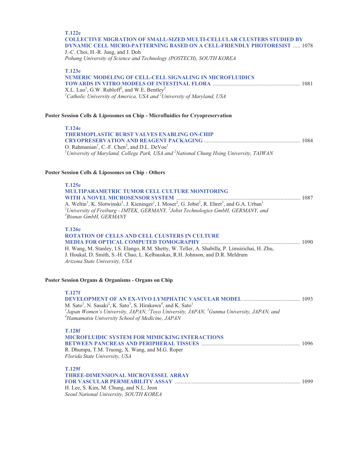| <b>T.122e</b><br><b>COLLECTIVE MIGRATION OF SMALL-SIZED MULTI-CELLULAR CLUSTERS STUDIED BY</b><br><b>DYNAMIC CELL MICRO-PATTERNING BASED ON A CELL-FRIENDLY PHOTORESIST  1078</b><br>J.-C. Choi, H.-R. Jung, and J. Doh<br>Pohang University of Science and Technology (POSTECH), SOUTH KOREA                                    |  |
|----------------------------------------------------------------------------------------------------------------------------------------------------------------------------------------------------------------------------------------------------------------------------------------------------------------------------------|--|
| T.123e<br><b>NUMERIC MODELING OF CELL-CELL SIGNALING IN MICROFLUIDICS</b><br>X.L. Luo <sup>1</sup> , G.W. Rubloff <sup>2</sup> , and W.E. Bentley <sup>2</sup><br><sup>1</sup> Catholic University of America, USA and <sup>2</sup> University of Maryland, USA                                                                  |  |
| Poster Session Cells & Liposomes on Chip - Microfluidics for Cryopreservation                                                                                                                                                                                                                                                    |  |
|                                                                                                                                                                                                                                                                                                                                  |  |
| T.124e<br><b>THERMOPLASTIC BURST VALVES ENABLING ON-CHIP</b>                                                                                                                                                                                                                                                                     |  |
| O. Rahmanian <sup>1</sup> , C.-F. Chen <sup>2</sup> , and D.L. DeVoe <sup>1</sup><br><sup>1</sup> University of Maryland, College Park, USA and <sup>2</sup> National Chung Hsing University, TAIWAN                                                                                                                             |  |
| Poster Session Cells & Liposomes on Chip - Others                                                                                                                                                                                                                                                                                |  |
| T.125e<br>MULTIPARAMETRIC TUMOR CELL CULTURE MONITORING                                                                                                                                                                                                                                                                          |  |
| A. Weltin <sup>1</sup> , K. Slotwinski <sup>1</sup> , J. Kieninger <sup>1</sup> , I. Moser <sup>2</sup> , G. Jobst <sup>2</sup> , R. Ehret <sup>3</sup> , and G.A. Urban <sup>1</sup><br><sup>1</sup> University of Freiburg - IMTEK, GERMANY, $^{2}$ Jobst Technologies GmbH, GERMANY, and<br><sup>3</sup> Bionas GmbH, GERMANY |  |
| <b>T.126e</b><br><b>ROTATION OF CELLS AND CELL CLUSTERS IN CULTURE</b>                                                                                                                                                                                                                                                           |  |
| H. Wang, M. Stanley, I.S. Elango, R.M. Shetty, W. Teller, A. Shabilla, P. Limsirichai, H. Zhu,<br>J. Houkal, D. Smith, S.-H. Chao, L. Kelbauskas, R.H. Johnson, and D.R. Meldrum<br>Arizona State University, USA                                                                                                                |  |
| Poster Session Organs & Organisms - Organs on Chip                                                                                                                                                                                                                                                                               |  |
| <b>T.127f</b>                                                                                                                                                                                                                                                                                                                    |  |
| M. Sato <sup>1</sup> , N. Sasaki <sup>2</sup> , K. Sato <sup>3</sup> , S. Hirakawa <sup>4</sup> , and K. Sato <sup>1</sup><br>${}^{1}$ Japan Women's University, JAPAN, ${}^{2}$ Toyo University, JAPAN, ${}^{3}$ Gunma University, JAPAN, and<br><sup>4</sup> Hamamatsu University School of Medicine, JAPAN                    |  |
| <b>T.128f</b>                                                                                                                                                                                                                                                                                                                    |  |
| MICROFLUIDIC SYSTEM FOR MIMICKING INTERACTIONS                                                                                                                                                                                                                                                                                   |  |
| R. Dhumpa, T.M. Truong, X. Wang, and M.G. Roper<br>Florida State University, USA                                                                                                                                                                                                                                                 |  |
| <b>T.129f</b>                                                                                                                                                                                                                                                                                                                    |  |
| THREE-DIMENSIONAL MICROVESSEL ARRAY                                                                                                                                                                                                                                                                                              |  |
| H. Lee, S. Kim, M. Chung, and N.L. Jeon<br>Seoul National University, SOUTH KOREA                                                                                                                                                                                                                                                |  |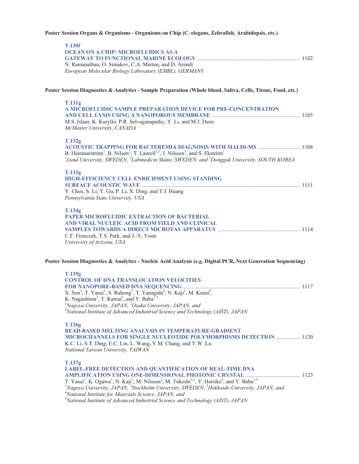# **Poster Session Organs & Organisms - Organisms on Chip (C. elegans, Zebrafish, Arabidopsis, etc.)**

| <b>T.130f</b><br><b>OCEAN ON A CHIP: MICROFLUIDICS AS A</b>                                                                                                                                                                                                                                                                                                                                                                                                                                                                                          |  |
|------------------------------------------------------------------------------------------------------------------------------------------------------------------------------------------------------------------------------------------------------------------------------------------------------------------------------------------------------------------------------------------------------------------------------------------------------------------------------------------------------------------------------------------------------|--|
| N. Ramanathan, O. Simakov, C.A. Merten, and D. Arendt<br>European Molecular Biology Laboratory (EMBL), GERMANY                                                                                                                                                                                                                                                                                                                                                                                                                                       |  |
| Poster Session Diagnostics & Analytics - Sample Preparation (Whole blood, Saliva, Cells, Tissue, Food, etc.)                                                                                                                                                                                                                                                                                                                                                                                                                                         |  |
| <b>T.131g</b><br>A MICROFLUIDIC SAMPLE PREPARATION DEVICE FOR PRE-CONCENTRATION<br>M.S. Islam, K. Kuryllo, P.R. Selvaganapathy, Y. Li, and M.J. Deen<br>McMaster University, CANADA                                                                                                                                                                                                                                                                                                                                                                  |  |
| T.132g<br>ACOUSTIC TRAPPING FOR BACTEREMIA DIAGNOSIS WITH MALDI-MS  1108<br>B. Hammarström <sup>1</sup> , B. Nilson <sup>2</sup> , T. Laurell <sup>1,3</sup> , J. Nilsson <sup>1</sup> , and S. Ekström <sup>1</sup><br><sup>1</sup> Lund University, SWEDEN, <sup>2</sup> Labmedicin Skåne, SWEDEN, and <sup>3</sup> Dongguk University, SOUTH KOREA                                                                                                                                                                                                |  |
| T.133g<br>HIGH-EFFICIENCY CELL ENRICHMENT USING STANDING<br>Y. Chen, S. Li, Y. Gu, P. Li, X. Ding, and T.J. Huang<br>Pennsylvania State University, USA                                                                                                                                                                                                                                                                                                                                                                                              |  |
| T.134g<br>PAPER MICROFLUIDIC EXTRACTION OF BACTERIAL<br>AND VIRAL NUCLEIC ACID FROM FIELD AND CLINICAL<br>C.F. Fronczek, T.S. Park, and J.-Y. Yoon<br>University of Arizona, USA                                                                                                                                                                                                                                                                                                                                                                     |  |
| Poster Session Diagnostics & Analytics - Nucleic Acid Analysis (e.g. Digital PCR, Next Generation Sequencing)                                                                                                                                                                                                                                                                                                                                                                                                                                        |  |
| T.135g<br><b>CONTROL OF DNA TRANSLOCATION VELOCITIES</b><br>X. Sun <sup>1</sup> , T. Yasui <sup>1</sup> , S. Rahong <sup>2</sup> , T. Yanagida <sup>2</sup> , N. Kaji <sup>1</sup> , M. Kanai <sup>2</sup> ,<br>K. Nagashima <sup>2</sup> , T. Kawai <sup>2</sup> , and Y. Baba <sup>1,3</sup><br><sup>1</sup> Nagoya University, JAPAN, <sup>2</sup> Osaka University, JAPAN, and<br>$3$ National Institute of Advanced Industrial Science and Technology (AIST), JAPAN                                                                             |  |
| T.136g<br><b>BEAD-BASED MELTING ANALYSIS IN TEMPERATURE-GRADIENT</b><br><b>MICROCHANNELS FOR SINGLE NUCLEOTIDE POLYMORPHISMS DETECTION  1120</b><br>K.C. Li, S.T. Ding, E.C. Lin, L. Wang, Y.M. Chang, and Y.W. Lu<br>National Taiwan University, TAIWAN                                                                                                                                                                                                                                                                                             |  |
| T.137g<br>LABEL-FREE DETECTION AND QUANTIFICATION OF REAL-TIME DNA<br>T. Yasui <sup>1</sup> , K. Ogawa <sup>1</sup> , N. Kaji <sup>1</sup> , M. Nilsson <sup>2</sup> , M. Tokeshi <sup>1,3</sup> , Y. Horiike <sup>4</sup> , and Y. Baba <sup>1,5</sup><br><sup>1</sup> Nagoya University, JAPAN, <sup>2</sup> Stockholm University, SWEDEN, <sup>3</sup> Hokkaido University, JAPAN, and<br><sup>4</sup> National Institute for Materials Science, JAPAN, and<br>$5$ National Institute of Advanced Industrial Science and Technology (AIST), JAPAN |  |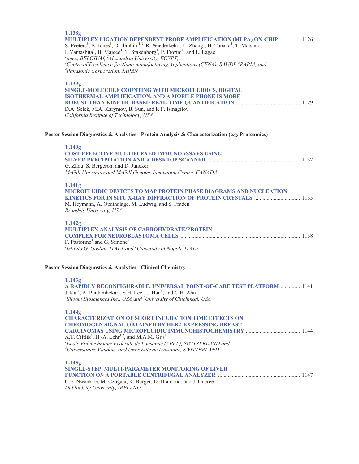| T.138g<br><b>MULTIPLEX LIGATION-DEPENDENT PROBE AMPLIFICATION (MLPA) ON-CHIP  1126</b><br>S. Peeters <sup>1</sup> , B. Jones <sup>1</sup> , O. Ibrahim <sup>1,3</sup> , R. Wiederkehr <sup>1</sup> , L. Zhang <sup>1</sup> , H. Tanaka <sup>4</sup> , T. Matsuno <sup>4</sup> ,<br>I. Yamashita <sup>4</sup> , B. Majeed <sup>1</sup> , T. Stakenborg <sup>1</sup> , P. Fiorini <sup>1</sup> , and L. Lagae <sup>1</sup><br>$\mu^I$ imec, BELGIUM, $\mu^2$ Alexandria University, EGYPT,<br>${}^{3}$ Centre of Excellence for Nano-manufacturing Applications (CENA), SAUDI ARABIA, and<br><sup>4</sup> Panasonic Corporation, JAPAN |  |
|--------------------------------------------------------------------------------------------------------------------------------------------------------------------------------------------------------------------------------------------------------------------------------------------------------------------------------------------------------------------------------------------------------------------------------------------------------------------------------------------------------------------------------------------------------------------------------------------------------------------------------------|--|
| T.139g<br>SINGLE-MOLECULE COUNTING WITH MICROFLUIDICS, DIGITAL<br>ISOTHERMAL AMPLIFICATION, AND A MOBILE PHONE IS MORE<br>D.A. Selck, M.A. Karymov, B. Sun, and R.F. Ismagilov<br>California Institute of Technology, USA                                                                                                                                                                                                                                                                                                                                                                                                            |  |
| Poster Session Diagnostics & Analytics - Protein Analysis & Characterization (e.g. Proteomics)                                                                                                                                                                                                                                                                                                                                                                                                                                                                                                                                       |  |
| T.140g<br><b>COST-EFFECTIVE MULTIPLEXED IMMUNOASSAYS USING</b><br>G. Zhou, S. Bergeron, and D. Juncker<br>McGill University and McGill Genome Innovation Centre, CANADA                                                                                                                                                                                                                                                                                                                                                                                                                                                              |  |
| T.141g<br><b>MICROFLUIDIC DEVICES TO MAP PROTEIN PHASE DIAGRAMS AND NUCLEATION</b><br>M. Heymann, A. Opathalage, M. Ludwig, and S. Fraden<br>Brandeis University, USA                                                                                                                                                                                                                                                                                                                                                                                                                                                                |  |
| T.142g<br>MULTIPLEX ANALYSIS OF CARBOHYDRATE/PROTEIN<br>F. Pastorino <sup>1</sup> and G. Simone <sup>2</sup><br><sup>1</sup> Istituto G. Gaslini, ITALY and <sup>2</sup> University of Napoli, ITALY                                                                                                                                                                                                                                                                                                                                                                                                                                 |  |
| Poster Session Diagnostics & Analytics - Clinical Chemistry                                                                                                                                                                                                                                                                                                                                                                                                                                                                                                                                                                          |  |
| T.143g<br>A RAPIDLY RECONFIGURABLE, UNIVERSAL POINT-OF-CARE TEST PLATFORM  1141<br>J. Kai <sup>1</sup> , A. Puntambekar <sup>1</sup> , S.H. Lee <sup>1</sup> , J. Han <sup>1</sup> , and C.H. Ahn <sup>1,2</sup><br>${}^{1}$ Siloam Biosciences Inc., USA and ${}^{2}$ University of Cincinnati, USA                                                                                                                                                                                                                                                                                                                                 |  |
| T.144g<br><b>CHARACTERIZATION OF SHORT INCUBATION TIME EFFECTS ON</b><br><b>CHROMOGEN SIGNAL OBTAINED BY HER2-EXPRESSING BREAST</b><br>A.T. Ciftlik <sup>1</sup> , H.-A. Lehr <sup>1,2</sup> , and M.A.M. Gijs <sup>1</sup><br><sup>1</sup> École Polytechnique Fédérale de Lausanne (EPFL), SWITZERLAND and<br>$^{2}$ Universitaire Vaudois, and Universite de Lausanne, SWITZERLAND                                                                                                                                                                                                                                                |  |
| T.145g<br>SINGLE-STEP, MULTI-PARAMETER MONITORING OF LIVER<br>C.E. Nwankire, M. Czugala, R. Burger, D. Diamond, and J. Ducrée<br>Dublin City University, IRELAND                                                                                                                                                                                                                                                                                                                                                                                                                                                                     |  |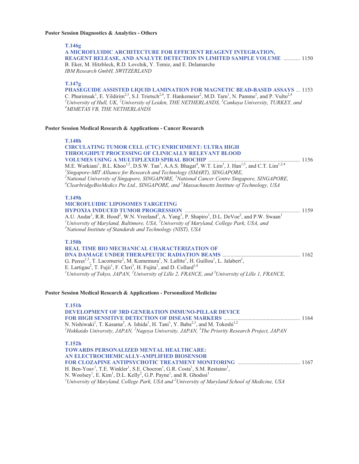# **Poster Session Diagnostics & Analytics - Others**

**T.146g** 

| 1.14 <sub>0</sub> g<br>A MICROFLUIDIC ARCHITECTURE FOR EFFICIENT REAGENT INTEGRATION,<br>REAGENT RELEASE, AND ANALYTE DETECTION IN LIMITED SAMPLE VOLUME  1150<br>B. Eker, M. Hitzbleck, R.D. Lovchik, Y. Temiz, and E. Delamarche<br>IBM Research GmbH, SWITZERLAND                                                                                                                                                                                                                                                                                                                                                                                      |  |
|-----------------------------------------------------------------------------------------------------------------------------------------------------------------------------------------------------------------------------------------------------------------------------------------------------------------------------------------------------------------------------------------------------------------------------------------------------------------------------------------------------------------------------------------------------------------------------------------------------------------------------------------------------------|--|
| T.147g<br>PHASEGUIDE ASSISTED LIQUID LAMINATION FOR MAGNETIC BEAD-BASED ASSAYS  1153<br>C. Phurimsak <sup>1</sup> , E. Yildirim <sup>2,3</sup> , S.J. Trietsch <sup>2,4</sup> , T. Hankemeier <sup>2</sup> , M.D. Tarn <sup>1</sup> , N. Pamme <sup>1</sup> , and P. Vulto <sup>2,4</sup><br>$^l$ University of Hull, UK, $^2$ University of Leiden, THE NETHERLANDS, $^3$ Cankaya University, TURKEY, and<br><sup>4</sup> MIMETAS VB, THE NETHERLANDS                                                                                                                                                                                                    |  |
| Poster Session Medical Research & Applications - Cancer Research                                                                                                                                                                                                                                                                                                                                                                                                                                                                                                                                                                                          |  |
| <b>T.148h</b><br>CIRCULATING TUMOR CELL (CTC) ENRICHMENT: ULTRA HIGH<br><b>THROUGHPUT PROCESSING OF CLINICALLY RELEVANT BLOOD</b><br>M.E. Warkiani <sup>1</sup> , B.L. Khoo <sup>1,2</sup> , D.S.W. Tan <sup>3</sup> , A.A.S. Bhagat <sup>4</sup> , W.T. Lim <sup>3</sup> , J. Han <sup>1,5</sup> , and C.T. Lim <sup>1,2,4</sup><br><sup>1</sup> Singapore-MIT Alliance for Research and Technology (SMART), SINGAPORE,<br><sup>2</sup> National University of Singapore, SINGAPORE, <sup>3</sup> National Cancer Centre Singapore, SINGAPORE,<br>$^{4}$ ClearbridgeBioMedics Pte Ltd., SINGAPORE, and $^{5}$ Massachusetts Institute of Technology, USA |  |
| <b>T.149h</b><br><b>MICROFLUIDIC LIPOSOMES TARGETING</b><br>A.U. Andar <sup>1</sup> , R.R. Hood <sup>2</sup> , W.N. Vreeland <sup>3</sup> , A. Yang <sup>1</sup> , P. Shapiro <sup>1</sup> , D.L. DeVoe <sup>2</sup> , and P.W. Swaan <sup>1</sup><br><sup>1</sup> University of Maryland, Baltimore, USA, $^2$ University of Maryland, College Park, USA, and<br><sup>3</sup> National Institute of Standards and Technology (NIST), USA                                                                                                                                                                                                                 |  |
| <b>T.150h</b><br><b>REAL TIME BIO MECHANICAL CHARACTERIZATION OF</b><br>G. Perret <sup>1,3</sup> , T. Lacornerie <sup>2</sup> , M. Kumemura <sup>1</sup> , N. Lafitte <sup>1</sup> , H. Guillou <sup>1</sup> , L. Jalabert <sup>1</sup> ,<br>E. Lartigau <sup>2</sup> , T. Fujii <sup>1</sup> , F. Cleri <sup>3</sup> , H. Fujita <sup>1</sup> , and D. Collard <sup>1,4</sup><br><sup>1</sup> University of Tokyo, JAPAN, <sup>2</sup> University of Lille 2, FRANCE, and <sup>3</sup> University of Lille 1, FRANCE,                                                                                                                                    |  |
| Poster Session Medical Research & Applications - Personalized Medicine                                                                                                                                                                                                                                                                                                                                                                                                                                                                                                                                                                                    |  |
| <b>T.151h</b><br>DEVELOPMENT OF 3RD GENERATION IMMUNO-PILLAR DEVICE<br>N. Nishiwaki <sup>1</sup> , T. Kasama <sup>2</sup> , A. Ishida <sup>1</sup> , H. Tani <sup>1</sup> , Y. Baba <sup>2,3</sup> , and M. Tokeshi <sup>1,2</sup><br>${}^{1}$ Hokkaido University, JAPAN, ${}^{2}$ Nagoya University, JAPAN, ${}^{3}$ The Priority Research Project, JAPAN                                                                                                                                                                                                                                                                                               |  |
| T.152h<br>TOWARDS PERSONALIZED MENTAL HEALTHCARE:<br>AN ELECTROCHEMICALLY-AMPLIFIED BIOSENSOR                                                                                                                                                                                                                                                                                                                                                                                                                                                                                                                                                             |  |

H. Ben-Yoav<sup>1</sup>, T.E. Winkler<sup>1</sup>, S.E. Chocron<sup>1</sup>, G.R. Costa<sup>1</sup>, S.M. Restaino<sup>1</sup>, N. Woolsey<sup>1</sup>, E. Kim<sup>1</sup>, D.L. Kelly<sup>2</sup>, G.P. Payne<sup>1</sup>, and R. Ghodssi<sup>1</sup><br><sup>*1*</sup> University of Maryland, College Park, USA and <sup>2</sup> University of Maryland School of Medicine, USA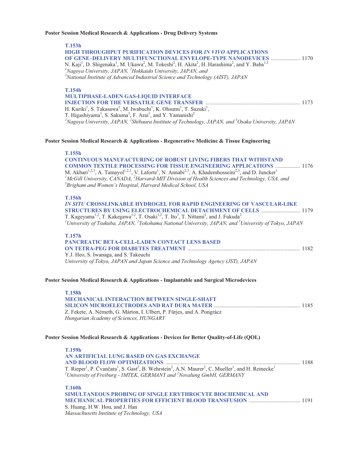## **Poster Session Medical Research & Applications - Drug Delivery Systems**

| <b>T.153h</b><br><b>HIGH THROUGHPUT PURIFICATION DEVICES FOR IN VIVO APPLICATIONS</b><br>OF GENE-DELIVERY MULTIFUNCTIONAL ENVELOPE-TYPE NANODEVICES  1170<br>N. Kaji <sup>1</sup> , D. Shigenaka <sup>1</sup> , M. Ukawa <sup>2</sup> , M. Tokeshi <sup>2</sup> , H. Akita <sup>2</sup> , H. Harashima <sup>2</sup> , and Y. Baba <sup>1,3</sup><br>${}^{1}$ Nagoya University, JAPAN, ${}^{2}$ Hokkaido University, JAPAN, and<br>$3$ National Institute of Advanced Industrial Science and Technology (AIST), JAPAN                               |  |
|-----------------------------------------------------------------------------------------------------------------------------------------------------------------------------------------------------------------------------------------------------------------------------------------------------------------------------------------------------------------------------------------------------------------------------------------------------------------------------------------------------------------------------------------------------|--|
| <b>T.154h</b><br>MULTIPHASE-LADEN GAS-LIQUID INTERFACE<br>H. Kuriki <sup>1</sup> , S. Takasawa <sup>2</sup> , M. Iwabuchi <sup>1</sup> , K. Ohsumi <sup>1</sup> , T. Suzuki <sup>1</sup> ,<br>T. Higashiyama <sup>1</sup> , S. Sakuma <sup>3</sup> , F. Arai <sup>1</sup> , and Y. Yamanishi <sup>2</sup><br>${}^{1}$ Nagoya University, JAPAN, ${}^{2}$ Shibaura Institute of Technology, JAPAN, and ${}^{3}$ Osaka University, JAPAN                                                                                                              |  |
| Poster Session Medical Research & Applications - Regenerative Medicine & Tissue Engineering                                                                                                                                                                                                                                                                                                                                                                                                                                                         |  |
| T.155h<br><b>CONTINUOUS MANUFACTURING OF ROBUST LIVING FIBERS THAT WITHSTAND</b><br><b>COMMON TEXTILE PROCESSING FOR TISSUE ENGINEERING APPLICATIONS  1176</b><br>M. Akbari <sup>1,2,3</sup> , A. Tamayol <sup>1,2,3</sup> , V. Laforte <sup>1</sup> , N. Annabi <sup>2,3</sup> , A. Khademhosseini <sup>2,3</sup> , and D. Juncker <sup>1</sup><br><sup>1</sup> McGill University, CANADA, <sup>2</sup> Harvard-MIT Division of Health Sciences and Technology, USA, and<br><sup>3</sup> Brigham and Women's Hospital, Harvard Medical School, USA |  |
| <b>T.156h</b><br>IN SITU CROSSLINKABLE HYDROGEL FOR RAPID ENGINEERING OF VASCULAR-LIKE<br>STRUCTURES BY USING ELECTROCHEMICAL DETACHMENT OF CELLS  1179<br>T. Kageyama <sup>1,2</sup> , T. Kakegawa <sup>1,2</sup> , T. Osaki <sup>1,2</sup> , T. Ito <sup>3</sup> , T. Nittami <sup>2</sup> , and J. Fukuda <sup>2</sup><br><sup>1</sup> University of Tsukuba, JAPAN, <sup>2</sup> Yokohama National University, JAPAN, and <sup>3</sup> University of Tokyo, JAPAN                                                                               |  |
| T.157h<br>PANCREATIC BETA-CELL-LADEN CONTACT LENS BASED<br>Y.J. Heo, S. Iwanaga, and S. Takeuchi<br>University of Tokyo, JAPAN and Japan Science and Technology Agency (JST), JAPAN                                                                                                                                                                                                                                                                                                                                                                 |  |
| Poster Session Medical Research & Applications - Implantable and Surgical Microdevices                                                                                                                                                                                                                                                                                                                                                                                                                                                              |  |
| <b>T.158h</b><br><b>MECHANICAL INTERACTION BETWEEN SINGLE-SHAFT</b><br>Z. Fekete, A. Németh, G. Márton, I. Ulbert, P. Fürjes, and A. Pongrácz<br>Hungarian Academy of Sciences, HUNGARY                                                                                                                                                                                                                                                                                                                                                             |  |
| Poster Session Medical Research & Applications - Devices for Better Quality-of-Life (QOL)                                                                                                                                                                                                                                                                                                                                                                                                                                                           |  |
| <b>T.159h</b><br>AN ARTIFICIAL LUNG BASED ON GAS EXCHANGE                                                                                                                                                                                                                                                                                                                                                                                                                                                                                           |  |
| T. Rieper <sup>1</sup> , P. Čvančara <sup>1</sup> , S. Gast <sup>2</sup> , B. Wehrstein <sup>2</sup> , A.N. Maurer <sup>2</sup> , C. Mueller <sup>1</sup> , and H. Reinecke <sup>1</sup><br><sup>1</sup> University of Freiburg - IMTEK, GERMANY and <sup>2</sup> Novalung GmbH, GERMANY                                                                                                                                                                                                                                                            |  |

**T.160h SIMULTANEOUS PROBING OF SINGLE ERYTHROCYTE BIOCHEMICAL AND MECHANICAL PROPERTIES FOR EFFICIENT BLOOD TRANSFUSION** ..................................... 1191 S. Huang, H.W. Hou, and J. Han *Massachusetts Institute of Technology, USA*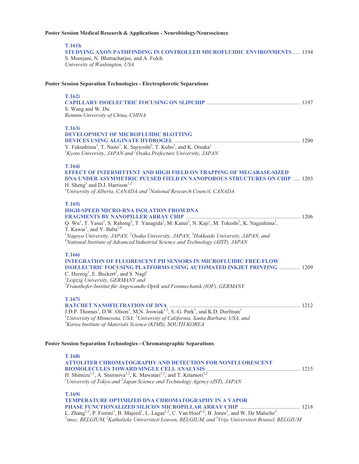# **Poster Session Medical Research & Applications - Neurobiology/Neuroscience**

**T.161h** 

**STUDYING AXON PATHFINDING IN CONTROLLED MICROFLUIDIC ENVIRONMENTS** ..... 1194 S. Moorjani, N. Bhattacharjee, and A. Folch *University of Washington, USA* 

# **Poster Session Separation Technologies - Electrophoretic Separations**

| <b>T.162i</b><br>S. Wang and W. Du<br>Renmin University of China, CHINA                                                                                                                                                                                                                                                                                                                                                                                                                                                                    |  |
|--------------------------------------------------------------------------------------------------------------------------------------------------------------------------------------------------------------------------------------------------------------------------------------------------------------------------------------------------------------------------------------------------------------------------------------------------------------------------------------------------------------------------------------------|--|
| T.163i<br><b>DEVELOPMENT OF MICROFLUIDIC BLOTTING</b><br>Y. Fukushima <sup>1</sup> , T. Naito <sup>1</sup> , K. Sueyoshi <sup>2</sup> , T. Kubo <sup>1</sup> , and K. Otsuka <sup>1</sup><br>${}^{1}$ Kyoto University, JAPAN and ${}^{2}$ Osaka Prefecture University, JAPAN                                                                                                                                                                                                                                                              |  |
| T.164i<br><b>EFFECT OF INTERMITTENT AND HIGH FIELD ON TRAPPING OF MEGABASE-SIZED</b><br><b>DNA UNDER ASYMMETRIC PULSED FIELD IN NANOPOROUS STRUCTURES ON CHIP  1203</b><br>H. Sheng <sup>1</sup> and D.J. Harrison <sup>1,2</sup><br>${}^{1}$ University of Alberta, CANADA and ${}^{2}$ National Research Council, CANADA                                                                                                                                                                                                                 |  |
| T.165i<br><b>HIGH-SPEED MICRO-RNA ISOLATION FROM DNA</b><br>Q. Wu <sup>1</sup> , T. Yasui <sup>1</sup> , S. Rahong <sup>2</sup> , T. Yanagida <sup>2</sup> , M. Kanai <sup>2</sup> , N. Kaji <sup>1</sup> , M. Tokeshi <sup>3</sup> , K. Nagashima <sup>1</sup> ,<br>T. Kawai <sup>1</sup> , and Y. Baba <sup>1,4</sup><br><sup>1</sup> Nagoya University, JAPAN, <sup>2</sup> Osaka University, JAPAN, <sup>3</sup> Hokkaido University, JAPAN, and<br>$4$ National Institute of Advanced Industrial Science and Technology (AIST), JAPAN |  |
| <b>T.166i</b><br><b>INTEGRATION OF FLUORESCENT PH SENSORS IN MICROFLUIDIC FREE-FLOW</b><br><b>ISOELECTRIC FOCUSING PLATFORMS USING AUTOMATED INKJET PRINTING  1209</b><br>C. Herzog <sup>1</sup> , E. Beckert <sup>2</sup> , and S. Nagl <sup>1</sup><br><sup>1</sup> Leipzig University, GERMANY and<br>${}^{2}$ Fraunhofer-Institut für Angewandte Optik und Feinmechanik (IOF), GERMANY                                                                                                                                                 |  |
| T.167i<br>J.D.P. Thomas <sup>1</sup> , D.W. Olson <sup>1</sup> , M.N. Joswiak <sup>1,2</sup> , S.-G. Park <sup>3</sup> , and K.D. Dorfman <sup>1</sup><br><sup>1</sup> University of Minnesota, USA, $^{2}$ University of California, Santa Barbara, USA, and<br><sup>3</sup> Korea Institute of Materials Science (KIMS), SOUTH KOREA                                                                                                                                                                                                     |  |
| <b>Poster Session Separation Technologies - Chromatographic Separations</b>                                                                                                                                                                                                                                                                                                                                                                                                                                                                |  |
| <b>T.168i</b><br><b>ATTOLITER CHROMATOGRAPHY AND DETECTION FOR NONFLUORESCENT</b><br>H. Shimizu <sup>1,2</sup> , A. Smirnova <sup>1,2</sup> , K. Mawatari <sup>1,2</sup> , and T. Kitamori <sup>1,2</sup><br><sup>1</sup> University of Tokyo and <sup>2</sup> Japan Science and Technology Agency (JST), JAPAN                                                                                                                                                                                                                            |  |
| T.169i<br><b>TEMPERATURE OPTIMIZED DNA CHROMATOGRAPHY IN A VAPOR</b><br>L. Zhang <sup>1,2</sup> , P. Fiorini <sup>1</sup> , B. Majeed <sup>1</sup> , L. Lagae <sup>1,2</sup> , C. Van Hoof <sup>1,2</sup> , B. Jones <sup>1</sup> , and W. De Malsche <sup>3</sup><br>$^l$ imec, BELGIUM, <sup>2</sup> Katholieke Universiteit Leuven, BELGIUM, and <sup>3</sup> Vrije Universiteit Brussel, BELGIUM                                                                                                                                       |  |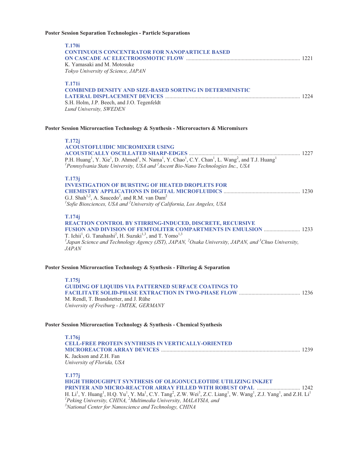# **Poster Session Separation Technologies - Particle Separations**

| <b>T.170i</b><br><b>CONTINUOUS CONCENTRATOR FOR NANOPARTICLE BASED</b><br>K. Yamasaki and M. Motosuke<br>Tokyo University of Science, JAPAN                                                                                                                                                                                                                                                                                                                                                                                                                |  |
|------------------------------------------------------------------------------------------------------------------------------------------------------------------------------------------------------------------------------------------------------------------------------------------------------------------------------------------------------------------------------------------------------------------------------------------------------------------------------------------------------------------------------------------------------------|--|
| <b>T.171i</b><br><b>COMBINED DENSITY AND SIZE-BASED SORTING IN DETERMINISTIC</b><br>S.H. Holm, J.P. Beech, and J.O. Tegenfeldt<br>Lund University, SWEDEN                                                                                                                                                                                                                                                                                                                                                                                                  |  |
| Poster Session Microreaction Technology & Synthesis - Microreactors & Micromixers                                                                                                                                                                                                                                                                                                                                                                                                                                                                          |  |
| T.172j<br><b>ACOUSTOFLUIDIC MICROMIXER USING</b><br>P.H. Huang <sup>1</sup> , Y. Xie <sup>1</sup> , D. Ahmed <sup>1</sup> , N. Nama <sup>1</sup> , Y. Chao <sup>1</sup> , C.Y. Chan <sup>1</sup> , L. Wang <sup>2</sup> , and T.J. Huang <sup>1</sup><br><sup>1</sup> Pennsylvania State University, USA and $^{2}$ Ascent Bio-Nano Technologies Inc., USA                                                                                                                                                                                                 |  |
| T.173j<br><b>INVESTIGATION OF BURSTING OF HEATED DROPLETS FOR</b><br>G.J. Shah <sup>1,2</sup> , A. Saucedo <sup>2</sup> , and R.M. van Dam <sup>2</sup><br><sup>1</sup> Sofie Biosciences, USA and <sup>2</sup> University of California, Los Angeles, USA                                                                                                                                                                                                                                                                                                 |  |
| T.174j<br>REACTION CONTROL BY STIRRING-INDUCED, DISCRETE, RECURSIVE<br>FUSION AND DIVISION OF FEMTOLITER COMPARTMENTS IN EMULSION  1233<br>T. Ichii <sup>1</sup> , G. Tanahashi <sup>2</sup> , H. Suzuki <sup>1,3</sup> , and T. Yomo <sup>1,3</sup><br><sup>1</sup> Japan Science and Technology Agency (JST), JAPAN, <sup>2</sup> Osaka University, JAPAN, and <sup>3</sup> Chuo University,<br><i>JAPAN</i>                                                                                                                                             |  |
| Poster Session Microreaction Technology & Synthesis - Filtering & Separation                                                                                                                                                                                                                                                                                                                                                                                                                                                                               |  |
| T.175j<br><b>GUIDING OF LIQUIDS VIA PATTERNED SURFACE COATINGS TO</b><br>M. Rendl, T. Brandstetter, and J. Rühe<br>University of Freiburg - IMTEK, GERMANY                                                                                                                                                                                                                                                                                                                                                                                                 |  |
| Poster Session Microreaction Technology & Synthesis - Chemical Synthesis                                                                                                                                                                                                                                                                                                                                                                                                                                                                                   |  |
| T.176j<br><b>CELL-FREE PROTEIN SYNTHESIS IN VERTICALLY-ORIENTED</b><br>K. Jackson and Z.H. Fan<br>University of Florida, USA                                                                                                                                                                                                                                                                                                                                                                                                                               |  |
| T.177j<br>HIGH THROUGHPUT SYNTHESIS OF OLIGONUCLEOTIDE UTILIZING INKJET<br>PRINTER AND MICRO-REACTOR ARRAY FILLED WITH ROBUST OPAL  1242<br>H. Li <sup>1</sup> , Y. Huang <sup>1</sup> , H.Q. Yu <sup>1</sup> , Y. Ma <sup>1</sup> , C.Y. Tang <sup>2</sup> , Z.W. Wei <sup>3</sup> , Z.C. Liang <sup>1</sup> , W. Wang <sup>1</sup> , Z.J. Yang <sup>1</sup> , and Z.H. Li <sup>1</sup><br><sup>1</sup> Peking University, CHINA, <sup>2</sup> Multimedia University, MALAYSIA, and<br><sup>3</sup> National Center for Nanoscience and Technology, CHINA |  |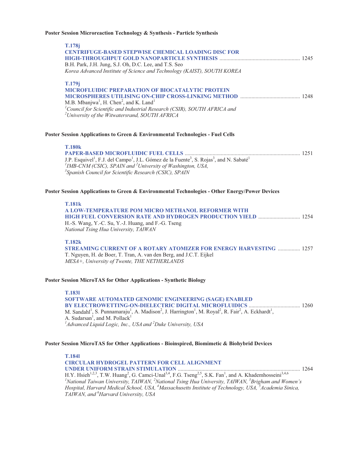#### **Poster Session Microreaction Technology & Synthesis - Particle Synthesis**

| <b>T.178j</b>                                                                                                                       |      |
|-------------------------------------------------------------------------------------------------------------------------------------|------|
| <b>CENTRIFUGE-BASED STEPWISE CHEMICAL LOADING DISC FOR</b>                                                                          |      |
|                                                                                                                                     | 1245 |
| B.H. Park, J.H. Jung, S.J. Oh, D.C. Lee, and T.S. Seo                                                                               |      |
| Korea Advanced Institute of Science and Technology (KAIST), SOUTH KOREA                                                             |      |
|                                                                                                                                     |      |
| <b>T.179i</b>                                                                                                                       |      |
| <b>MICROFLUIDIC PREPARATION OF BIOCATALYTIC PROTEIN</b>                                                                             |      |
| <b>MICROSPHERES UTILISING ON-CHIP CROSS-LINKING METHOD </b>                                                                         | 1248 |
| M.B. Mbanjwa <sup>1</sup> , H. Chen <sup>2</sup> , and K. Land <sup>1</sup>                                                         |      |
| $^{1}$ Council for Scientific and Industrial Research (CSIR), SOUTH AFRICA and $^{2}$ University of the Witwatersrand, SOUTH AFRICA |      |
|                                                                                                                                     |      |
|                                                                                                                                     |      |
|                                                                                                                                     |      |

#### **Poster Session Applications to Green & Environmental Technologies - Fuel Cells**

| - 1.10VK                                                                                                                                             |  |
|------------------------------------------------------------------------------------------------------------------------------------------------------|--|
|                                                                                                                                                      |  |
| J.P. Esquivel <sup>1</sup> , F.J. del Campo <sup>1</sup> , J.L. Gómez de la Fuente <sup>3</sup> , S. Rojas <sup>3</sup> , and N. Sabaté <sup>1</sup> |  |
| <sup>1</sup> IMB-CNM (CSIC), SPAIN and <sup>2</sup> University of Washington, USA,                                                                   |  |
| <sup>3</sup> Spanish Council for Scientific Research (CSIC), SPAIN                                                                                   |  |

#### **Poster Session Applications to Green & Environmental Technologies - Other Energy/Power Devices**

#### **T.181k**

**T.180k** 

**A LOW-TEMPERATURE POM MICRO METHANOL REFORMER WITH HIGH FUEL CONVERSION RATE AND HYDROGEN PRODUCTION YIELD** .............................. 1254 H.-S. Wang, Y.-C. Su, Y.-J. Huang, and F.-G. Tseng *National Tsing Hua University, TAIWAN* 

#### **T.182k**

**STREAMING CURRENT OF A ROTARY ATOMIZER FOR ENERGY HARVESTING** ................ 1257 T. Nguyen, H. de Boer, T. Tran, A. van den Berg, and J.C.T. Eijkel *MESA+, University of Twente, THE NETHERLANDS* 

#### **Poster Session MicroTAS for Other Applications - Synthetic Biology**

**T.183l SOFTWARE AUTOMATED GENOMIC ENGINEERING (SAGE) ENABLED BY ELECTROWETTING-ON-DIELECTRIC DIGITAL MICROFLUIDICS** ..................................... 1260 M. Sandahl<sup>1</sup>, S. Punnamaraju<sup>1</sup>, A. Madison<sup>2</sup>, J. Harrington<sup>1</sup>, M. Royal<sup>2</sup>, R. Fair<sup>2</sup>, A. Eckhardt<sup>1</sup>, A. Sudarsan<sup>1</sup>, and M. Pollack<sup>1</sup> *1 Advanced Liquid Logic, Inc., USA and <sup>2</sup> Duke University, USA* 

#### **Poster Session MicroTAS for Other Applications - Bioinspired, Biomimetic & Biohybrid Devices**

**T.184l CIRCULAR HYDROGEL PATTERN FOR CELL ALIGNMENT UNDER UNIFORM STRAIN STIMULATION** ........................................................................................ 1264 H.Y. Hsieh<sup>1,2,3</sup>, T.W. Huang<sup>2</sup>, G. Camci-Unal<sup>3,4</sup>, F.G. Tseng<sup>2,5</sup>, S.K. Fan<sup>1</sup>, and A. Khademhosseini<sup>3,4,6</sup> <sup>1</sup>National Taiwan University, TAIWAN, <sup>2</sup>National Tsing Hua University, TAIWAN, <sup>3</sup>Brigham and Women's *Hospital, Harvard Medical School, USA, 4 Massachusetts Institute of Technology, USA, 5 Academia Sinica, TAIWAN, and 6 Harvard University, USA*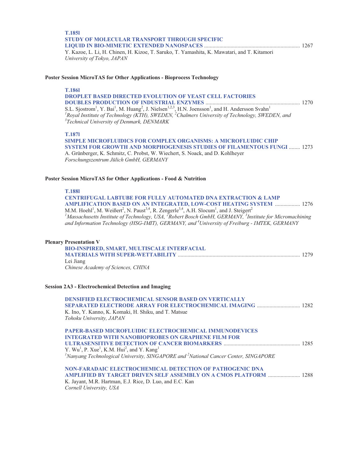| <b>T.1851</b><br>STUDY OF MOLECULAR TRANSPORT THROUGH SPECIFIC<br>Y. Kazoe, L. Li, H. Chinen, H. Kizoe, T. Saruko, T. Yamashita, K. Mawatari, and T. Kitamori<br>University of Tokyo, JAPAN                                                                                                                                                                                                                                                                                                                                                                                                              |
|----------------------------------------------------------------------------------------------------------------------------------------------------------------------------------------------------------------------------------------------------------------------------------------------------------------------------------------------------------------------------------------------------------------------------------------------------------------------------------------------------------------------------------------------------------------------------------------------------------|
| Poster Session MicroTAS for Other Applications - Bioprocess Technology                                                                                                                                                                                                                                                                                                                                                                                                                                                                                                                                   |
| <b>T.1861</b><br><b>DROPLET BASED DIRECTED EVOLUTION OF YEAST CELL FACTORIES</b><br>S.L. Sjostrom <sup>1</sup> , Y. Bai <sup>1</sup> , M. Huang <sup>2</sup> , J. Nielsen <sup>1,2,3</sup> , H.N. Joensson <sup>1</sup> , and H. Andersson Svahn <sup>1</sup><br><sup>1</sup> Roval Institute of Technology (KTH), SWEDEN, <sup>2</sup> Chalmers University of Technology, SWEDEN, and<br><sup>3</sup> Technical University of Denmark, DENMARK                                                                                                                                                          |
| <b>T.1871</b><br><b>SIMPLE MICROFLUIDICS FOR COMPLEX ORGANISMS: A MICROFLUIDIC CHIP</b><br><b>SYSTEM FOR GROWTH AND MORPHOGENESIS STUDIES OF FILAMENTOUS FUNGI  1273</b><br>A. Grünberger, K. Schmitz, C. Probst, W. Wiechert, S. Noack, and D. Kohlheyer<br>Forschungszentrum Jülich GmbH, GERMANY                                                                                                                                                                                                                                                                                                      |
| Poster Session MicroTAS for Other Applications - Food & Nutrition                                                                                                                                                                                                                                                                                                                                                                                                                                                                                                                                        |
| <b>T.1881</b><br><b>CENTRIFUGAL LABTUBE FOR FULLY AUTOMATED DNA EXTRACTION &amp; LAMP</b><br><b>AMPLIFICATION BASED ON AN INTEGRATED, LOW-COST HEATING SYSTEM  1276</b><br>M.M. Hoehl <sup>1</sup> , M. Weißert <sup>2</sup> , N. Paust <sup>3,4</sup> , R. Zengerle <sup>3,4</sup> , A.H. Slocum <sup>1</sup> , and J. Steigert <sup>2</sup><br><sup>1</sup> Massachusetts Institute of Technology, USA, <sup>2</sup> Robert Bosch GmbH, GERMANY, <sup>3</sup> Institute for Micromachining<br>and Information Technology (HSG-IMIT), GERMANY, and <sup>4</sup> University of Freiburg - IMTEK, GERMANY |
| <b>Plenary Presentation V</b><br><b>BIO-INSPIRED, SMART, MULTISCALE INTERFACIAL</b><br>Lei Jiang<br>Chinese Academy of Sciences, CHINA                                                                                                                                                                                                                                                                                                                                                                                                                                                                   |
| <b>Session 2A3 - Electrochemical Detection and Imaging</b>                                                                                                                                                                                                                                                                                                                                                                                                                                                                                                                                               |
| <b>DENSIFIED ELECTROCHEMICAL SENSOR BASED ON VERTICALLY</b><br>SEPARATED ELECTRODE ARRAY FOR ELECTROCHEMICAL IMAGING  1282<br>K. Ino, Y. Kanno, K. Komaki, H. Shiku, and T. Matsue<br>Tohoku University, JAPAN                                                                                                                                                                                                                                                                                                                                                                                           |
| PAPER-BASED MICROFLUIDIC ELECTROCHEMICAL IMMUNODEVICES<br><b>INTEGRATED WITH NANOBIOPROBES ON GRAPHENE FILM FOR</b><br>Y. Wu <sup>1</sup> , P. Xue <sup>1</sup> , K.M. Hui <sup>2</sup> , and Y. Kang <sup>1</sup><br>${}^{1}$ Nanyang Technological University, SINGAPORE and ${}^{2}$ National Cancer Center, SINGAPORE                                                                                                                                                                                                                                                                                |
| NON-FARADAIC ELECTROCHEMICAL DETECTION OF PATHOGENIC DNA<br><b>AMPLIFIED BY TARGET DRIVEN SELF ASSEMBLY ON A CMOS PLATFORM  1288</b><br>K. Jayant, M.R. Hartman, E.J. Rice, D. Luo, and E.C. Kan<br>Cornell University, USA                                                                                                                                                                                                                                                                                                                                                                              |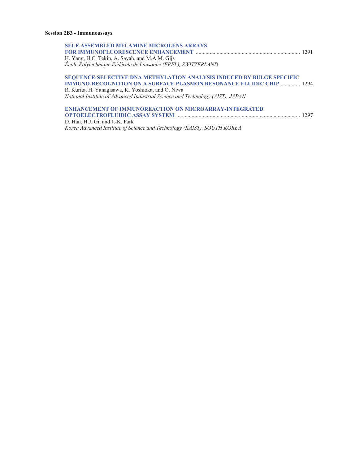| <b>SELF-ASSEMBLED MELAMINE MICROLENS ARRAYS</b>                                                                |  |
|----------------------------------------------------------------------------------------------------------------|--|
|                                                                                                                |  |
| H. Yang, H.C. Tekin, A. Sayah, and M.A.M. Gijs<br>École Polytechnique Fédérale de Lausanne (EPFL), SWITZERLAND |  |
| <b>SEQUENCE-SELECTIVE DNA METHVLATION ANALYSIS INDUCED BV RULCE SPECIFIC</b>                                   |  |

# **SEQUENCE-SELECTIVE DNA METHYLATION ANALYSIS INDUCED BY BULGE SPECIFIC IMMUNO-RECOGNITION ON A SURFACE PLASMON RESONANCE FLUIDIC CHIP** .............. 1294 R. Kurita, H. Yanagisawa, K. Yoshioka, and O. Niwa

*National Institute of Advanced Industrial Science and Technology (AIST), JAPAN* 

## **ENHANCEMENT OF IMMUNOREACTION ON MICROARRAY-INTEGRATED OPTOELECTROFLUIDIC ASSAY SYSTEM** ......................................................................................... 1297 D. Han, H.J. Gi, and J.-K. Park

*Korea Advanced Institute of Science and Technology (KAIST), SOUTH KOREA*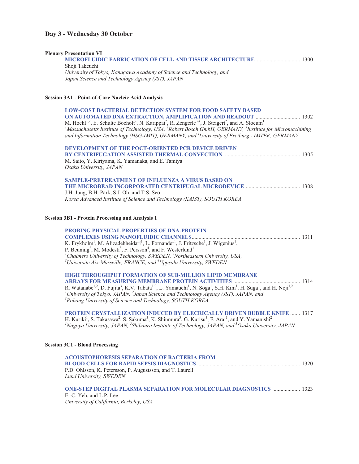# **Day 3 - Wednesday 30 October**

| <b>Plenary Presentation VI</b>                                                                                                                                                                                                                                                                                                 |  |
|--------------------------------------------------------------------------------------------------------------------------------------------------------------------------------------------------------------------------------------------------------------------------------------------------------------------------------|--|
| <b>MICROFLUIDIC FABRICATION OF CELL AND TISSUE ARCHITECTURE  1300</b>                                                                                                                                                                                                                                                          |  |
| Shoji Takeuchi                                                                                                                                                                                                                                                                                                                 |  |
| University of Tokyo, Kanagawa Academy of Science and Technology, and<br>Japan Science and Technology Agency (JST), JAPAN                                                                                                                                                                                                       |  |
|                                                                                                                                                                                                                                                                                                                                |  |
| Session 3A1 - Point-of-Care Nucleic Acid Analysis                                                                                                                                                                                                                                                                              |  |
| <b>LOW-COST BACTERIAL DETECTION SYSTEM FOR FOOD SAFETY BASED</b>                                                                                                                                                                                                                                                               |  |
| ON AUTOMATED DNA EXTRACTION, AMPLIFICATION AND READOUT  1302                                                                                                                                                                                                                                                                   |  |
| M. Hoehl <sup>1,2</sup> , E. Schulte Bocholt <sup>2</sup> , N. Karippai <sup>2</sup> , R. Zengerle <sup>3,4</sup> , J. Steigert <sup>2</sup> , and A. Slocum <sup>1</sup>                                                                                                                                                      |  |
| <sup>1</sup> Massachusetts Institute of Technology, USA, <sup>2</sup> Robert Bosch GmbH, GERMANY, <sup>3</sup> Institute for Micromachining<br>and Information Technology (HSG-IMIT), GERMANY, and <sup>4</sup> University of Freiburg - IMTEK, GERMANY                                                                        |  |
| DEVELOPMENT OF THE POCT-ORIENTED PCR DEVICE DRIVEN                                                                                                                                                                                                                                                                             |  |
|                                                                                                                                                                                                                                                                                                                                |  |
| M. Saito, Y. Kiriyama, K. Yamanaka, and E. Tamiya<br>Osaka University, JAPAN                                                                                                                                                                                                                                                   |  |
| SAMPLE-PRETREATMENT OF INFLUENZA A VIRUS BASED ON                                                                                                                                                                                                                                                                              |  |
|                                                                                                                                                                                                                                                                                                                                |  |
| J.H. Jung, B.H. Park, S.J. Oh, and T.S. Seo                                                                                                                                                                                                                                                                                    |  |
| Korea Advanced Institute of Science and Technology (KAIST), SOUTH KOREA                                                                                                                                                                                                                                                        |  |
| <b>Session 3B1 - Protein Processing and Analysis 1</b>                                                                                                                                                                                                                                                                         |  |
| <b>PROBING PHYSICAL PROPERTIES OF DNA-PROTEIN</b>                                                                                                                                                                                                                                                                              |  |
|                                                                                                                                                                                                                                                                                                                                |  |
| K. Frykholm <sup>1</sup> , M. Alizadehheidari <sup>1</sup> , L. Fornander <sup>1</sup> , J. Fritzsche <sup>1</sup> , J. Wigenius <sup>1</sup> ,<br>P. Beuning <sup>2</sup> , M. Modesti <sup>3</sup> , F. Persson <sup>4</sup> , and F. Westerlund <sup>1</sup>                                                                |  |
| <sup>1</sup> Chalmers University of Technology, SWEDEN, $^{2}$ Northeastern University, USA,                                                                                                                                                                                                                                   |  |
| $3$ Universite Aix-Marseille, FRANCE, and $4$ Uppsala University, SWEDEN                                                                                                                                                                                                                                                       |  |
| <b>HIGH THROUGHPUT FORMATION OF SUB-MILLION LIPID MEMBRANE</b>                                                                                                                                                                                                                                                                 |  |
|                                                                                                                                                                                                                                                                                                                                |  |
| R. Watanabe <sup>1,2</sup> , D. Fujita <sup>3</sup> , K.V. Tabata <sup>1,2</sup> , L. Yamauchi <sup>1</sup> , N. Soga <sup>1</sup> , S.H. Kim <sup>1</sup> , H. Suga <sup>1</sup> , and H. Noji <sup>1,2</sup><br><sup>1</sup> University of Tokyo, JAPAN, <sup>2</sup> Japan Science and Technology Agency (JST), JAPAN, and  |  |
| <sup>3</sup> Pohang University of Science and Technology, SOUTH KOREA                                                                                                                                                                                                                                                          |  |
| PROTEIN CRYSTALLIZATION INDUCED BY ELECRICALLY DRIVEN BUBBLE KNIFE  1317                                                                                                                                                                                                                                                       |  |
| H. Kuriki <sup>1</sup> , S. Takasawa <sup>2</sup> , S. Sakuma <sup>3</sup> , K. Shinmura <sup>3</sup> , G. Kurisu <sup>3</sup> , F. Arai <sup>1</sup> , and Y. Yamanishi <sup>2</sup><br><sup>1</sup> Nagoya University, JAPAN, <sup>2</sup> Shibaura Institute of Technology, JAPAN, and <sup>3</sup> Osaka University, JAPAN |  |
| <b>Session 3C1 - Blood Processing</b>                                                                                                                                                                                                                                                                                          |  |
| <b>ACOUSTOPHORESIS SEPARATION OF BACTERIA FROM</b>                                                                                                                                                                                                                                                                             |  |
|                                                                                                                                                                                                                                                                                                                                |  |
| P.D. Ohlsson, K. Petersson, P. Augustsson, and T. Laurell<br>Lund University, SWEDEN                                                                                                                                                                                                                                           |  |
| <b>ONE-STEP DIGITAL PLASMA SEPARATION FOR MOLECULAR DIAGNOSTICS  1323</b>                                                                                                                                                                                                                                                      |  |
| E.-C. Yeh, and L.P. Lee<br>University of California, Berkeley, USA                                                                                                                                                                                                                                                             |  |
|                                                                                                                                                                                                                                                                                                                                |  |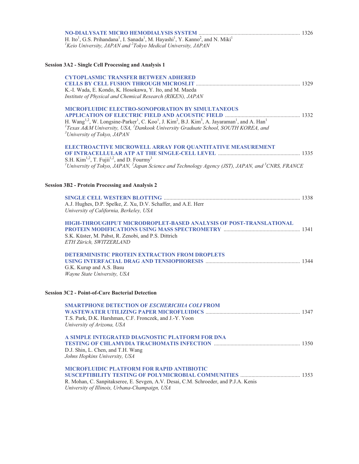| H. Ito <sup>1</sup> , G.S. Prihandana <sup>1</sup> , I. Sanada <sup>1</sup> , M. Hayashi <sup>1</sup> , Y. Kanno <sup>2</sup> , and N. Miki <sup>1</sup>                           |  |
|------------------------------------------------------------------------------------------------------------------------------------------------------------------------------------|--|
| ${}^{1}$ Keio University, JAPAN and ${}^{2}$ Tokyo Medical University, JAPAN                                                                                                       |  |
| <b>Session 3A2 - Single Cell Processing and Analysis 1</b>                                                                                                                         |  |
| <b>CYTOPLASMIC TRANSFER BETWEEN ADHERED</b>                                                                                                                                        |  |
|                                                                                                                                                                                    |  |
| K.-I. Wada, E. Kondo, K. Hosokawa, Y. Ito, and M. Maeda                                                                                                                            |  |
| Institute of Physical and Chemical Research (RIKEN), JAPAN                                                                                                                         |  |
| <b>MICROFLUIDIC ELECTRO-SONOPORATION BY SIMULTANEOUS</b>                                                                                                                           |  |
|                                                                                                                                                                                    |  |
| H. Wang <sup>1,2</sup> , W. Longsine-Parker <sup>1</sup> , C. Koo <sup>1</sup> , J. Kim <sup>2</sup> , B.J. Kim <sup>3</sup> , A. Jayaraman <sup>1</sup> , and A. Han <sup>1</sup> |  |
| ${}^{1}$ Texas A&M University, USA, ${}^{2}$ Dankook University Graduate School, SOUTH KOREA, and                                                                                  |  |
| <sup>3</sup> University of Tokyo, JAPAN                                                                                                                                            |  |
| ELECTROACTIVE MICROWELL ARRAY FOR QUANTITATIVE MEASUREMENT                                                                                                                         |  |
|                                                                                                                                                                                    |  |
| S.H. Kim <sup>1,2</sup> , T. Fujii <sup>1,2</sup> , and D. Fourmy <sup>3</sup>                                                                                                     |  |
| <sup>1</sup> University of Tokyo, JAPAN, <sup>2</sup> Japan Science and Technology Agency (JST), JAPAN, and <sup>3</sup> CNRS, FRANCE                                              |  |
|                                                                                                                                                                                    |  |
| <b>Session 3B2 - Protein Processing and Analysis 2</b>                                                                                                                             |  |
|                                                                                                                                                                                    |  |
| A.J. Hughes, D.P. Spelke, Z. Xu, D.V. Schaffer, and A.E. Herr                                                                                                                      |  |
| University of California, Berkeley, USA                                                                                                                                            |  |
| HIGH-THROUGHPUT MICRODROPLET-BASED ANALYSIS OF POST-TRANSLATIONAL                                                                                                                  |  |
|                                                                                                                                                                                    |  |
| S.K. Küster, M. Pabst, R. Zenobi, and P.S. Dittrich                                                                                                                                |  |
| ETH Zürich, SWITZERLAND                                                                                                                                                            |  |
| DETERMINISTIC PROTEIN EXTRACTION FROM DROPLETS                                                                                                                                     |  |
|                                                                                                                                                                                    |  |
| G.K. Kurup and A.S. Basu                                                                                                                                                           |  |
| Wayne State University, USA                                                                                                                                                        |  |
|                                                                                                                                                                                    |  |
| <b>Session 3C2 - Point-of-Care Bacterial Detection</b>                                                                                                                             |  |
| <b>SMARTPHONE DETECTION OF ESCHERICHIA COLI FROM</b>                                                                                                                               |  |
|                                                                                                                                                                                    |  |
| T.S. Park, D.K. Harshman, C.F. Fronczek, and J.-Y. Yoon                                                                                                                            |  |
| University of Arizona, USA                                                                                                                                                         |  |
| A SIMPLE INTEGRATED DIAGNOSTIC PLATFORM FOR DNA                                                                                                                                    |  |
|                                                                                                                                                                                    |  |
| D.J. Shin, L. Chen, and T.H. Wang                                                                                                                                                  |  |
| Johns Hopkins University, USA                                                                                                                                                      |  |
| MICROFLUIDIC PLATFORM FOR RAPID ANTIBIOTIC                                                                                                                                         |  |
|                                                                                                                                                                                    |  |
| R. Mohan, C. Sanpitakseree, E. Sevgen, A.V. Desai, C.M. Schroeder, and P.J.A. Kenis                                                                                                |  |
| University of Illinois, Urbana-Champaign, USA                                                                                                                                      |  |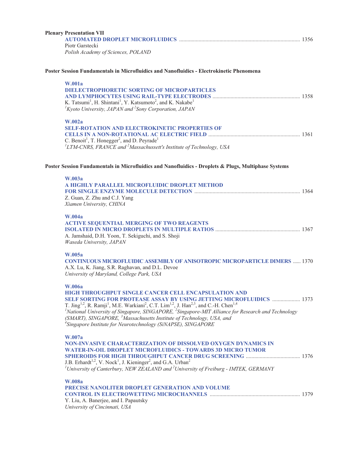| <b>Plenary Presentation VII</b>                                                                                                                                                                                                                                                            |  |
|--------------------------------------------------------------------------------------------------------------------------------------------------------------------------------------------------------------------------------------------------------------------------------------------|--|
| Piotr Garstecki                                                                                                                                                                                                                                                                            |  |
| Polish Academy of Sciences, POLAND                                                                                                                                                                                                                                                         |  |
| Poster Session Fundamentals in Microfluidics and Nanofluidics - Electrokinetic Phenomena                                                                                                                                                                                                   |  |
| <b>W.001a</b>                                                                                                                                                                                                                                                                              |  |
| <b>DIELECTROPHORETIC SORTING OF MICROPARTICLES</b>                                                                                                                                                                                                                                         |  |
| K. Tatsumi <sup>1</sup> , H. Shintani <sup>1</sup> , Y. Katsumoto <sup>2</sup> , and K. Nakabe <sup>1</sup>                                                                                                                                                                                |  |
| ${}^{1}$ Kyoto University, JAPAN and ${}^{2}$ Sony Corporation, JAPAN                                                                                                                                                                                                                      |  |
| <b>W.002a</b>                                                                                                                                                                                                                                                                              |  |
| <b>SELF-ROTATION AND ELECTROKINETIC PROPERTIES OF</b>                                                                                                                                                                                                                                      |  |
|                                                                                                                                                                                                                                                                                            |  |
| C. Benoit <sup>1</sup> , T. Honegger <sup>2</sup> , and D. Peyrade <sup>1</sup><br>${}^{1}LTM$ -CNRS, FRANCE and ${}^{2}M$ assachussett's Institute of Technology, USA                                                                                                                     |  |
| Poster Session Fundamentals in Microfluidics and Nanofluidics - Droplets & Plugs, Multiphase Systems                                                                                                                                                                                       |  |
| W.003a                                                                                                                                                                                                                                                                                     |  |
| A HIGHLY PARALLEL MICROFLUIDIC DROPLET METHOD                                                                                                                                                                                                                                              |  |
|                                                                                                                                                                                                                                                                                            |  |
| Z. Guan, Z. Zhu and C.J. Yang<br>Xiamen University, CHINA                                                                                                                                                                                                                                  |  |
|                                                                                                                                                                                                                                                                                            |  |
| <b>W.004a</b>                                                                                                                                                                                                                                                                              |  |
| <b>ACTIVE SEQUENTIAL MERGING OF TWO REAGENTS</b>                                                                                                                                                                                                                                           |  |
|                                                                                                                                                                                                                                                                                            |  |
| A. Jamshaid, D.H. Yoon, T. Sekiguchi, and S. Shoji<br>Waseda University, JAPAN                                                                                                                                                                                                             |  |
| W.005a                                                                                                                                                                                                                                                                                     |  |
| <b>CONTINUOUS MICROFLUIDIC ASSEMBLY OF ANISOTROPIC MICROPARTICLE DIMERS  1370</b>                                                                                                                                                                                                          |  |
| A.X. Lu, K. Jiang, S.R. Raghavan, and D.L. Devoe                                                                                                                                                                                                                                           |  |
| University of Maryland, College Park, USA                                                                                                                                                                                                                                                  |  |
| <b>W.006a</b>                                                                                                                                                                                                                                                                              |  |
| <b>HIGH THROUGHPUT SINGLE CANCER CELL ENCAPSULATION AND</b>                                                                                                                                                                                                                                |  |
| SELF SORTING FOR PROTEASE ASSAY BY USING JETTING MICROFLUIDICS  1373                                                                                                                                                                                                                       |  |
| T. Jing <sup>1,2</sup> , R. Ramji <sup>1</sup> , M.E. Warkiani <sup>2</sup> , C.T. Lim <sup>1,2</sup> , J. Han <sup>2,3</sup> , and C.-H. Chen <sup>1,4</sup><br><sup>1</sup> National University of Singapore, SINGAPORE, <sup>2</sup> Singapore-MIT Alliance for Research and Technology |  |
| (SMART), SINGAPORE, <sup>3</sup> Massachusetts Institute of Technology, USA, and                                                                                                                                                                                                           |  |
| <sup>4</sup> Singapore Institute for Neurotechnology (SiNAPSE), SINGAPORE                                                                                                                                                                                                                  |  |
| W.007a                                                                                                                                                                                                                                                                                     |  |
| <b>NON-INVASIVE CHARACTERIZATION OF DISSOLVED OXYGEN DYNAMICS IN</b>                                                                                                                                                                                                                       |  |
| <b>WATER-IN-OIL DROPLET MICROFLUIDICS - TOWARDS 3D MICRO TUMOR</b>                                                                                                                                                                                                                         |  |
| J.B. Erhardt <sup>1,2</sup> , V. Nock <sup>1</sup> , J. Kieninger <sup>2</sup> , and G.A. Urban <sup>2</sup>                                                                                                                                                                               |  |
| <sup>1</sup> University of Canterbury, NEW ZEALAND and <sup>2</sup> University of Freiburg - IMTEK, GERMANY                                                                                                                                                                                |  |
| <b>W.008a</b>                                                                                                                                                                                                                                                                              |  |
| PRECISE NANOLITER DROPLET GENERATION AND VOLUME                                                                                                                                                                                                                                            |  |
|                                                                                                                                                                                                                                                                                            |  |
| Y. Liu, A. Banerjee, and I. Papautsky<br>University of Cincinnati, USA                                                                                                                                                                                                                     |  |
|                                                                                                                                                                                                                                                                                            |  |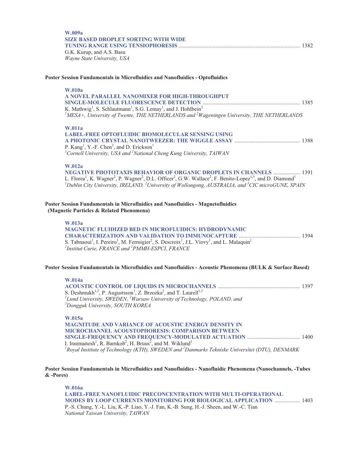| W.009a                                      |  |
|---------------------------------------------|--|
| <b>SIZE BASED DROPLET SORTING WITH WIDE</b> |  |
|                                             |  |
| G.K. Kurup, and A.S. Basu                   |  |

*Wayne State University, USA* 

#### **Poster Session Fundamentals in Microfluidics and Nanofluidics - Optofluidics**

# **W.010a**

| A NOVEL PARALLEL NANOMIXER FOR HIGH-THROUGHPUT                                                                 |  |
|----------------------------------------------------------------------------------------------------------------|--|
|                                                                                                                |  |
| K. Mathwig <sup>1</sup> , S. Schlautmann <sup>1</sup> , S.G. Lemay <sup>1</sup> , and J. Hohlbein <sup>2</sup> |  |
| $^{1}$ MESA+, University of Twente, THE NETHERLANDS and $^{2}$ Wageningen University, THE NETHERLANDS          |  |
|                                                                                                                |  |

#### **W.011a**

| LABEL-FREE OPTOFLUIDIC BIOMOLECULAR SENSING USING                                      |  |
|----------------------------------------------------------------------------------------|--|
|                                                                                        |  |
| P. $Kang1$ , Y.-F. Chen <sup>2</sup> , and D. Erickson <sup>1</sup>                    |  |
| $^{1}$ Cornell University, USA and <sup>2</sup> National Cheng Kung University, TAIWAN |  |

#### **W.012a**

**NEGATIVE PHOTOTAXIS BEHAVIOR OF ORGANIC DROPLETS IN CHANNELS** ................... 1391 L. Florea<sup>1</sup>, K. Wagner<sup>2</sup>, P. Wagner<sup>2</sup>, D.L. Officer<sup>2</sup>, G.W. Wallace<sup>2</sup>, F. Benito-Lopez<sup>1,3</sup>, and D. Diamond<sup>1</sup><br><sup>1</sup>Dublin City University, IRELAND, <sup>2</sup>University of Wollongong, AUSTRALIA, and <sup>3</sup>CIC microGUNE, SPAIN

**Poster Session Fundamentals in Microfluidics and Nanofluidics - Magnetofluidics (Magnetic Particles & Related Phenomena)** 

# **W.013a**

| <b>MAGNETIC FLUIDIZED BED IN MICROFLUIDICS: HYDRODYNAMIC</b>                                                                                                       |  |
|--------------------------------------------------------------------------------------------------------------------------------------------------------------------|--|
|                                                                                                                                                                    |  |
| S. Tabnaoui <sup>1</sup> , I. Pereiro <sup>1</sup> , M. Fermigier <sup>2</sup> , S. Descroix <sup>1</sup> , J.L. Viovy <sup>1</sup> , and L. Malaquin <sup>1</sup> |  |
| <sup>1</sup> Institut Curie, FRANCE and <sup>2</sup> PMMH-ESPCI, FRANCE                                                                                            |  |

#### **Poster Session Fundamentals in Microfluidics and Nanofluidics - Acoustic Phenomena (BULK & Surface Based)**

**W.014a ACOUSTIC CONTROL OF LIQUIDS IN MICROCHANNELS** ........................................................... 1397 S. Deshmukh<sup>1,2</sup>, P. Augustsson<sup>1</sup>, Z. Brzozka<sup>2</sup>, and T. Laurell<sup>1,3</sup> <sup>1</sup>Lund University, SWEDEN, <sup>2</sup>Warsaw University of Technology, POLAND, and <sup>3</sup>Donaguk University SOUTH KORE 4 *Dongguk University, SOUTH KOREA*  **W.015a MAGNITUDE AND VARIANCE OF ACOUSTIC ENERGY DENSITY IN MICROCHANNEL ACOUSTOPHORESIS: COMPARISON BETWEEN** 

**SINGLE-FREQUENCY AND FREQUENCY-MODULATED ACTUATION** ...................................... 1400 I. Iranmanesh<sup>1</sup>, R. Barnkob<sup>2</sup>, H. Bruus<sup>2</sup>, and M. Wiklund<sup>1</sup> *1 Royal Institute of Technology (KTH), SWEDEN and 2 Danmarks Tekníske Uníversítet (DTU), DENMARK* 

## **Poster Session Fundamentals in Microfluidics and Nanofluidics - Nanofluidic Phenomena (Nanochannels, -Tubes & -Pores)**

**W.016a LABEL-FREE NANOFLUIDIC PRECONCENTRATION WITH MULTI-OPERATIONAL MODES BY LOOP CURRENTS MONITORING FOR BIOLOGICAL APPLICATION** .................. 1403 P.-S. Chung, Y.-L. Liu, K.-P. Liao, Y.-J. Fan, K.-B. Sung, H.-J. Sheen, and W.-C. Tian *National Taiwan University, TAIWAN*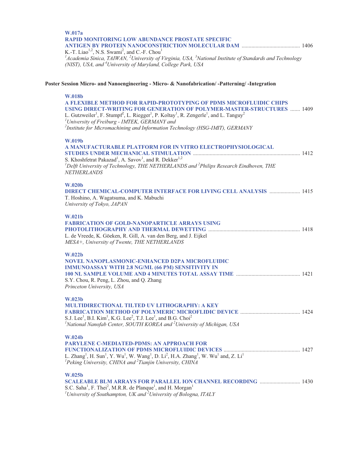| W.017a<br><b>RAPID MONITORING LOW ABUNDANCE PROSTATE SPECIFIC</b>                                                                                                                                                                                                                                                                                                                 |  |
|-----------------------------------------------------------------------------------------------------------------------------------------------------------------------------------------------------------------------------------------------------------------------------------------------------------------------------------------------------------------------------------|--|
| K.-T. Liao <sup>1,2</sup> , N.S. Swami <sup>2</sup> , and C.-F. Chou <sup>1</sup><br><sup>1</sup> Academia Sinica, TAIWAN, <sup>2</sup> University of Virginia, USA, <sup>3</sup> National Institute of Standards and Technology<br>(NIST), USA, and <sup>4</sup> University of Maryland, College Park, USA                                                                       |  |
| Poster Session Micro- and Nanoengineering - Micro- & Nanofabrication/-Patterning/-Integration                                                                                                                                                                                                                                                                                     |  |
| <b>W.018b</b>                                                                                                                                                                                                                                                                                                                                                                     |  |
| A FLEXIBLE METHOD FOR RAPID-PROTOTYPING OF PDMS MICROFLUIDIC CHIPS<br><b>USING DIRECT-WRITING FOR GENERATION OF POLYMER-MASTER-STRUCTURES  1409</b><br>L. Gutzweiler <sup>1</sup> , F. Stumpf <sup>2</sup> , L. Riegger <sup>1</sup> , P. Koltay <sup>1</sup> , R. Zengerle <sup>1</sup> , and L. Tanguy <sup>2</sup><br><sup>1</sup> University of Freiburg - IMTEK, GERMANY and |  |
| <sup>2</sup> Institute for Micromachining and Information Technology (HSG-IMIT), GERMANY                                                                                                                                                                                                                                                                                          |  |
| W.019b                                                                                                                                                                                                                                                                                                                                                                            |  |
| A MANUFACTURABLE PLATFORM FOR IN VITRO ELECTROPHYSIOLOGICAL                                                                                                                                                                                                                                                                                                                       |  |
| S. Khoshfetrat Pakazad <sup>1</sup> , A. Savov <sup>1</sup> , and R. Dekker <sup>1,2</sup><br>${}^{1}$ Delft University of Technology, THE NETHERLANDS and ${}^{2}$ Philips Research Eindhoven, THE<br><b>NETHERLANDS</b>                                                                                                                                                         |  |
| <b>W.020b</b><br><b>DIRECT CHEMICAL-COMPUTER INTERFACE FOR LIVING CELL ANALYSIS  1415</b><br>T. Hoshino, A. Wagatsuma, and K. Mabuchi                                                                                                                                                                                                                                             |  |
| University of Tokyo, JAPAN                                                                                                                                                                                                                                                                                                                                                        |  |
| <b>W.021b</b><br><b>FABRICATION OF GOLD-NANOPARTICLE ARRAYS USING</b><br>L. de Vreede, K. Göeken, R. Gill, A. van den Berg, and J. Eijkel                                                                                                                                                                                                                                         |  |
| MESA+, University of Twente, THE NETHERLANDS                                                                                                                                                                                                                                                                                                                                      |  |
| W.022b<br><b>NOVEL NANOPLASMONIC-ENHANCED D2PA MICROFLUIDIC</b>                                                                                                                                                                                                                                                                                                                   |  |
| <b>IMMUNOASSAY WITH 2.8 NG/ML (66 PM) SENSITIVITY IN</b>                                                                                                                                                                                                                                                                                                                          |  |
| S.Y. Chou, R. Peng, L. Zhou, and Q. Zhang<br>Princeton University, USA                                                                                                                                                                                                                                                                                                            |  |
| W.023b                                                                                                                                                                                                                                                                                                                                                                            |  |
| <b>MULTIDIRECTIONAL TILTED UV LITHOGRAPHY: A KEY</b><br>S.J. Lee <sup>1</sup> , B.I. Kim <sup>1</sup> , K.G. Lee <sup>2</sup> , T.J. Lee <sup>1</sup> , and B.G. Choi <sup>2</sup><br><sup>1</sup> National Nanofab Center, SOUTH KOREA and <sup>2</sup> University of Michigan, USA                                                                                              |  |
| <b>W.024b</b>                                                                                                                                                                                                                                                                                                                                                                     |  |
| <b>PARYLENE C-MEDIATED-PDMS: AN APPROACH FOR</b><br>L. Zhang <sup>1</sup> , H. Sun <sup>1</sup> , Y. Wu <sup>1</sup> , W. Wang <sup>1</sup> , D. Li <sup>2</sup> , H.A. Zhang <sup>1</sup> , W. Wu <sup>1</sup> and, Z. Li <sup>1</sup><br><sup>1</sup> Peking University, CHINA and <sup>2</sup> Tianjin University, CHINA                                                       |  |
|                                                                                                                                                                                                                                                                                                                                                                                   |  |
| <b>W.025b</b><br>SCALEABLE BLM ARRAYS FOR PARALLEL ION CHANNEL RECORDING  1430<br>S.C. Saha <sup>1</sup> , F. Thei <sup>2</sup> , M.R.R. de Planque <sup>1</sup> , and H. Morgan <sup>1</sup><br><sup>1</sup> University of Southampton, UK and <sup>2</sup> University of Bologna, ITALY                                                                                         |  |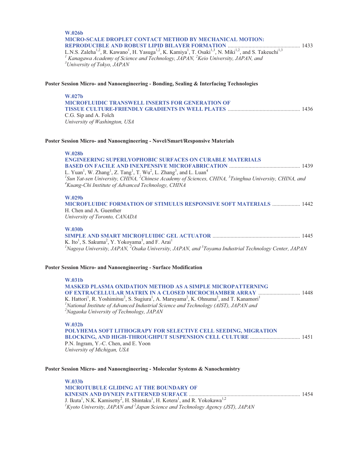# **W.026b MICRO-SCALE DROPLET CONTACT METHOD BY MECHANICAL MOTION: REPRODUCIBLE AND ROBUST LIPID BILAYER FORMATION** .................................................... 1433

L.N.S. Zaleha<sup>1,2</sup>, R. Kawano<sup>1</sup>, H. Yasuga<sup>1,2</sup>, K. Kamiya<sup>1</sup>, T. Osaki<sup>1,3</sup>, N. Miki<sup>1,2</sup>, and S. Takeuchi<sup>1,3</sup> <sup>1</sup> Kanagawa Academy of Science and Technology, JAPAN, <sup>2</sup>Keio University, JAPAN, and<br><sup>3</sup>University of Telpio, JAPAN *University of Tokyo, JAPAN* 

## **Poster Session Micro- and Nanoengineering - Bonding, Sealing & Interfacing Technologies**

| W.027h                                                  |  |
|---------------------------------------------------------|--|
| <b>MICROFLUIDIC TRANSWELL INSERTS FOR GENERATION OF</b> |  |
|                                                         |  |
| C.G. Sip and A. Folch                                   |  |
| University of Washington, USA                           |  |

#### **Poster Session Micro- and Nanoengineering - Novel/Smart/Responsive Materials**

| <b>W.028b</b> |  |
|---------------|--|
|               |  |
|               |  |

| <b>ENGINEERING SUPERLYOPHOBIC SURFACES ON CURABLE MATERIALS</b>                                                                             |  |
|---------------------------------------------------------------------------------------------------------------------------------------------|--|
|                                                                                                                                             |  |
| L. Yuan <sup>1</sup> , W. Zhang <sup>1</sup> , Z. Tang <sup>1</sup> , T. Wu <sup>2</sup> , L. Zhang <sup>3</sup> , and L. Luan <sup>4</sup> |  |
| <sup>1</sup> Sun Yat-sen University, CHINA, <sup>2</sup> Chinese Academy of Sciences, CHINA, ${}^{3}$ Tsinghua University, CHINA, and       |  |
| <sup>4</sup> Kuang-Chi Institute of Advanced Technology, CHINA                                                                              |  |
|                                                                                                                                             |  |
|                                                                                                                                             |  |

#### **W.029b**

**MICROFLUIDIC FORMATION OF STIMULUS RESPONSIVE SOFT MATERIALS** .................... 1442 H. Chen and A. Guenther *University of Toronto, CANADA* 

#### **W.030b**

**SIMPLE AND SMART MICROFLUIDIC GEL ACTUATOR** ............................................................... 1445 K. Ito<sup>1</sup>, S. Sakuma<sup>2</sup>, Y. Yokoyama<sup>3</sup>, and F. Arai<sup>1</sup> <sup>1</sup>Nagoya University, JAPAN, <sup>2</sup>Osaka University, JAPAN, and <sup>3</sup>Toyama Industrial Technology Center, JAPAN

#### **Poster Session Micro- and Nanoengineering - Surface Modification**

**W.031b MASKED PLASMA OXIDATION METHOD AS A SIMPLE MICROPATTERNING OF EXTRACELLULAR MATRIX IN A CLOSED MICROCHAMBER ARRAY** .............................. 1448 K. Hattori<sup>1</sup>, R. Yoshimitsu<sup>2</sup>, S. Sugiura<sup>1</sup>, A. Maruyama<sup>2</sup>, K. Ohnuma<sup>2</sup>, and T. Kanamori<sup>1</sup> *1 National Institute of Advanced Industrial Science and Technology (AIST), JAPAN and 2 Nagaoka University of Technology, JAPAN* 

**W.032b POLYHEMA SOFT LITHOGRAPY FOR SELECTIVE CELL SEEDING, MIGRATION BLOCKING, AND HIGH-THROUGHPUT SUSPENSION CELL CULTURE** .................................... 1451 P.N. Ingram, Y.-C. Chen, and E. Yoon *University of Michigan, USA* 

**Poster Session Micro- and Nanoengineering - Molecular Systems & Nanochemistry** 

**W.033b MICROTUBULE GLIDING AT THE BOUNDARY OF KINESIN AND DYNEIN PATTERNED SURFACE** ................................................................................ 1454 J. Ikuta<sup>1</sup>, N.K. Kamisetty<sup>2</sup>, H. Shintaku<sup>1</sup>, H. Kotera<sup>1</sup>, and R. Yokokawa<sup>1,2</sup> *1 Kyoto University, JAPAN and 2 Japan Science and Technology Agency (JST), JAPAN*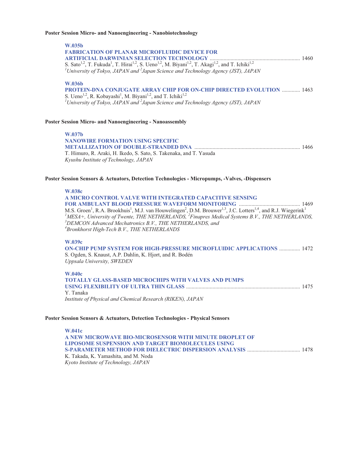#### **Poster Session Micro- and Nanoengineering - Nanobiotechnology**

**W.035b FABRICATION OF PLANAR MICROFLUIDIC DEVICE FOR ARTIFICIAL DARWINIAN SELECTION TECHNOLOGY** ................................................................. 1460 S. Sato<sup>1,2</sup>, T. Fukuda<sup>1</sup>, T. Hirai<sup>1,2</sup>, S. Ueno<sup>1,2</sup>, M. Biyani<sup>1,2</sup>, T. Akagi<sup>1,2</sup>, and T. Ichiki<sup>1,2</sup> *1 University of Tokyo, JAPAN and <sup>2</sup> Japan Science and Technology Agency (JST), JAPAN*  **W.036b PROTEIN-DNA CONJUGATE ARRAY CHIP FOR ON-CHIP DIRECTED EVOLUTION** ............. 1463 S. Ueno<sup>1,2</sup>, R. Kobayashi<sup>1</sup>, M. Biyani<sup>1,2</sup>, and T. Ichiki<sup>1,2</sup> *1 University of Tokyo, JAPAN and <sup>2</sup> Japan Science and Technology Agency (JST), JAPAN*  **Poster Session Micro- and Nanoengineering - Nanoassembly W.037b NANOWIRE FORMATION USING SPECIFIC METALLIZATION OF DOUBLE-STRANDED DNA** ............................................................................ 1466 T. Himuro, R. Araki, H. Ikedo, S. Sato, S. Takenaka, and T. Yasuda *Kyushu Institute of Technology, JAPAN*  **Poster Session Sensors & Actuators, Detection Technologies - Micropumps, -Valves, -Dispensers W.038c A MICRO CONTROL VALVE WITH INTEGRATED CAPACITIVE SENSING FOR AMBULANT BLOOD PRESSURE WAVEFORM MONITORING ..............** M.S. Groen<sup>1</sup>, R.A. Brookhuis<sup>1</sup>, M.J. van Houwelingen<sup>2</sup>, D.M. Brouwer<sup>1,3</sup>, J.C. Lotters<sup>1,4</sup>, and R.J. Wiegerink<sup>1</sup><br><sup>*IMESA+, University of Twente, THE NETHERLANDS, <sup>2</sup>Finapres Medical Systems B.V., THE NETHERLANDS,*<br><sup>3</sup></sup> *DEMCON Advanced Mechatronics B.V., THE NETHERLANDS, and 4 Bronkhorst High-Tech B.V., THE NETHERLANDS*  **W.039c ON-CHIP PUMP SYSTEM FOR HIGH-PRESSURE MICROFLUIDIC APPLICATIONS** ............... 1472 S. Ogden, S. Knaust, A.P. Dahlin, K. Hjort, and R. Bodén *Uppsala University, SWEDEN*  **W.040c TOTALLY GLASS-BASED MICROCHIPS WITH VALVES AND PUMPS USING FLEXIBILITY OF ULTRA THIN GLASS** .................................................................................. 1475 Y. Tanaka *Institute of Physical and Chemical Research (RIKEN), JAPAN* 

## **Poster Session Sensors & Actuators, Detection Technologies - Physical Sensors**

**W.041c A NEW MICROWAVE BIO-MICROSENSOR WITH MINUTE DROPLET OF LIPOSOME SUSPENSION AND TARGET BIOMOLECULES USING S-PARAMETER METHOD FOR DIELECTRIC DISPERSION ANALYSIS** ...................................... 1478 K. Takada, K. Yamashita, and M. Noda *Kyoto Institute of Technology, JAPAN*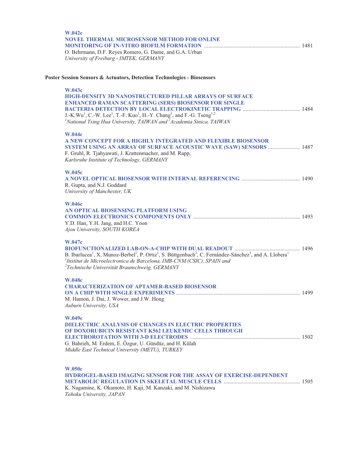| <b>W.042c</b><br><b>NOVEL THERMAL MICROSENSOR METHOD FOR ONLINE</b><br>O. Behrmann, D.F. Reyes Romero, G. Dame, and G.A. Urban<br>University of Freiburg - IMTEK, GERMANY                                                                                                                                                                                                            |      |
|--------------------------------------------------------------------------------------------------------------------------------------------------------------------------------------------------------------------------------------------------------------------------------------------------------------------------------------------------------------------------------------|------|
| Poster Session Sensors & Actuators, Detection Technologies - Biosensors                                                                                                                                                                                                                                                                                                              |      |
| <b>W.043c</b><br><b>HIGH-DENSITY 3D NANOSTRUCTURED PILLAR ARRAYS OF SURFACE</b><br><b>ENHANCED RAMAN SCATTERING (SERS) BIOSENSOR FOR SINGLE</b><br>J.-K.Wu <sup>1</sup> , C.-W. Lee <sup>1</sup> , T.-F. Kuo <sup>1</sup> , H.-Y. Chang <sup>1</sup> , and F.-G. Tseng <sup>1,2</sup><br><sup>1</sup> National Tsing Hua University, TAIWAN and <sup>2</sup> Academia Sinica, TAIWAN |      |
| <b>W.044c</b><br>A NEW CONCEPT FOR A HIGHLY INTEGRATED AND FLEXIBLE BIOSENSOR<br>SYSTEM USING AN ARRAY OF SURFACE ACOUSTIC WAVE (SAW) SENSORS  1487<br>F. Gruhl, R. Tjahyawati, J. Krattenmacher, and M. Rapp,<br>Karlsruhe Institute of Technology, GERMANY                                                                                                                         |      |
| W.045c<br>R. Gupta, and N.J. Goddard<br>University of Manchester, UK                                                                                                                                                                                                                                                                                                                 |      |
| <b>W.046c</b><br>AN OPTICAL BIOSENSING PLATFORM USING<br>Y.D. Han, Y.H. Jang, and H.C. Yoon<br>Ajou University, SOUTH KOREA                                                                                                                                                                                                                                                          |      |
| W.047c<br>B. Ibarlucea <sup>1</sup> , X. Munoz-Berbel <sup>1</sup> , P. Ortiz <sup>1</sup> , S. Büttgenbach <sup>2</sup> , C. Fernández-Sánchez <sup>1</sup> , and A. Llobera <sup>1</sup><br>$1$ Institut de Microelectronica de Barcelona, IMB-CNM (CSIC), SPAIN and<br><sup>2</sup> Technische Universität Braunschweig, GERMANY                                                  |      |
| <b>W.048c</b><br><b>CHARACTERIZATION OF APTAMER-BASED BIOSENSOR</b><br>M. Hamon, J. Dai, J. Wower, and J.W. Hong<br>Auburn University, USA                                                                                                                                                                                                                                           | 1499 |
| W.049c<br><b>DIELECTRIC ANALYSIS OF CHANGES IN ELECTRIC PROPERTIES</b><br>OF DOXORUBICIN RESISTANT K562 LEUKEMIC CELLS THROUGH<br>G. Bahrieh, M. Erdem, E. Özgur, U. Gündüz, and H. Külah<br>Middle East Technical University (METU), TURKEY                                                                                                                                         |      |
| <b>W.050c</b><br><b>HYDROGEL-BASED IMAGING SENSOR FOR THE ASSAY OF EXERCISE-DEPENDENT</b><br>K. Nagamine, K. Okamoto, H. Kaji, M. Kanzaki, and M. Nishizawa<br>Tohoku University, JAPAN                                                                                                                                                                                              |      |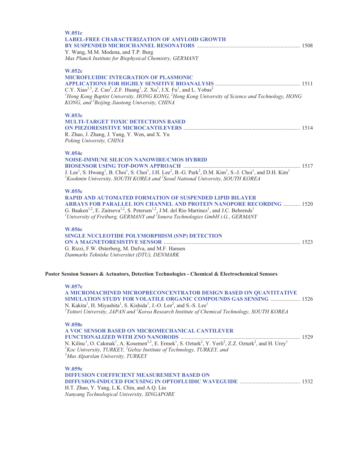| <b>W.051c</b><br><b>LABEL-FREE CHARACTERIZATION OF AMYLOID GROWTH</b><br>Y. Wang, M.M. Modena, and T.P. Burg<br>Max Planck Institute for Biophysical Chemistry, GERMANY                                                                                                                                                                                                                                         |  |
|-----------------------------------------------------------------------------------------------------------------------------------------------------------------------------------------------------------------------------------------------------------------------------------------------------------------------------------------------------------------------------------------------------------------|--|
| <b>W.052c</b><br><b>MICROFLUIDIC INTEGRATION OF PLASMONIC</b><br>C.Y. Xiao <sup>1,3</sup> , Z. Cao <sup>2</sup> , Z.F. Huang <sup>1</sup> , Z. Xu <sup>3</sup> , J.X. Fu <sup>1</sup> , and L. Yobas <sup>2</sup><br><sup>1</sup> Hong Kong Baptist University, HONG KONG, <sup>2</sup> Hong Kong University of Science and Technology, HONG<br>KONG, and <sup>3</sup> Beijing Jiaotong University, CHINA       |  |
| W.053c<br><b>MULTI-TARGET TOXIC DETECTIONS BASED</b><br>R. Zhao, J. Zhang, J. Yang, Y. Wen, and X. Yu<br>Peking University, CHINA                                                                                                                                                                                                                                                                               |  |
| W.054c<br><b>NOISE-IMMUNE SILICON NANOWIRE/CMOS HYBRID</b><br>J. Lee <sup>1</sup> , S. Hwang <sup>1</sup> , B. Choi <sup>1</sup> , S. Choi <sup>1</sup> , J.H. Lee <sup>2</sup> , B.-G. Park <sup>2</sup> , D.M. Kim <sup>1</sup> , S.-J. Choi <sup>1</sup> , and D.H. Kim <sup>1</sup><br><sup>1</sup> Kookmin University, SOUTH KOREA and <sup>2</sup> Seoul National University, SOUTH KOREA                 |  |
| W.055c<br><b>RAPID AND AUTOMATED FORMATION OF SUSPENDED LIPID BILAYER</b><br>ARRAYS FOR PARALLEL ION CHANNEL AND PROTEIN NANOPORE RECORDING  1520<br>G. Baaken <sup>1,2</sup> , E. Zaitseva <sup>1,2</sup> , S. Petersen <sup>1,2</sup> , J.M. del Rio Martinez <sup>1</sup> , and J.C. Behrends <sup>1</sup><br><sup>1</sup> University of Freiburg, GERMANY and $^{2}$ Ionera Technologies GmbH i.G., GERMANY |  |
| <b>W.056c</b><br>SINGLE NUCLEOTIDE POLYMORPHISM (SNP) DETECTION<br>G. Rizzi, F.W. Østerberg, M. Dufva, and M.F. Hansen<br>Danmarks Tekniske Universitet (DTU), DENMARK                                                                                                                                                                                                                                          |  |
| Poster Session Sensors & Actuators, Detection Technologies - Chemical & Electrochemical Sensors                                                                                                                                                                                                                                                                                                                 |  |
| W.057c<br>A MICROMACHINED MICROPRECONCENTRATOR DESIGN BASED ON QUANTITATIVE<br>SIMULATION STUDY FOR VOLATILE ORGANIC COMPOUNDS GAS SENSING  1526<br>N. Kakita <sup>1</sup> , H. Miyashita <sup>1</sup> , S. Kishida <sup>1</sup> , J.-O. Lee <sup>2</sup> , and S.-S. Lee <sup>1</sup><br><sup>1</sup> Tottori University, JAPAN and <sup>2</sup> Korea Research Institute of Chemical Technology, SOUTH KOREA  |  |
| <b>W.058c</b><br>A VOC SENSOR BASED ON MICROMECHANICAL CANTILEVER<br>${}^{1}$ Koc University, TURKEY, ${}^{2}$ Gebze Institute of Technology, TURKEY, and<br><sup>3</sup> Mus Alparslan University, TURKEY                                                                                                                                                                                                      |  |
| W.059c<br><b>DIFFUSION COEFFICIENT MEASUREMENT BASED ON</b><br>H.T. Zhao, Y. Yang, L.K. Chin, and A.Q. Liu                                                                                                                                                                                                                                                                                                      |  |

*Nanyang Technological University, SINGAPORE*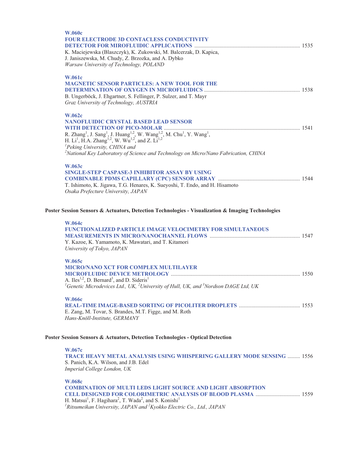| <b>W.060c</b><br><b>FOUR ELECTRODE 3D CONTACLESS CONDUCTIVITY</b><br>K. Maciejewska (Blaszczyk), K. Zukowski, M. Balcerzak, D. Kapica,<br>J. Janiszewska, M. Chudy, Z. Brzozka, and A. Dybko<br>Warsaw University of Technology, POLAND                                                                                                                                                                                                                         |  |
|-----------------------------------------------------------------------------------------------------------------------------------------------------------------------------------------------------------------------------------------------------------------------------------------------------------------------------------------------------------------------------------------------------------------------------------------------------------------|--|
| <b>W.061c</b><br><b>MAGNETIC SENSOR PARTICLES: A NEW TOOL FOR THE</b><br>B. Ungerböck, J. Ehgartner, S. Fellinger, P. Sulzer, and T. Mayr<br>Graz University of Technology, AUSTRIA                                                                                                                                                                                                                                                                             |  |
| <b>W.062c</b><br><b>NANOFLUIDIC CRYSTAL BASED LEAD SENSOR</b><br>R. Zhang <sup>1</sup> , J. Sang <sup>1</sup> , J. Huang <sup>1,2</sup> , W. Wang <sup>1,2</sup> , M. Chu <sup>1</sup> , Y. Wang <sup>1</sup> ,<br>H. Li <sup>1</sup> , H.A. Zhang <sup>1,2</sup> , W. Wu <sup>1,2</sup> , and Z. Li <sup>1,2</sup><br><sup>1</sup> Peking University, CHINA and<br>${}^{2}$ National Key Laboratory of Science and Technology on Micro/Nano Fabrication, CHINA |  |
| <b>W.063c</b><br>SINGLE-STEP CASPASE-3 INHIBITOR ASSAY BY USING<br>T. Ishimoto, K. Jigawa, T.G. Henares, K. Sueyoshi, T. Endo, and H. Hisamoto<br>Osaka Prefecture University, JAPAN                                                                                                                                                                                                                                                                            |  |
| Poster Session Sensors & Actuators, Detection Technologies - Visualization & Imaging Technologies                                                                                                                                                                                                                                                                                                                                                               |  |
| <b>W.064c</b><br><b>FUNCTIONALIZED PARTICLE IMAGE VELOCIMETRY FOR SIMULTANEOUS</b><br>Y. Kazoe, K. Yamamoto, K. Mawatari, and T. Kitamori<br>University of Tokyo, JAPAN                                                                                                                                                                                                                                                                                         |  |
| W.065c<br><b>MICRO/NANO XCT FOR COMPLEX MULTILAYER</b><br>A. Iles <sup>1,2</sup> , D. Bernard <sup>3</sup> , and D. Sideris <sup>1</sup><br><sup>1</sup> Genetic Microdevices Ltd., UK, <sup>2</sup> University of Hull, UK, and <sup>3</sup> Nordson DAGE Ltd, UK                                                                                                                                                                                              |  |
| <b>W.066c</b><br>E. Zang, M. Tovar, S. Brandes, M.T. Figge, and M. Roth<br>Hans-Knöll-Institute, GERMANY                                                                                                                                                                                                                                                                                                                                                        |  |
| Poster Session Sensors & Actuators, Detection Technologies - Optical Detection                                                                                                                                                                                                                                                                                                                                                                                  |  |
| W.067c<br><b>TRACE HEAVY METAL ANALYSIS USING WHISPERING GALLERY MODE SENSING  1556</b><br>S. Panich, K.A. Wilson, and J.B. Edel<br>Imperial College London, UK                                                                                                                                                                                                                                                                                                 |  |
| <b>W.068c</b><br><b>COMBINATION OF MULTI LEDS LIGHT SOURCE AND LIGHT ABSORPTION</b><br><b>CELL DESIGNED FOR COLORIMETRIC ANALYSIS OF BLOOD PLASMA  1559</b><br>H. Matsui <sup>1</sup> , F. Hagihara <sup>2</sup> , T. Wada <sup>2</sup> , and S. Konishi <sup>1</sup><br><sup>1</sup> Ritsumeikan University, JAPAN and ${}^{2}$ Kyokko Electric Co., Ltd., JAPAN                                                                                               |  |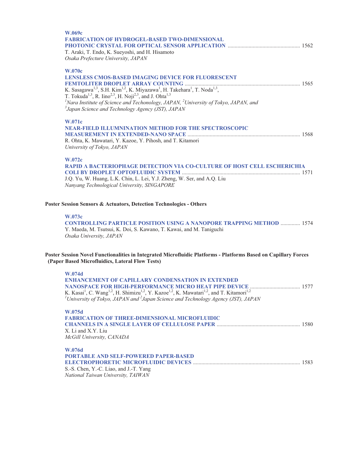| W.069c<br><b>FABRICATION OF HYDROGEL-BASED TWO-DIMENSIONAL</b><br>T. Araki, T. Endo, K. Sueyoshi, and H. Hisamoto<br>Osaka Prefecture University, JAPAN                                                                                                                                                                                                                                                                                                                                                  |  |
|----------------------------------------------------------------------------------------------------------------------------------------------------------------------------------------------------------------------------------------------------------------------------------------------------------------------------------------------------------------------------------------------------------------------------------------------------------------------------------------------------------|--|
| <b>W.070c</b><br><b>LENSLESS CMOS-BASED IMAGING DEVICE FOR FLUORESCENT</b><br>K. Sasagawa <sup>1,3</sup> , S.H. Kim <sup>1,2</sup> , K. Miyazawa <sup>1</sup> , H. Takehara <sup>1</sup> , T. Noda <sup>1,3</sup> ,<br>T. Tokuda <sup>1,3</sup> , R. Iino <sup>2,3</sup> , H. Noji <sup>2,3</sup> , and J. Ohta <sup>1,3</sup><br><sup>1</sup> Nara Institute of Science and Techonology, JAPAN, $^{2}$ University of Tokyo, JAPAN, and<br><sup>3</sup> Japan Science and Technology Agency (JST), JAPAN |  |
| W.071c<br>NEAR-FIELD ILLUMNINATION METHOD FOR THE SPECTROSCOPIC<br>R. Ohta, K. Mawatari, Y. Kazoe, Y. Pihosh, and T. Kitamori<br>University of Tokyo, JAPAN                                                                                                                                                                                                                                                                                                                                              |  |
| W.072c<br>RAPID A BACTERIOPHAGE DETECTION VIA CO-CULTURE OF HOST CELL ESCHERICHIA<br>J.Q. Yu, W. Huang, L.K. Chin, L. Lei, Y.J. Zheng, W. Ser, and A.Q. Liu<br>Nanyang Technological University, SINGAPORE                                                                                                                                                                                                                                                                                               |  |
| Poster Session Sensors & Actuators, Detection Technologies - Others                                                                                                                                                                                                                                                                                                                                                                                                                                      |  |
| W.073c<br><b>CONTROLLING PARTICLE POSITION USING A NANOPORE TRAPPING METHOD  1574</b><br>Y. Maeda, M. Tsutsui, K. Doi, S. Kawano, T. Kawai, and M. Taniguchi<br>Osaka University, JAPAN                                                                                                                                                                                                                                                                                                                  |  |
| Poster Session Novel Functionalities in Integrated Microfluidic Platforms - Platforms Based on Capillary Forces<br>(Paper Based Microfluidics, Lateral Flow Tests)                                                                                                                                                                                                                                                                                                                                       |  |
| W.074d<br><b>ENHANCEMENT OF CAPILLARY CONDENSATION IN EXTENDED</b><br>K. Kasai <sup>1</sup> , C. Wang <sup>1,2</sup> , H. Shimizu <sup>1,2</sup> , Y. Kazoe <sup>1,2</sup> , K. Mawatari <sup>1,2</sup> , and T. Kitamori <sup>1,2</sup><br><sup>1</sup> University of Tokyo, JAPAN and $^{2}$ Japan Science and Technology Agency (JST), JAPAN                                                                                                                                                          |  |
| W.075d<br><b>FABRICATION OF THREE-DIMENSIONAL MICROFLUIDIC</b><br>X. Li and X.Y. Liu<br>McGill University, CANADA                                                                                                                                                                                                                                                                                                                                                                                        |  |
| W.076d<br><b>PORTABLE AND SELF-POWERED PAPER-BASED</b><br>S.-S. Chen, Y.-C. Liao, and J.-T. Yang<br>National Taiwan University, TAIWAN                                                                                                                                                                                                                                                                                                                                                                   |  |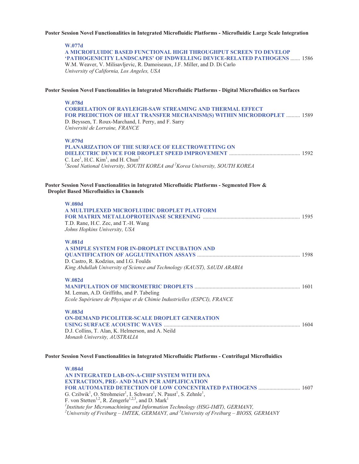## **Poster Session Novel Functionalities in Integrated Microfluidic Platforms - Microfluidic Large Scale Integration**

#### **W.077d**

**A MICROFLUIDIC BASED FUNCTIONAL HIGH THROUGHPUT SCREEN TO DEVELOP 'PATHOGENICITY LANDSCAPES' OF INDWELLING DEVICE-RELATED PATHOGENS** ....... 1586 W.M. Weaver, V. Milisavljevic, R. Damoiseaux, J.F. Miller, and D. Di Carlo *University of California, Los Angeles, USA* 

## **Poster Session Novel Functionalities in Integrated Microfluidic Platforms - Digital Microfluidics on Surfaces**

| W.078d<br><b>CORRELATION OF RAYLEIGH-SAW STREAMING AND THERMAL EFFECT</b><br>FOR PREDICTION OF HEAT TRANSFER MECHANISM(S) WITHIN MICRODROPLET  1589<br>D. Beyssen, T. Roux-Marchand, I. Perry, and F. Sarry<br>Université de Lorraine, FRANCE      |  |
|----------------------------------------------------------------------------------------------------------------------------------------------------------------------------------------------------------------------------------------------------|--|
| W.079d<br><b>PLANARIZATION OF THE SURFACE OF ELECTROWETTING ON</b><br>C. Lee <sup>1</sup> , H.C. Kim <sup>1</sup> , and H. Chun <sup>2</sup><br><sup>1</sup> Seoul National University, SOUTH KOREA and <sup>2</sup> Korea University, SOUTH KOREA |  |
| Poster Session Novel Functionalities in Integrated Microfluidic Platforms - Segmented Flow &<br><b>Droplet Based Microfluidics in Channels</b>                                                                                                     |  |
| <b>W.080d</b><br>A MULTIPLEXED MICROFLUIDIC DROPLET PLATFORM<br>T.D. Rane, H.C. Zec, and T.-H. Wang<br>Johns Hopkins University, USA                                                                                                               |  |
| W.081d<br>A SIMPLE SYSTEM FOR IN-DROPLET INCUBATION AND<br>D. Castro, R. Kodzius, and I.G. Foulds<br>King Abdullah University of Science and Technology (KAUST), SAUDI ARABIA                                                                      |  |
| <b>W.082d</b><br>M. Leman, A.D. Griffiths, and P. Tabeling<br>Ecole Supérieure de Physique et de Chimie Industrielles (ESPCI), FRANCE                                                                                                              |  |
| <b>W.083d</b><br>ON-DEMAND PICOLITER-SCALE DROPLET GENERATION<br>D.J. Collins, T. Alan, K. Helmerson, and A. Neild<br>Monash University, AUSTRALIA                                                                                                 |  |
| Poster Session Novel Functionalities in Integrated Microfluidic Platforms - Centrifugal Microfluidics                                                                                                                                              |  |

**W.084d AN INTEGRATED LAB-ON-A-CHIP SYSTEM WITH DNA EXTRACTION, PRE- AND MAIN PCR AMPLIFICATION FOR AUTOMATED DETECTION OF LOW CONCENTRATED PATHOGENS** .............................. 1607 G. Czilwik<sup>1</sup>, O. Strohmeier<sup>1</sup>, I. Schwarz<sup>1</sup>, N. Paust<sup>1</sup>, S. Zehnle<sup>1</sup>, F. von Stetten<sup>1,2</sup>, R. Zengerle<sup>1,2,3</sup>, and D. Mark<sup>1</sup> <sup>1</sup> Institute for Micromachining and Information Technology (HSG-IMIT), GERMANY,<br><sup>2</sup>University of Excityres - IMTEK, GERMANY, and <sup>3</sup>University of Excityres - RIOSS *University of Freiburg – IMTEK, GERMANY, and <sup>3</sup> University of Freiburg – BIOSS, GERMANY*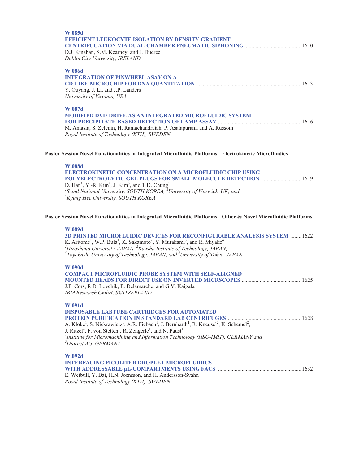| W.085d<br><b>EFFICIENT LEUKOCYTE ISOLATION BY DENSITY-GRADIENT</b><br>D.J. Kinahan, S.M. Kearney, and J. Ducree<br>Dublin City University, IRELAND                                                                                                                                                                                                                                                                                                                                   |  |
|--------------------------------------------------------------------------------------------------------------------------------------------------------------------------------------------------------------------------------------------------------------------------------------------------------------------------------------------------------------------------------------------------------------------------------------------------------------------------------------|--|
| <b>W.086d</b><br><b>INTEGRATION OF PINWHEEL ASAY ON A</b><br>Y. Ouyang, J. Li, and J.P. Landers<br>University of Virginia, USA                                                                                                                                                                                                                                                                                                                                                       |  |
| W.087d<br>MODIFIED DVD-DRIVE AS AN INTEGRATED MICROFLUIDIC SYSTEM<br>M. Amasia, S. Zelenin, H. Ramachandraiah, P. Asalapuram, and A. Russom<br>Royal Institute of Technology (KTH), SWEDEN                                                                                                                                                                                                                                                                                           |  |
| Poster Session Novel Functionalities in Integrated Microfluidic Platforms - Electrokinetic Microfluidics                                                                                                                                                                                                                                                                                                                                                                             |  |
| <b>W.088d</b><br><b>ELECTROKINETIC CONCENTRATION ON A MICROFLUIDIC CHIP USING</b><br>POLYELECTROLYTIC GEL PLUGS FOR SMALL MOLECULE DETECTION  1619<br>D. Han <sup>1</sup> , Y.-R. Kim <sup>2</sup> , J. Kim <sup>3</sup> , and T.D. Chung <sup>1</sup><br>${}^{1}$ Seoul National University, SOUTH KOREA, ${}^{2}$ University of Warwick, UK, and<br><sup>3</sup> Kyung Hee University, SOUTH KOREA                                                                                 |  |
| Poster Session Novel Functionalities in Integrated Microfluidic Platforms - Other & Novel Microfluidic Platforms                                                                                                                                                                                                                                                                                                                                                                     |  |
| W.089d<br><b>3D PRINTED MICROFLUIDIC DEVICES FOR RECONFIGURABLE ANALYSIS SYSTEM  1622</b><br>K. Aritome <sup>1</sup> , W.P. Bula <sup>1</sup> , K. Sakamoto <sup>2</sup> , Y. Murakami <sup>3</sup> , and R. Miyake <sup>4</sup><br><sup>1</sup> Hiroshima University, JAPAN, ${}^{2}K$ yushu Institute of Technology, JAPAN,<br>$3$ Toyohashi University of Technology, JAPAN, and $4$ University of Tokyo, JAPAN                                                                   |  |
| <b>W.090d</b><br><b>COMPACT MICROFLUIDIC PROBE SYSTEM WITH SELF-ALIGNED</b><br>J.F. Cors, R.D. Lovchik, E. Delamarche, and G.V. Kaigala<br>IBM Research GmbH, SWITZERLAND                                                                                                                                                                                                                                                                                                            |  |
| W.091d<br><b>DISPOSABLE LABTUBE CARTRIDGES FOR AUTOMATED</b><br>A. Kloke <sup>1</sup> , S. Niekrawietz <sup>1</sup> , A.R. Fiebach <sup>1</sup> , J. Bernhardt <sup>1</sup> , R. Kneusel <sup>2</sup> , K. Schemel <sup>2</sup> ,<br>J. Ritzel <sup>2</sup> , F. von Stetten <sup>1</sup> , R. Zengerle <sup>1</sup> , and N. Paust <sup>1</sup><br><sup>1</sup> Institute for Micromachining and Information Technology (HSG-IMIT), GERMANY and<br><sup>2</sup> Diarect AG, GERMANY |  |
| W.092d<br><b>INTERFACING PICOLITER DROPLET MICROFLUIDICS</b><br>E. Weibull, Y. Bai, H.N. Joensson, and H. Andersson-Svahn<br>Royal Institute of Technology (KTH), SWEDEN                                                                                                                                                                                                                                                                                                             |  |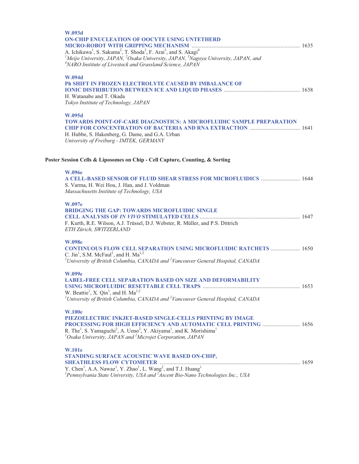| W.093d<br><b>ON-CHIP ENUCLEATION OF OOCYTE USING UNTETHERD</b><br>A. Ichikawa <sup>1</sup> , S. Sakuma <sup>2</sup> , T. Shoda <sup>3</sup> , F. Arai <sup>3</sup> , and S. Akagi <sup>4</sup><br><sup>1</sup> Meijo University, JAPAN, $^{2}$ Osaka University, JAPAN, $^{3}$ Nagoya University, JAPAN, and<br><sup>4</sup> NARO Institute of Livestock and Grassland Science, JAPAN |  |
|---------------------------------------------------------------------------------------------------------------------------------------------------------------------------------------------------------------------------------------------------------------------------------------------------------------------------------------------------------------------------------------|--|
| W.094d<br>Ph SHIFT IN FROZEN ELECTROLYTE CAUSED BY IMBALANCE OF<br>H. Watanabe and T. Okada<br>Tokyo Institute of Technology, JAPAN                                                                                                                                                                                                                                                   |  |
| W.095d<br><b>TOWARDS POINT-OF-CARE DIAGNOSTICS: A MICROFLUIDIC SAMPLE PREPARATION</b><br>CHIP FOR CONCENTRATION OF BACTERIA AND RNA EXTRACTION  1641<br>H. Hubbe, S. Hakenberg, G. Dame, and G.A. Urban<br>University of Freiburg - IMTEK, GERMANY                                                                                                                                    |  |
| Poster Session Cells & Liposomes on Chip - Cell Capture, Counting, & Sorting                                                                                                                                                                                                                                                                                                          |  |
| <b>W.096e</b><br><b>A CELL-BASED SENSOR OF FLUID SHEAR STRESS FOR MICROFLUIDICS  1644</b><br>S. Varma, H. Wei Hou, J. Han, and J. Voldman<br>Massachusetts Institute of Technology, USA                                                                                                                                                                                               |  |
| W.097e<br><b>BRIDGING THE GAP: TOWARDS MICROFLUIDIC SINGLE</b><br>F. Kurth, R.E. Wilson, A.J. Trüssel, D.J. Webster, R. Müller, and P.S. Dittrich<br>ETH Zürich, SWITZERLAND                                                                                                                                                                                                          |  |
| <b>W.098e</b><br><b>CONTINUOUS FLOW CELL SEPARATION USING MICROFLUIDIC RATCHETS  1650</b><br>C. Jin <sup>1</sup> , S.M. McFaul <sup>1</sup> , and H. Ma <sup>1,2</sup><br><sup>1</sup> University of British Columbia, CANADA and <sup>2</sup> Vancouver General Hospital, CANADA                                                                                                     |  |
| W.099e<br><b>LABEL-FREE CELL SEPARATION BASED ON SIZE AND DEFORMABILITY</b><br>W. Beattie <sup>1</sup> , X. Qin <sup>1</sup> , and H. Ma <sup>1,2</sup><br><sup>1</sup> University of British Columbia, CANADA and $^{2}V$ ancouver General Hospital, CANADA                                                                                                                          |  |
| <b>W.100e</b><br>PIEZOELECTRIC INKJET-BASED SINGLE-CELLS PRINTING BY IMAGE<br>PROCESSING FOR HIGH EFFICIENCY AND AUTOMATIC CELL PRINTING  1656<br>R. The <sup>1</sup> , S. Yamaguchi <sup>2</sup> , A. Ueno <sup>2</sup> , Y. Akiyama <sup>1</sup> , and K. Morishima <sup>1</sup><br>${}^{1}$ Osaka University, JAPAN and ${}^{2}$ Microjet Corporation, JAPAN                       |  |
| <b>W.101e</b><br>STANDING SURFACE ACOUSTIC WAVE BASED ON-CHIP,<br>Y. Chen <sup>1</sup> , A.A. Nawaz <sup>1</sup> , Y. Zhao <sup>1</sup> , L. Wang <sup>2</sup> , and T.J. Huang <sup>1</sup><br><sup>1</sup> Pennsylvania State University, USA and $^{2}$ Ascent Bio-Nano Technologies Inc., USA                                                                                     |  |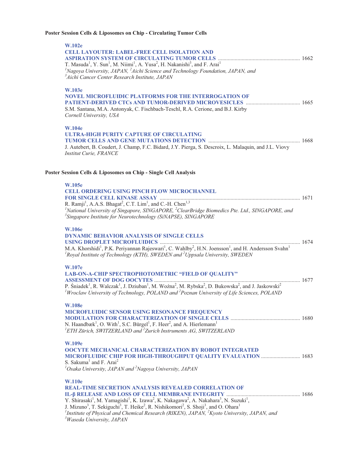# **Poster Session Cells & Liposomes on Chip - Circulating Tumor Cells**

| <b>W.102e</b>                                                                                                                                                                                                                                                                      |  |
|------------------------------------------------------------------------------------------------------------------------------------------------------------------------------------------------------------------------------------------------------------------------------------|--|
| <b>CELL LAYOUTER: LABEL-FREE CELL ISOLATION AND</b>                                                                                                                                                                                                                                |  |
| T. Masuda <sup>1</sup> , Y. Sun <sup>1</sup> , M. Niimi <sup>1</sup> , A. Yusa <sup>2</sup> , H. Nakanishi <sup>3</sup> , and F. Arai <sup>1</sup>                                                                                                                                 |  |
| ${}^{1}$ Nagoya University, JAPAN, ${}^{2}$ Aichi Science and Technology Foundation, JAPAN, and                                                                                                                                                                                    |  |
| <sup>3</sup> Aichi Cancer Center Research Institute, JAPAN                                                                                                                                                                                                                         |  |
|                                                                                                                                                                                                                                                                                    |  |
| <b>W.103e</b><br><b>NOVEL MICROFLUIDIC PLATFORMS FOR THE INTERROGATION OF</b>                                                                                                                                                                                                      |  |
|                                                                                                                                                                                                                                                                                    |  |
| S.M. Santana, M.A. Antonyak, C. Fischbach-Teschl, R.A. Cerione, and B.J. Kirby                                                                                                                                                                                                     |  |
| Cornell University, USA                                                                                                                                                                                                                                                            |  |
| <b>W.104e</b>                                                                                                                                                                                                                                                                      |  |
| ULTRA-HIGH PURITY CAPTURE OF CIRCULATING                                                                                                                                                                                                                                           |  |
|                                                                                                                                                                                                                                                                                    |  |
| J. Autebert, B. Coudert, J. Champ, F.C. Bidard, J.Y. Pierga, S. Descroix, L. Malaquin, and J.L. Viovy                                                                                                                                                                              |  |
| <b>Institut Curie, FRANCE</b>                                                                                                                                                                                                                                                      |  |
|                                                                                                                                                                                                                                                                                    |  |
| Poster Session Cells & Liposomes on Chip - Single Cell Analysis                                                                                                                                                                                                                    |  |
| <b>W.105e</b>                                                                                                                                                                                                                                                                      |  |
| <b>CELL ORDERING USING PINCH FLOW MICROCHANNEL</b>                                                                                                                                                                                                                                 |  |
|                                                                                                                                                                                                                                                                                    |  |
| <sup>1</sup> National University of Singapore, SINGAPORE, <sup>2</sup> ClearBridge Biomedics Pte. Ltd., SINGAPORE, and                                                                                                                                                             |  |
| <sup>3</sup> Singapore Institute for Neurotechnology (SiNAPSE), SINGAPORE                                                                                                                                                                                                          |  |
| <b>W.106e</b>                                                                                                                                                                                                                                                                      |  |
| <b>DYNAMIC BEHAVIOR ANALYSIS OF SINGLE CELLS</b>                                                                                                                                                                                                                                   |  |
|                                                                                                                                                                                                                                                                                    |  |
| M.A. Khorshidi <sup>1</sup> , P.K. Periyannan Rajeswari <sup>1</sup> , C. Wahlby <sup>2</sup> , H.N. Joensson <sup>1</sup> , and H. Andersson Svahn <sup>1</sup><br><sup>1</sup> Royal Institute of Technology (KTH), SWEDEN and <sup>2</sup> Uppsala University, SWEDEN           |  |
|                                                                                                                                                                                                                                                                                    |  |
| W.107e                                                                                                                                                                                                                                                                             |  |
| LAB-ON-A-CHIP SPECTROPHOTOMETRIC "FIELD OF QUALITY"                                                                                                                                                                                                                                |  |
| P. Śniadek <sup>1</sup> , R. Walczak <sup>1</sup> , J. Dziuban <sup>1</sup> , M. Woźna <sup>2</sup> , M. Rybska <sup>2</sup> , D. Bukowska <sup>2</sup> , and J. Jaskowski <sup>2</sup>                                                                                            |  |
|                                                                                                                                                                                                                                                                                    |  |
|                                                                                                                                                                                                                                                                                    |  |
| <sup>1</sup> Wroclaw University of Technology, POLAND and <sup>2</sup> Poznan University of Life Sciences, POLAND                                                                                                                                                                  |  |
| <b>W.108e</b>                                                                                                                                                                                                                                                                      |  |
| MICROFLUIDIC SENSOR USING RESONANCE FREQUENCY                                                                                                                                                                                                                                      |  |
|                                                                                                                                                                                                                                                                                    |  |
| N. Haandbæk <sup>1</sup> , O. With <sup>1</sup> , S.C. Bürgel <sup>1</sup> , F. Heer <sup>2</sup> , and A. Hierlemann <sup>1</sup><br><sup>1</sup> ETH Zürich, SWITZERLAND and <sup>2</sup> Zurich Instruments AG, SWITZERLAND                                                     |  |
|                                                                                                                                                                                                                                                                                    |  |
| <b>W.109e</b>                                                                                                                                                                                                                                                                      |  |
| <b>OOCYTE MECHANICAL CHARACTERIZATION BY ROBOT INTEGRATED</b>                                                                                                                                                                                                                      |  |
| MICROFLUIDIC CHIP FOR HIGH-THROUGHPUT QUALITY EVALUATION  1683<br>S. Sakuma <sup>1</sup> and F. Arai <sup>2</sup>                                                                                                                                                                  |  |
| ${}^{1}$ Osaka University, JAPAN and ${}^{2}$ Nagoya University, JAPAN                                                                                                                                                                                                             |  |
| <b>W.110e</b>                                                                                                                                                                                                                                                                      |  |
| <b>REAL-TIME SECRETION ANALYSIS REVEALED CORRELATION OF</b>                                                                                                                                                                                                                        |  |
|                                                                                                                                                                                                                                                                                    |  |
| Y. Shirasaki <sup>1</sup> , M. Yamagishi <sup>1</sup> , K. Izawa <sup>2</sup> , K. Nakagawa <sup>2</sup> , A. Nakahara <sup>3</sup> , N. Suzuki <sup>1</sup> ,                                                                                                                     |  |
| J. Mizuno <sup>3</sup> , T. Sekiguchi <sup>3</sup> , T. Heike <sup>2</sup> , R. Nishikomori <sup>2</sup> , S. Shoji <sup>3</sup> , and O. Ohara <sup>1</sup><br><sup>1</sup> Institute of Physical and Chemical Research (RIKEN), JAPAN, <sup>2</sup> Kyoto University, JAPAN, and |  |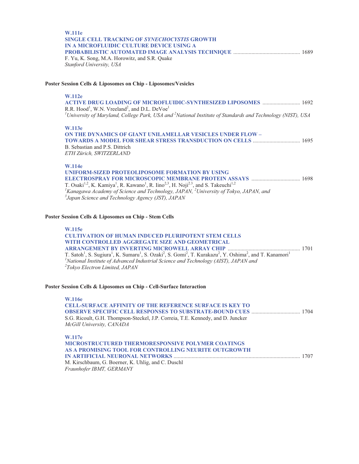| <b>W.111e</b>                                       |  |
|-----------------------------------------------------|--|
| <b>SINGLE CELL TRACKING OF SYNECHOCYSTIS GROWTH</b> |  |
| IN A MICROFLUIDIC CULTURE DEVICE USING A            |  |
|                                                     |  |
| F. Yu, K. Song, M.A. Horowitz, and S.R. Quake       |  |
| Stanford University, USA                            |  |

## **Poster Session Cells & Liposomes on Chip - Liposomes/Vesicles**

#### **W.112e**

**ACTIVE DRUG LOADING OF MICROFLUIDIC-SYNTHESIZED LIPOSOMES** ........................... 1692 R.R. Hood<sup>1</sup>, W.N. Vreeland<sup>2</sup>, and D.L. DeVoe<sup>1</sup> <sup>1</sup>University of Maryland, College Park, USA and <sup>2</sup>National Institute of Standards and Technology (NIST), USA

#### **W.113e**

**ON THE DYNAMICS OF GIANT UNILAMELLAR VESICLES UNDER FLOW – TOWARDS A MODEL FOR SHEAR STRESS TRANSDUCTION ON CELLS** .................................. 1695 B. Sebastian and P.S. Dittrich *ETH Zürich, SWITZERLAND* 

#### **W.114e**

**UNIFORM-SIZED PROTEOLIPOSOME FORMATION BY USING ELECTROSPRAY FOR MICROSCOPIC MEMBRANE PROTEIN ASSAYS** ................................... 1698 T. Osaki<sup>1,2</sup>, K. Kamiya<sup>1</sup>, R. Kawano<sup>1</sup>, R. Iino<sup>2,3</sup>, H. Noji<sup>2,3</sup>, and S. Takeuchi<sup>1,2</sup><br><sup>*I*</sup> Kanagawa Academy of Science and Technology, JAPAN, <sup>2</sup> University of Tokyo, JAPAN, and <sup>3</sup> Japan, Science and Technology Aga *Japan Science and Technology Agency (JST), JAPAN* 

# **Poster Session Cells & Liposomes on Chip - Stem Cells**

#### **W.115e**

| <b>CULTIVATION OF HUMAN INDUCED PLURIPOTENT STEM CELLS</b>                                                                                                                                                 |  |
|------------------------------------------------------------------------------------------------------------------------------------------------------------------------------------------------------------|--|
| WITH CONTROLLED AGGREGATE SIZE AND GEOMETRICAL                                                                                                                                                             |  |
|                                                                                                                                                                                                            |  |
| T. Satoh <sup>1</sup> , S. Sugiura <sup>1</sup> , K. Sumaru <sup>1</sup> , S. Ozaki <sup>2</sup> , S. Gomi <sup>2</sup> , T. Kurakazu <sup>2</sup> , Y. Oshima <sup>2</sup> , and T. Kanamori <sup>1</sup> |  |
| <sup>1</sup> National Institute of Advanced Industrial Science and Technology (AIST), JAPAN and                                                                                                            |  |
| <sup>2</sup> Tokyo Electron Limited, JAPAN                                                                                                                                                                 |  |

# **Poster Session Cells & Liposomes on Chip - Cell-Surface Interaction**

**W.116e CELL-SURFACE AFFINITY OF THE REFERENCE SURFACE IS KEY TO OBSERVE SPECIFIC CELL RESPONSES TO SUBSTRATE-BOUND CUES** ................................... 1704 S.G. Ricoult, G.H. Thompson-Steckel, J.P. Correia, T.E. Kennedy, and D. Juncker *McGill University, CANADA*  **W.117e MICROSTRUCTURED THERMORESPONSIVE POLYMER COATINGS AS A PROMISING TOOL FOR CONTROLLING NEURITE OUTGROWTH IN ARTIFICIAL NEURONAL NETWORKS** ........................................................................................... 1707 M. Kirschbaum, G. Boerner, K. Uhlig, and C. Duschl *Fraunhofer IBMT, GERMANY*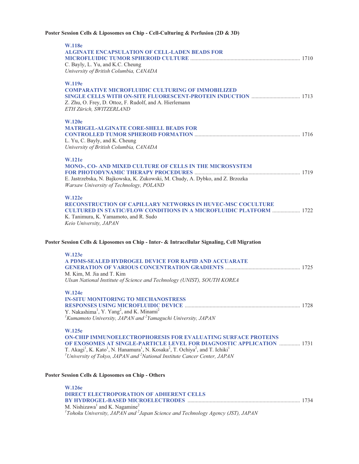**Poster Session Cells & Liposomes on Chip - Cell-Culturing & Perfusion (2D & 3D)** 

| <b>W.118e</b><br><b>ALGINATE ENCAPSULATION OF CELL-LADEN BEADS FOR</b><br>C. Bayly, L. Yu, and K.C. Cheung<br>University of British Columbia, CANADA                                                                                                                                                                                                                                                                         |  |
|------------------------------------------------------------------------------------------------------------------------------------------------------------------------------------------------------------------------------------------------------------------------------------------------------------------------------------------------------------------------------------------------------------------------------|--|
| W.119e<br><b>COMPARATIVE MICROFLUIDIC CULTURING OF IMMOBILIZED</b><br>Z. Zhu, O. Frey, D. Ottoz, F. Rudolf, and A. Hierlemann<br>ETH Zürich, SWITZERLAND                                                                                                                                                                                                                                                                     |  |
| <b>W.120e</b><br><b>MATRIGEL-ALGINATE CORE-SHELL BEADS FOR</b><br>L. Yu, C. Bayly, and K. Cheung<br>University of British Columbia, CANADA                                                                                                                                                                                                                                                                                   |  |
| <b>W.121e</b><br>MONO-, CO- AND MIXED CULTURE OF CELLS IN THE MICROSYSTEM<br>E. Jastrzebska, N. Bajkowska, K. Zukowski, M. Chudy, A. Dybko, and Z. Brzozka<br>Warsaw University of Technology, POLAND                                                                                                                                                                                                                        |  |
| <b>W.122e</b><br><b>RECONSTRUCTION OF CAPILLARY NETWORKS IN HUVEC-MSC COCULTURE</b><br><b>CULTURED IN STATIC/FLOW CONDITIONS IN A MICROFLUIDIC PLATFORM  1722</b><br>K. Tanimura, K. Yamamoto, and R. Sudo<br>Keio University, JAPAN                                                                                                                                                                                         |  |
| Poster Session Cells & Liposomes on Chip - Inter- & Intracellular Signaling, Cell Migration                                                                                                                                                                                                                                                                                                                                  |  |
| <b>W.123e</b><br>A PDMS-SEALED HYDROGEL DEVICE FOR RAPID AND ACCUARATE<br>M. Kim, M. Jia and T. Kim<br>Ulsan National Institute of Science and Technology (UNIST), SOUTH KOREA                                                                                                                                                                                                                                               |  |
| <b>W.124e</b><br><b>IN-SITU MONITORING TO MECHANOSTRESS</b><br>Y. Nakashima <sup>1</sup> , Y. Yang <sup>2</sup> , and K. Minami <sup>2</sup><br><sup>1</sup> Kumamoto University, JAPAN and <sup>2</sup> Yamaguchi University, JAPAN                                                                                                                                                                                         |  |
| <b>W.125e</b><br><b>ON-CHIP IMMUNOELECTROPHORESIS FOR EVALUATING SURFACE PROTEINS</b><br>OF EXOSOMES AT SINGLE-PARTICLE LEVEL FOR DIAGNOSTIC APPLICATION  1731<br>T. Akagi <sup>1</sup> , K. Kato <sup>1</sup> , N. Hanamura <sup>1</sup> , N. Kosaka <sup>2</sup> , T. Ochiya <sup>2</sup> , and T. Ichiki <sup>1</sup><br><sup>1</sup> University of Tokyo, JAPAN and <sup>2</sup> National Institute Cancer Center, JAPAN |  |
| Poster Session Cells & Liposomes on Chip - Others                                                                                                                                                                                                                                                                                                                                                                            |  |
| <b>W.126e</b><br><b>DIRECT ELECTROPORATION OF ADHERENT CELLS</b><br>M. Nishizawa <sup>1</sup> and K. Nagamine <sup>2</sup><br>${}^{1}$ Tohoku University, JAPAN and ${}^{2}$ Japan Science and Technology Agency (JST), JAPAN                                                                                                                                                                                                |  |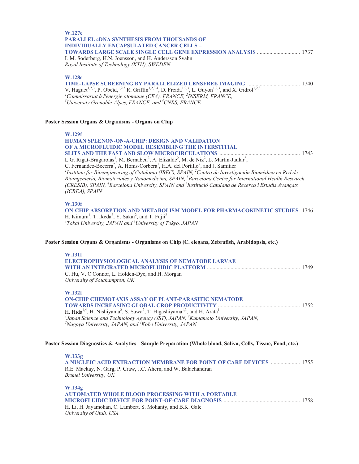# **W.127e PARALLEL cDNA SYNTHESIS FROM THOUSANDS OF INDIVIDUALLY ENCAPSULATED CANCER CELLS – TOWARDS LARGE SCALE SINGLE CELL GENE EXPRESSION ANALYSIS** ............................... 1737 L.M. Soderberg, H.N. Joensson, and H. Andersson Svahn *Royal Institute of Technology (KTH), SWEDEN*  **W.128e TIME-LAPSE SCREENING BY PARALLELIZED LENSFREE IMAGING** ...................................... 1740 V. Haguet<sup>1,2,3</sup>, P. Obeïd,<sup>1,2,3</sup> R. Griffin<sup>1,2,3,4</sup>, D. Freida<sup>1,2,3</sup>, L. Guyon<sup>1,2,3</sup>, and X. Gidrol<sup>1,2,3</sup><br><sup>*1</sup>Commissariat à l'énergie atomique (CEA), FRANCE, <sup>2</sup>INSERM, FRANCE,<br><sup>3</sup>University Grapoble Alpes, EPANCE, </sup> University Grenoble-Alpes, FRANCE, and 4 CNRS, FRANCE*  **Poster Session Organs & Organisms - Organs on Chip W.129f HUMAN SPLENON-ON-A-CHIP: DESIGN AND VALIDATION OF A MICROFLUIDIC MODEL RESEMBLING THE INTERSTITIAL SLITS AND THE FAST AND SLOW MICROCIRCULATIONS** .......................................................... 1743 L.G. Rigat-Brugarolas<sup>1</sup>, M. Bernabeu<sup>2</sup>, A. Elizalde<sup>2</sup>, M. de Niz<sup>2</sup>, L. Martin-Jaular<sup>2</sup>, C. Fernandez-Becerra<sup>2</sup>, A. Homs-Corbera<sup>1</sup>, H.A. del Portillo<sup>2</sup>, and J. Samitier<sup>1</sup> *1 Institute for Bioengineering of Catalonia (IBEC), SPAIN, 2 Centro de Investigación Biomédica en Red de Bioingeniería, Biomateriales y Nanomedicina, SPAIN, 3 Barcelona Centre for International Health Research (CRESIB), SPAIN, 4 Barcelona University, SPAIN and <sup>5</sup> Institució Catalana de Recerca i Estudis Avançats (ICREA), SPAIN*  **W.130f ON-CHIP ABSORPTION AND METABOLISM MODEL FOR PHARMACOKINETIC STUDIES** 1746 H. Kimura<sup>1</sup>, T. Ikeda<sup>2</sup>, Y. Sakai<sup>2</sup>, and T. Fujii<sup>2</sup> *1 Tokai University, JAPAN and <sup>2</sup> University of Tokyo, JAPAN*

## **Poster Session Organs & Organisms - Organisms on Chip (C. elegans, Zebrafish, Arabidopsis, etc.)**

#### **W.131f**

| ELECTROPHYSIOLOGICAL ANALYSIS OF NEMATODE LARVAE |  |
|--------------------------------------------------|--|
|                                                  |  |
| C. Hu, V. O'Connor, L. Holden-Dye, and H. Morgan |  |
| University of Southampton, UK                    |  |

## **W.132f**

| <b>ON-CHIP CHEMOTAXIS ASSAY OF PLANT-PARASITIC NEMATODE</b>                                                                           |  |
|---------------------------------------------------------------------------------------------------------------------------------------|--|
|                                                                                                                                       |  |
| H. Hida <sup>1,4</sup> , H. Nishiyama <sup>2</sup> , S. Sawa <sup>2</sup> , T. Higashiyama <sup>1,3</sup> , and H. Arata <sup>1</sup> |  |
| <sup>1</sup> Japan Science and Technology Agency (JST), JAPAN, ${}^{2}$ Kumamoto University, JAPAN,                                   |  |
| <sup>3</sup> Nagoya University, JAPAN, and <sup>4</sup> Kobe University, JAPAN                                                        |  |

### **Poster Session Diagnostics & Analytics - Sample Preparation (Whole blood, Saliva, Cells, Tissue, Food, etc.)**

**W.133g A NUCLEIC ACID EXTRACTION MEMBRANE FOR POINT OF CARE DEVICES** ..................... 1755 R.E. Mackay, N. Garg, P. Craw, J.C. Ahern, and W. Balachandran *Brunel University, UK*  **W.134g** 

| W.1342                                                     |  |
|------------------------------------------------------------|--|
| <b>AUTOMATED WHOLE BLOOD PROCESSING WITH A PORTABLE</b>    |  |
|                                                            |  |
| H. Li, H. Jayamohan, C. Lambert, S. Mohanty, and B.K. Gale |  |
| University of Utah, USA                                    |  |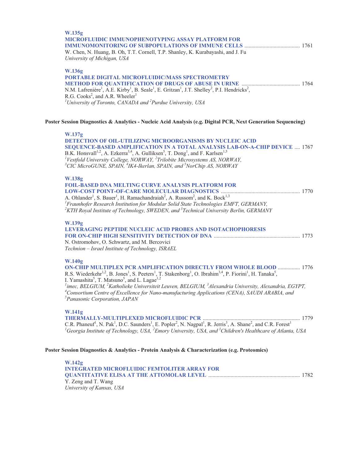| W.135g<br><b>MICROFLUIDIC IMMUNOPHENOTYPING ASSAY PLATFORM FOR</b><br>W. Chen, N. Huang, B. Oh, T.T. Cornell, T.P. Shanley, K. Kurabayashi, and J. Fu<br>University of Michigan, USA                                                                                                                                                                                                                                                                                                                                                                                                                                                                                               |
|------------------------------------------------------------------------------------------------------------------------------------------------------------------------------------------------------------------------------------------------------------------------------------------------------------------------------------------------------------------------------------------------------------------------------------------------------------------------------------------------------------------------------------------------------------------------------------------------------------------------------------------------------------------------------------|
| W.136g<br>PORTABLE DIGITAL MICROFLUIDIC/MASS SPECTROMETRY<br>N.M. Lafrenière <sup>1</sup> , A.E. Kirby <sup>1</sup> , B. Seale <sup>1</sup> , E. Gritzan <sup>1</sup> , J.T. Shelley <sup>2</sup> , P.I. Hendricks <sup>2</sup> ,<br>R.G. Cooks <sup>2</sup> , and A.R. Wheeler <sup>1</sup><br><sup>1</sup> University of Toronto, CANADA and <sup>2</sup> Purdue University, USA                                                                                                                                                                                                                                                                                                 |
| Poster Session Diagnostics & Analytics - Nucleic Acid Analysis (e.g. Digital PCR, Next Generation Sequencing)                                                                                                                                                                                                                                                                                                                                                                                                                                                                                                                                                                      |
| W.137g<br><b>DETECTION OF OIL-UTILIZING MICROORGANISMS BY NUCLEIC ACID</b><br>SEQUENCE-BASED AMPLIFICATION IN A TOTAL ANALYSIS LAB-ON-A-CHIP DEVICE  1767<br>B.K. Honsvall <sup>1,2</sup> , A. Ezkerra <sup>3,4</sup> , A. Gulliksen <sup>5</sup> , T. Dong <sup>1</sup> , and F. Karlsen <sup>1,5</sup><br><sup>1</sup> Vestfold University College, NORWAY, <sup>2</sup> Trilobite Microsystems AS, NORWAY,<br><sup>3</sup> CIC MicroGUNE, SPAIN, <sup>4</sup> IK4-Ikerlan, SPAIN, and <sup>5</sup> NorChip AS, NORWAY                                                                                                                                                           |
| W.138g<br><b>FOIL-BASED DNA MELTING CURVE ANALYSIS PLATFORM FOR</b><br>A. Ohlander <sup>1</sup> , S. Bauer <sup>1</sup> , H. Ramachandraiah <sup>2</sup> , A. Russom <sup>2</sup> , and K. Bock <sup>1,3</sup><br><sup>1</sup> Fraunhofer Research Institution for Modular Solid State Technologies EMFT, GERMANY,<br><sup>2</sup> KTH Royal Institute of Technology, SWEDEN, and <sup>3</sup> Technical University Berlin, GERMANY                                                                                                                                                                                                                                                |
| W.139g<br>LEVERAGING PEPTIDE NUCLEIC ACID PROBES AND ISOTACHOPHORESIS<br>N. Ostromohov, O. Schwartz, and M. Bercovici<br>Technion - Israel Institute of Technology, ISRAEL                                                                                                                                                                                                                                                                                                                                                                                                                                                                                                         |
| <b>W.140g</b><br>ON-CHIP MULTIPLEX PCR AMPLIFICATION DIRECTLY FROM WHOLE BLOOD  1776<br>R.S. Wiederkehr <sup>1,2</sup> , B. Jones <sup>1</sup> , S. Peeters <sup>1</sup> , T. Stakenborg <sup>1</sup> , O. Ibrahim <sup>3,4</sup> , P. Fiorini <sup>1</sup> , H. Tanaka <sup>5</sup> ,<br>I. Yamashita <sup>5</sup> , T. Matsuno <sup>5</sup> , and L. Lagae <sup>1,2</sup><br><sup>1</sup> imec, BELGIUM, <sup>2</sup> Katholieke Universiteit Leuven, BELGIUM, <sup>3</sup> Alexandria University, Alexandria, EGYPT,<br><sup>4</sup> Consortium Centre of Excellence for Nano-manufacturing Applications (CENA), SAUDI ARABIA, and<br><sup>5</sup> Panasonic Corporation, JAPAN |
| <b>W.141g</b><br>C.R. Phaneuf <sup>1</sup> , N. Pak <sup>1</sup> , D.C. Saunders <sup>1</sup> , E. Popler <sup>2</sup> , N. Nagpal <sup>1</sup> , R. Jerris <sup>3</sup> , A. Shane <sup>2</sup> , and C.R. Forest <sup>1</sup><br><sup>1</sup> Georgia Institute of Technology, USA, <sup>2</sup> Emory University, USA, and <sup>3</sup> Children's Healthcare of Atlanta, USA                                                                                                                                                                                                                                                                                                   |
| Poster Session Diagnostics & Analytics - Protein Analysis & Characterization (e.g. Proteomics)                                                                                                                                                                                                                                                                                                                                                                                                                                                                                                                                                                                     |
| W.142g<br><b>INTEGRATED MICROFLUIDIC FEMTOLITER ARRAY FOR</b>                                                                                                                                                                                                                                                                                                                                                                                                                                                                                                                                                                                                                      |

Y. Zeng and T. Wang *University of Kansas, USA*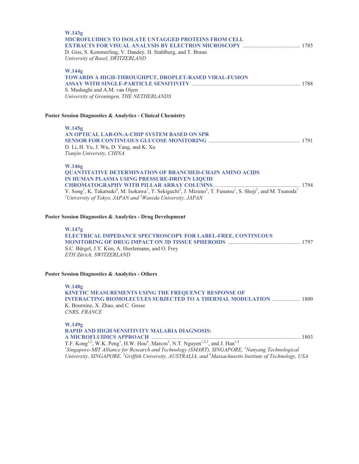| W.143g<br><b>MICROFLUIDICS TO ISOLATE UNTAGGED PROTEINS FROM CELL</b><br>D. Giss, S. Kemmerling, V. Dandey, H. Stahlberg, and T. Braun<br>University of Basel, SWITZERLAND                                                                                                                                                                                                                                                               |  |
|------------------------------------------------------------------------------------------------------------------------------------------------------------------------------------------------------------------------------------------------------------------------------------------------------------------------------------------------------------------------------------------------------------------------------------------|--|
| W.144g<br>TOWARDS A HIGH-THROUGHPUT, DROPLET-BASED VIRAL-FUSION<br>S. Mashaghi and A.M. van Oijen<br>University of Groningen, THE NETHERLANDS                                                                                                                                                                                                                                                                                            |  |
| Poster Session Diagnostics & Analytics - Clinical Chemistry                                                                                                                                                                                                                                                                                                                                                                              |  |
| W.145g<br>AN OPTICAL LAB-ON-A-CHIP SYSTEM BASED ON SPR<br>D. Li, H. Yu, J. Wu, D. Yang, and K. Xu<br>Tianjin University, CHINA                                                                                                                                                                                                                                                                                                           |  |
| <b>W.146g</b><br><b>QUANTITATIVE DETERMINATION OF BRANCHED-CHAIN AMINO ACIDS</b><br>IN HUMAN PLASMA USING PRESSURE-DRIVEN LIQUID<br>Y. Song <sup>1</sup> , K. Takatsuki <sup>2</sup> , M. Isokawa <sup>1</sup> , T. Sekiguchi <sup>2</sup> , J. Mizuno <sup>2</sup> , T. Funatsu <sup>1</sup> , S. Shoji <sup>2</sup> , and M. Tsunoda <sup>1</sup><br><sup>1</sup> University of Tokyo, JAPAN and <sup>2</sup> Waseda University, JAPAN |  |
| Poster Session Diagnostics & Analytics - Drug Development                                                                                                                                                                                                                                                                                                                                                                                |  |
| W.147g<br>ELECTRICAL IMPEDANCE SPECTROSCOPY FOR LABEL-FREE, CONTINUOUS<br>S.C. Bürgel, J.Y. Kim, A. Hierlemann, and O. Frey<br>ETH Zürich, SWITZERLAND                                                                                                                                                                                                                                                                                   |  |
| <b>Poster Session Diagnostics &amp; Analytics - Others</b>                                                                                                                                                                                                                                                                                                                                                                               |  |
| W.148g<br>KINETIC MEASUREMENTS USING THE FREQUENCY RESPONSE OF<br><b>INTERACTING BIOMOLECULES SUBJECTED TO A THERMAL MODULATION  1800</b><br>K. Bournine, X. Zhao, and C. Gosse<br>CNRS, FRANCE                                                                                                                                                                                                                                          |  |
| W.149g<br><b>RAPID AND HIGH SENSITIVITY MALARIA DIAGNOSIS:</b><br><sup>1</sup> Singapore-MIT Alliance for Research and Technology (SMART), SINGAPORE, <sup>2</sup> Nanyang Technological<br>University, SINGAPORE, <sup>3</sup> Griffith University, AUSTRALIA, and <sup>4</sup> Massachusetts Institute of Technology, USA                                                                                                              |  |
|                                                                                                                                                                                                                                                                                                                                                                                                                                          |  |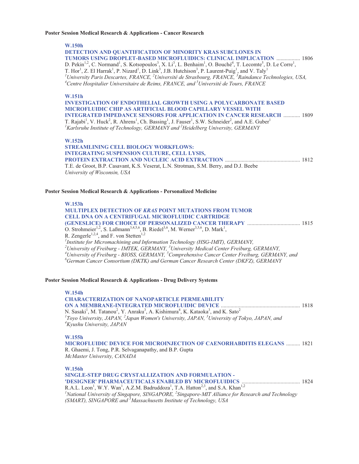#### **Poster Session Medical Research & Applications - Cancer Research**

**W.150h** 

**DETECTION AND QUANTIFICATION OF MINORITY KRAS SUBCLONES IN TUMORS USING DROPLET-BASED MICROFLUIDICS: CLINICAL IMPLICATION** ................. 1806 D. Pekin<sup>1,2</sup>, C. Normand<sup>1</sup>, S. Kotsopoulos<sup>3</sup>, X. Li<sup>3</sup>, L. Benhaim<sup>1</sup>, O. Bouché<sup>4</sup>, T. Lecomte<sup>5</sup>, D. Le Corre<sup>1</sup>, T. Hor<sup>1</sup>, Z. El Harrak<sup>1</sup>, P. Nizard<sup>1</sup>, D. Link<sup>3</sup>, J.B. Hutchison<sup>3</sup>, P. Laurent-Puig<sup>1</sup>, and V. Taly<sup>1</sup><br><sup>*I*</sup>University Paris Descartes, FRANCE, <sup>2</sup>Université de Strasbourg, FRANCE, <sup>3</sup>Raindance Technologies, USA, <sup>4</sup> *Centre Hospitalier Universitaire de Reims, FRANCE, and 5 Université de Tours, FRANCE* 

### **W.151h**

**INVESTIGATION OF ENDOTHELIAL GROWTH USING A POLYCARBONATE BASED MICROFLUIDIC CHIP AS ARTIFICIAL BLOOD CAPILLARY VESSEL WITH INTEGRATED IMPEDANCE SENSORS FOR APPLICATION IN CANCER RESEARCH** ............ 1809 T. Rajabi<sup>1</sup>, V. Huck<sup>2</sup>, R. Ahrens<sup>1</sup>, Ch. Bassing<sup>1</sup>, J. Fauser<sup>1</sup>, S.W. Schneider<sup>2</sup>, and A.E. Guber<sup>1</sup> *1 Karlsruhe Institute of Technology, GERMANY and 2 Heidelberg University, GERMANY* 

#### **W.152h**

**STREAMLINING CELL BIOLOGY WORKFLOWS: INTEGRATING SUSPENSION CULTURE, CELL LYSIS, PROTEIN EXTRACTION AND NUCLEIC ACID EXTRACTION** ...................................................... 1812 T.E. de Groot, B.P. Casavant, K.S. Veserat, L.N. Strotman, S.M. Berry, and D.J. Beebe *University of Wisconsin, USA* 

### **Poster Session Medical Research & Applications - Personalized Medicine**

## **W.153h MULTIPLEX DETECTION OF** *KRAS* **POINT MUTATIONS FROM TUMOR CELL DNA ON A CENTRIFUGAL MICROFLUIDIC CARTRIDGE (GENESLICE) FOR CHOICE OF PERSONALIZED CANCER THERAPY** ...................................... 1815 O. Strohmeier<sup>1,2</sup>, S. Laßmann<sup>3,4,5,6</sup>, B. Riedel<sup>3,6</sup>, M. Werner<sup>3,5,6</sup>, D. Mark<sup>1</sup>, R. Zengerle<sup>1,2,4</sup>, and F. von Stetten<sup>1,2</sup> *1 Institute for Micromachining and Information Technology (HSG-IMIT), GERMANY, 2 University of Freiburg - IMTEK, GERMANY, <sup>3</sup> University Medical Center Freiburg, GERMANY, 4 University of Freiburg - BIOSS, GERMANY, <sup>5</sup> Comprehensive Cancer Center Freiburg, GERMANY, and 6 German Cancer Consortium (DKTK) and German Cancer Research Center (DKFZ), GERMANY*

## **Poster Session Medical Research & Applications - Drug Delivery Systems**

**W.154h CHARACTERIZATION OF NANOPARTICLE PERMEABILITY ON A MEMBRANE-INTEGRATED MICROFLUIDIC DEVICE** ......................................................... 1818 N. Sasaki<sup>1</sup>, M. Tatanou<sup>2</sup>, Y. Anraku<sup>3</sup>, A. Kishimura<sup>4</sup>, K. Kataoka<sup>3</sup>, and K. Sato<sup>2</sup> <sup>1</sup> Toyo University, JAPAN, <sup>2</sup>Japan Women's University, JAPAN, <sup>3</sup>University of Tokyo, JAPAN, and <sup>4</sup>Kwaku University 14PAN *Kyushu University, JAPAN*  **W.155h MICROFLUIDIC DEVICE FOR MICROINJECTION OF CAENORHABDITIS ELEGANS** .......... 1821

R. Ghaemi, J. Tong, P.R. Selvaganapathy, and B.P. Gupta *McMaster University, CANADA* 

**W.156h** 

| SINGLE-STEP DRUG CRYSTALLIZATION AND FORMULATION -                                                                                            |  |
|-----------------------------------------------------------------------------------------------------------------------------------------------|--|
|                                                                                                                                               |  |
| R.A.L. Leon <sup>1</sup> , W.Y. Wan <sup>1</sup> , A.Z.M. Badruddoza <sup>1</sup> , T.A. Hatton <sup>2,3</sup> , and S.A. Khan <sup>1,2</sup> |  |
| <sup>1</sup> National University of Singapore, SINGAPORE, <sup>2</sup> Singapore-MIT Alliance for Research and Technology                     |  |
| (SMART), SINGAPORE and <sup>3</sup> Massachusetts Institute of Technology, USA                                                                |  |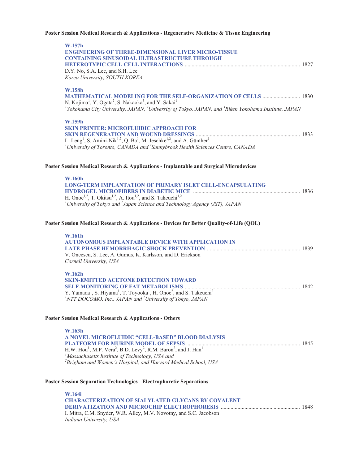# **Poster Session Medical Research & Applications - Regenerative Medicine & Tissue Engineering**

| W.157h<br><b>ENGINEERING OF THREE-DIMENSIONAL LIVER MICRO-TISSUE</b><br><b>CONTAINING SINUSOIDAL ULTRASTRUCTURE THROUGH</b><br>D.Y. No, S.A. Lee, and S.H. Lee<br>Korea University, SOUTH KOREA                                                                                                                                    |  |
|------------------------------------------------------------------------------------------------------------------------------------------------------------------------------------------------------------------------------------------------------------------------------------------------------------------------------------|--|
| W.158h<br><b>MATHEMATICAL MODELING FOR THE SELF-ORGANIZATION OF CELLS  1830</b><br>N. Kojima <sup>1</sup> , Y. Ogata <sup>2</sup> , S. Nakaoka <sup>3</sup> , and Y. Sakai <sup>1</sup><br><sup>1</sup> Yokohama City University, JAPAN, <sup>2</sup> University of Tokyo, JAPAN, and <sup>3</sup> Riken Yokohama Institute, JAPAN |  |
| W.159h<br><b>SKIN PRINTER: MICROFLUIDIC APPROACH FOR</b><br>L. Leng <sup>1</sup> , S. Amini-Nik <sup>1,2</sup> , Q. Ba <sup>1</sup> , M. Jeschke <sup>1,2</sup> , and A. Günther <sup>1</sup><br><sup>1</sup> University of Toronto, CANADA and $^{2}$ Sunnybrook Health Sciences Centre, CANADA                                   |  |
| Poster Session Medical Research & Applications - Implantable and Surgical Microdevices                                                                                                                                                                                                                                             |  |
| <b>W.160h</b><br><b>LONG-TERM IMPLANTATION OF PRIMARY ISLET CELL-ENCAPSULATING</b><br>H. Onoe <sup>1,2</sup> , T. Okitsu <sup>1,2</sup> , A. Itou <sup>1,2</sup> , and S. Takeuchi <sup>1,2</sup><br><sup>1</sup> University of Tokyo and <sup>2</sup> Japan Science and Technology Agency (JST), JAPAN                            |  |
| Poster Session Medical Research & Applications - Devices for Better Quality-of-Life (QOL)                                                                                                                                                                                                                                          |  |
| <b>W.161h</b><br><b>AUTONOMOUS IMPLANTABLE DEVICE WITH APPLICATION IN</b><br>V. Oncescu, S. Lee, A. Gumus, K. Karlsson, and D. Erickson<br>Cornell University, USA                                                                                                                                                                 |  |
| <b>W.162h</b><br><b>SKIN-EMITTED ACETONE DETECTION TOWARD</b><br>Y. Yamada <sup>1</sup> , S. Hiyama <sup>1</sup> , T. Toyooka <sup>1</sup> , H. Onoe <sup>2</sup> , and S. Takeuchi <sup>2</sup><br><sup>1</sup> NTT DOCOMO, Inc., JAPAN and <sup>2</sup> University of Tokyo, JAPAN                                               |  |
| Poster Session Medical Research & Applications - Others                                                                                                                                                                                                                                                                            |  |
| W.163h<br>A NOVEL MICROFLUIDIC "CELL-BASED" BLOOD DIALYSIS<br>H.W. Hou <sup>1</sup> , M.P. Vera <sup>2</sup> , B.D. Levy <sup>2</sup> , R.M. Baron <sup>2</sup> , and J. Han <sup>1</sup><br><sup>1</sup> Massachusetts Institute of Technology, USA and<br>${}^{2}$ Brigham and Women's Hospital, and Harvard Medical School, USA |  |
| <b>Poster Session Separation Technologies - Electrophoretic Separations</b>                                                                                                                                                                                                                                                        |  |
| W.164i<br><b>CHARACTERIZATION OF SIALYLATED GLYCANS BY COVALENT</b><br>I. Mitra, C.M. Snyder, W.R. Alley, M.V. Novotny, and S.C. Jacobson<br>Indiana University, USA                                                                                                                                                               |  |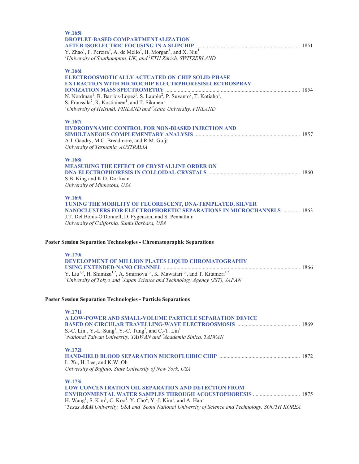| W.165i                                                                                                                                                                                                                                                                |  |
|-----------------------------------------------------------------------------------------------------------------------------------------------------------------------------------------------------------------------------------------------------------------------|--|
| <b>DROPLET-BASED COMPARTMENTALIZATION</b>                                                                                                                                                                                                                             |  |
|                                                                                                                                                                                                                                                                       |  |
| Y. Zhao <sup>1</sup> , F. Pereira <sup>2</sup> , A. de Mello <sup>2</sup> , H. Morgan <sup>1</sup> , and X. Niu <sup>1</sup><br><sup>1</sup> University of Southampton, UK, and ${}^{2}ETH$ Zürich, SWITZERLAND                                                       |  |
|                                                                                                                                                                                                                                                                       |  |
| W.166i                                                                                                                                                                                                                                                                |  |
| ELECTROOSMOTICALLY ACTUATED ON-CHIP SOLID-PHASE                                                                                                                                                                                                                       |  |
| <b>EXTRACTION WITH MICROCHIP ELECTRPHORESISELECTROSPRAY</b>                                                                                                                                                                                                           |  |
|                                                                                                                                                                                                                                                                       |  |
| N. Nordman <sup>1</sup> , B. Barrios-Lopez <sup>1</sup> , S. Laurén <sup>2</sup> , P. Suvanto <sup>2</sup> , T. Kotiaho <sup>1</sup> ,                                                                                                                                |  |
| S. Franssila <sup>2</sup> , R. Kostiainen <sup>1</sup> , and T. Sikanen <sup>1</sup>                                                                                                                                                                                  |  |
| <sup>1</sup> University of Helsinki, FINLAND and $^{2}$ Aalto University, FINLAND                                                                                                                                                                                     |  |
| W.167i                                                                                                                                                                                                                                                                |  |
| HYDRODYNAMIC CONTROL FOR NON-BIASED INJECTION AND                                                                                                                                                                                                                     |  |
|                                                                                                                                                                                                                                                                       |  |
| A.J. Gaudry, M.C. Breadmore, and R.M. Guijt                                                                                                                                                                                                                           |  |
| University of Tasmania, AUSTRALIA                                                                                                                                                                                                                                     |  |
| <b>W.168i</b>                                                                                                                                                                                                                                                         |  |
| <b>MEASURING THE EFFECT OF CRYSTALLINE ORDER ON</b>                                                                                                                                                                                                                   |  |
|                                                                                                                                                                                                                                                                       |  |
| S.B. King and K.D. Dorfman                                                                                                                                                                                                                                            |  |
| University of Minnesota, USA                                                                                                                                                                                                                                          |  |
|                                                                                                                                                                                                                                                                       |  |
| W.169i<br>TUNING THE MOBILITY OF FLUORESCENT, DNA-TEMPLATED, SILVER                                                                                                                                                                                                   |  |
| <b>NANOCLUSTERS FOR ELECTROPHORETIC SEPARATIONS IN MICROCHANNELS  1863</b>                                                                                                                                                                                            |  |
| J.T. Del Bonis-O'Donnell, D. Fygenson, and S. Pennathur                                                                                                                                                                                                               |  |
| University of California, Santa Barbara, USA                                                                                                                                                                                                                          |  |
| <b>Poster Session Separation Technologies - Chromatographic Separations</b>                                                                                                                                                                                           |  |
|                                                                                                                                                                                                                                                                       |  |
| W.170i                                                                                                                                                                                                                                                                |  |
| DEVELOPMENT OF MILLION PLATES LIQUID CHROMATOGRAPHY                                                                                                                                                                                                                   |  |
|                                                                                                                                                                                                                                                                       |  |
| Y. Liu <sup>1,2</sup> , H. Shimizu <sup>1,2</sup> , A. Smirnova <sup>1,2</sup> , K. Mawatari <sup>1,2</sup> , and T. Kitamori <sup>1,2</sup>                                                                                                                          |  |
| <sup>1</sup> University of Tokyo and <sup>2</sup> Japan Science and Technology Agency (JST), JAPAN                                                                                                                                                                    |  |
|                                                                                                                                                                                                                                                                       |  |
| <b>Poster Session Separation Technologies - Particle Separations</b>                                                                                                                                                                                                  |  |
| W.171i                                                                                                                                                                                                                                                                |  |
| A LOW-POWER AND SMALL-VOLUME PARTICLE SEPARATION DEVICE                                                                                                                                                                                                               |  |
|                                                                                                                                                                                                                                                                       |  |
| S.-C. Lin <sup>1</sup> , Y.-L. Sung <sup>1</sup> , Y.-C. Tung <sup>2</sup> , and C.-T. Lin <sup>1</sup>                                                                                                                                                               |  |
| <sup>1</sup> National Taiwan University, TAIWAN and $^{2}$ Academia Sinica, TAIWAN                                                                                                                                                                                    |  |
| W.172i                                                                                                                                                                                                                                                                |  |
|                                                                                                                                                                                                                                                                       |  |
|                                                                                                                                                                                                                                                                       |  |
| L. Xu, H. Lee, and K.W. Oh                                                                                                                                                                                                                                            |  |
| University of Buffalo, State University of New York, USA                                                                                                                                                                                                              |  |
|                                                                                                                                                                                                                                                                       |  |
| W.173i                                                                                                                                                                                                                                                                |  |
| LOW CONCENTRATION OIL SEPARATION AND DETECTION FROM<br><b>ENVIRONMENTAL WATER SAMPLES THROUGH ACOUSTOPHORESIS  1875</b>                                                                                                                                               |  |
| H. Wang <sup>1</sup> , S. Kim <sup>1</sup> , C. Koo <sup>1</sup> , Y. Cho <sup>2</sup> , Y.-J. Kim <sup>1</sup> , and A. Han <sup>1</sup><br><sup>1</sup> Texas A&M University, USA and <sup>2</sup> Seoul National University of Science and Technology, SOUTH KOREA |  |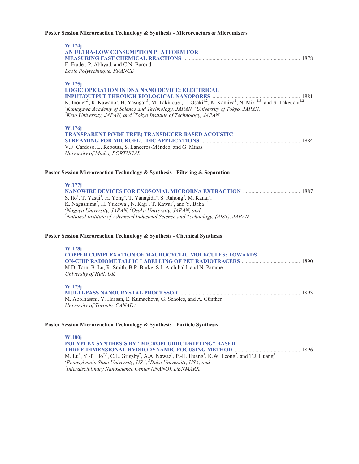## **Poster Session Microreaction Technology & Synthesis - Microreactors & Micromixers**

| W.174j<br>AN ULTRA-LOW CONSUMPTION PLATFORM FOR<br>E. Fradet, P. Abbyad, and C.N. Baroud<br>Ecole Polytechnique, FRANCE                                                                                                                                                                                                                                                                                                                                                                  |
|------------------------------------------------------------------------------------------------------------------------------------------------------------------------------------------------------------------------------------------------------------------------------------------------------------------------------------------------------------------------------------------------------------------------------------------------------------------------------------------|
| W.175j<br><b>LOGIC OPERATION IN DNA NANO DEVICE: ELECTRICAL</b><br>K. Inoue <sup>1,3</sup> , R. Kawano <sup>1</sup> , H. Yasuga <sup>1,3</sup> , M. Takinoue <sup>4</sup> , T. Osaki <sup>1,2</sup> , K. Kamiya <sup>1</sup> , N. Miki <sup>1,3</sup> , and S. Takeuchi <sup>1,2</sup><br><sup>1</sup> Kanagawa Academy of Science and Technology, JAPAN, <sup>2</sup> University of Tokyo, JAPAN,<br>${}^{3}$ Keio University, JAPAN, and ${}^{4}$ Tokyo Institute of Technology, JAPAN |
| W.176j<br>TRANSPARENT P(VDF-TRFE) TRANSDUCER-BASED ACOUSTIC<br>V.F. Cardoso, L. Rebouta, S. Lanceros-Méndez, and G. Minas<br>University of Minho, PORTUGAL                                                                                                                                                                                                                                                                                                                               |
| Poster Session Microreaction Technology & Synthesis - Filtering & Separation                                                                                                                                                                                                                                                                                                                                                                                                             |
| W.177j<br>S. Ito <sup>1</sup> , T. Yasui <sup>1</sup> , H. Yong <sup>2</sup> , T. Yanagida <sup>2</sup> , S. Rahong <sup>2</sup> , M. Kanai <sup>2</sup> ,<br>K. Nagashima <sup>2</sup> , H. Yukawa <sup>1</sup> , N. Kaji <sup>1</sup> , T. Kawai <sup>2</sup> , and Y. Baba <sup>1,3</sup><br><sup>1</sup> Nagoya University, JAPAN, <sup>2</sup> Osaka University, JAPAN, and<br>$3N$ ational Institute of Advanced Industrial Science and Technology, (AIST), JAPAN                  |
| Poster Session Microreaction Technology & Synthesis - Chemical Synthesis                                                                                                                                                                                                                                                                                                                                                                                                                 |
| W.178j<br><b>COPPER COMPLEXATION OF MACROCYCLIC MOLECULES: TOWARDS</b><br>M.D. Tarn, B. Lu, R. Smith, B.P. Burke, S.J. Archibald, and N. Pamme<br>University of Hull, UK                                                                                                                                                                                                                                                                                                                 |
| W.179j<br>M. Abolhasani, Y. Hassan, E. Kumacheva, G. Scholes, and A. Günther<br>University of Toronto, CANADA                                                                                                                                                                                                                                                                                                                                                                            |
| Poster Session Microreaction Technology & Synthesis - Particle Synthesis                                                                                                                                                                                                                                                                                                                                                                                                                 |
| <b>W.180i</b>                                                                                                                                                                                                                                                                                                                                                                                                                                                                            |

**POLYPLEX SYNTHESIS BY ''MICROFLUIDIC DRIFTING'' BASED THREE-DIMENSIONAL HYDRODYNAMIC FOCUSING METHOD** ............................................... 1896 M. Lu<sup>1</sup>, Y.-P. Ho<sup>2,3</sup>, C.L. Grigsby<sup>2</sup>, A.A. Nawaz<sup>1</sup>, P.-H. Huang<sup>1</sup>, K.W. Leong<sup>2</sup>, and T.J. Huang<sup>1</sup><br><sup>*1</sup>Pennsylvania State University, USA, <sup>2</sup>Duke University, USA, and <sup>3</sup>Interdisciplinary Nancosiones Contae (iNANO)</sup> Interdisciplinary Nanoscience Center (iNANO), DENMARK*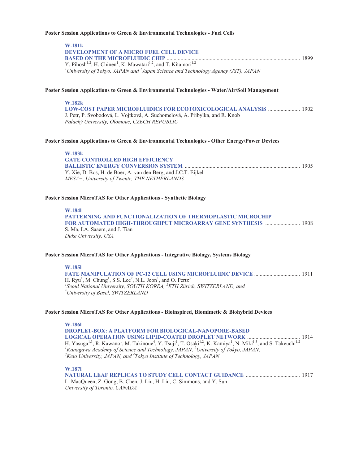#### **Poster Session Applications to Green & Environmental Technologies - Fuel Cells**

## **W.181k DEVELOPMENT OF A MICRO FUEL CELL DEVICE BASED ON THE MICROFLUIDIC CHIP** ................................................................................................ 1899 Y. Pihosh<sup>1,2</sup>, H. Chinen<sup>1</sup>, K. Mawatari<sup>1,2</sup>, and T. Kitamori<sup>1,2</sup> *1 University of Tokyo, JAPAN and <sup>2</sup> Japan Science and Technology Agency (JST), JAPAN*

## **Poster Session Applications to Green & Environmental Technologies - Water/Air/Soil Management**

#### **W.182k**

**LOW-COST PAPER MICROFLUIDICS FOR ECOTOXICOLOGICAL ANALYSIS** ....................... 1902 J. Petr, P. Svobodová, L. Vojtková, A. Suchomelová, A. Pibylka, and R. Knob *Palacký University, Olomouc, CZECH REPUBLIC* 

#### **Poster Session Applications to Green & Environmental Technologies - Other Energy/Power Devices**

| W.183k                                                         |  |
|----------------------------------------------------------------|--|
| <b>GATE CONTROLLED HIGH EFFICIENCY</b>                         |  |
|                                                                |  |
| Y. Xie, D. Bos, H. de Boer, A. van den Berg, and J.C.T. Eijkel |  |
| MESA+, University of Twente, THE NETHERLANDS                   |  |

### **Poster Session MicroTAS for Other Applications - Synthetic Biology**

#### **W.184l**

**PATTERNING AND FUNCTIONALIZATION OF THERMOPLASTIC MICROCHIP FOR AUTOMATED HIGH-THROUGHPUT MICROARRAY GENE SYNTHESIS** ......................... 1908 S. Ma, I.A. Saaem, and J. Tian *Duke University, USA* 

### **Poster Session MicroTAS for Other Applications - Integrative Biology, Systems Biology**

## **W.185l FATE MANIPULATION OF PC-12 CELL USING MICROFLUIDIC DEVICE** ................................. 1911 H. Ryu<sup>1</sup>, M. Chung<sup>1</sup>, S.S. Lee<sup>2</sup>, N.L. Jeon<sup>1</sup>, and O. Pertz<sup>3</sup> *1 Seoul National University, SOUTH KOREA, <sup>2</sup> ETH Zürich, SWITZERLAND, and 3 University of Basel, SWITZERLAND*

#### **Poster Session MicroTAS for Other Applications - Bioinspired, Biomimetic & Biohybrid Devices**

**W.186l DROPLET-BOX: A PLATFORM FOR BIOLOGICAL-NANOPORE-BASED LOGICAL OPERATION USING LIPID-COATED DROPLET NETWORK** ...................................... 1914 H. Yasuga<sup>1,3</sup>, R. Kawano<sup>1</sup>, M. Takinoue<sup>4</sup>, Y. Tsuji<sup>1</sup>, T. Osaki<sup>1,2</sup>, K. Kamiya<sup>1</sup>, N. Miki<sup>1,3</sup>, and S. Takeuchi<sup>1,2</sup> <sup>1</sup> Kanagawa Academy of Science and Technology, JAPAN, <sup>2</sup> University of Tokyo, JAPAN, <sup>3</sup> Keio, University of Tokyo, JAPAN, *Keio University, JAPAN, and 4 Tokyo Institute of Technology, JAPAN* 

# **W.187l**

| L. MacQueen, Z. Gong, B. Chen, J. Liu, H. Liu, C. Simmons, and Y. Sun |  |
|-----------------------------------------------------------------------|--|
| University of Toronto, CANADA                                         |  |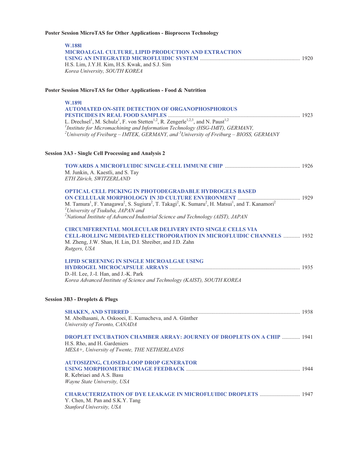# **Poster Session MicroTAS for Other Applications - Bioprocess Technology**

| <b>W.1881</b><br>MICROALGAL CULTURE, LIPID PRODUCTION AND EXTRACTION<br>H.S. Lim, J.Y.H. Kim, H.S. Kwak, and S.J. Sim                                                                                                                                                                                                                                                                                   |  |
|---------------------------------------------------------------------------------------------------------------------------------------------------------------------------------------------------------------------------------------------------------------------------------------------------------------------------------------------------------------------------------------------------------|--|
| Korea University, SOUTH KOREA                                                                                                                                                                                                                                                                                                                                                                           |  |
| Poster Session MicroTAS for Other Applications - Food & Nutrition                                                                                                                                                                                                                                                                                                                                       |  |
| W.1891<br><b>AUTOMATED ON-SITE DETECTION OF ORGANOPHOSPHOROUS</b>                                                                                                                                                                                                                                                                                                                                       |  |
| L. Drechsel <sup>1</sup> , M. Schulz <sup>1</sup> , F. von Stetten <sup>1,2</sup> , R. Zengerle <sup>1,2,3</sup> , and N. Paust <sup>1,2</sup><br><sup>1</sup> Institute for Micromachining and Information Technology (HSG-IMIT), GERMANY,<br><sup>2</sup> University of Freiburg – IMTEK, GERMANY, and <sup>3</sup> University of Freiburg – BIOSS, GERMANY                                           |  |
| <b>Session 3A3 - Single Cell Processing and Analysis 2</b>                                                                                                                                                                                                                                                                                                                                              |  |
| M. Junkin, A. Kaestli, and S. Tay<br>ETH Zürich, SWITZERLAND                                                                                                                                                                                                                                                                                                                                            |  |
| <b>OPTICAL CELL PICKING IN PHOTODEGRADABLE HYDROGELS BASED</b><br>M. Tamura <sup>1</sup> , F. Yanagawa <sup>2</sup> , S. Sugiura <sup>2</sup> , T. Takagi <sup>2</sup> , K. Sumaru <sup>2</sup> , H. Matsui <sup>1</sup> , and T. Kanamori <sup>2</sup><br><sup>1</sup> University of Tsukuba, JAPAN and<br><sup>2</sup> National Institute of Advanced Industrial Science and Technology (AIST), JAPAN |  |
| <b>CIRCUMFERENTIAL MOLECULAR DELIVERY INTO SINGLE CELLS VIA</b><br><b>CELL-ROLLING MEDIATED ELECTROPORATION IN MICROFLUIDIC CHANNELS  1932</b><br>M. Zheng, J.W. Shan, H. Lin, D.I. Shreiber, and J.D. Zahn<br>Rutgers, USA                                                                                                                                                                             |  |
| <b>LIPID SCREENING IN SINGLE MICROALGAE USING</b><br>D.-H. Lee, J.-I. Han, and J.-K. Park<br>Korea Advanced Institute of Science and Technology (KAIST), SOUTH KOREA                                                                                                                                                                                                                                    |  |
| <b>Session 3B3 - Droplets &amp; Plugs</b>                                                                                                                                                                                                                                                                                                                                                               |  |
| M. Abolhasani, A. Oskooei, E. Kumacheva, and A. Günther<br>University of Toronto, CANADA                                                                                                                                                                                                                                                                                                                |  |
| <b>DROPLET INCUBATION CHAMBER ARRAY: JOURNEY OF DROPLETS ON A CHIP  1941</b><br>H.S. Rho, and H. Gardeniers<br>MESA+, University of Twente, THE NETHERLANDS                                                                                                                                                                                                                                             |  |
| <b>AUTOSIZING, CLOSED-LOOP DROP GENERATOR</b><br>R. Kebriaei and A.S. Basu<br>Wayne State University, USA                                                                                                                                                                                                                                                                                               |  |
| <b>CHARACTERIZATION OF DYE LEAKAGE IN MICROFLUIDIC DROPLETS  1947</b><br>Y. Chen, M. Pan and S.K.Y. Tang<br>Stanford University, USA                                                                                                                                                                                                                                                                    |  |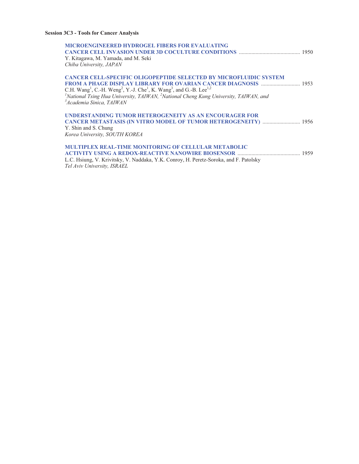# **Session 3C3 - Tools for Cancer Analysis**

| <b>MICROENGINEERED HYDROGEL FIBERS FOR EVALUATING</b><br>Y. Kitagawa, M. Yamada, and M. Seki<br>Chiba University, JAPAN                                                                                                                                                                                                                                                                                                                               |  |
|-------------------------------------------------------------------------------------------------------------------------------------------------------------------------------------------------------------------------------------------------------------------------------------------------------------------------------------------------------------------------------------------------------------------------------------------------------|--|
| <b>CANCER CELL-SPECIFIC OLIGOPEPTIDE SELECTED BY MICROFLUIDIC SYSTEM</b><br>C.H. Wang <sup>1</sup> , C.-H. Weng <sup>2</sup> , Y.-J. Che <sup>1</sup> , K. Wang <sup>3</sup> , and G.-B. Lee <sup>1,2</sup><br><sup>1</sup> National Tsing Hua University, TAIWAN, <sup>2</sup> National Cheng Kung University, TAIWAN, and<br><sup>3</sup> Academia Sinica, TAIWAN                                                                                   |  |
| UNDERSTANDING TUMOR HETEROGENEITY AS AN ENCOURAGER FOR<br><b>CANCER METASTASIS (IN VITRO MODEL OF TUMOR HETEROGENEITY)  1956</b><br>Y. Shin and S. Chung<br>Korea University, SOUTH KOREA                                                                                                                                                                                                                                                             |  |
| <b>MULTIPLEX REAL-TIME MONITORING OF CELLULAR METABOLIC</b><br>L.C. Hsiung, V. Krivitsky, V. Naddaka, Y.K. Conroy, H. Peretz-Soroka, and F. Patolsky<br>$T_{\rm{u}}$ $T_{\rm{u}}$ $T_{\rm{u}}$ $T_{\rm{u}}$ $T_{\rm{u}}$ $T_{\rm{u}}$ $T_{\rm{u}}$ $T_{\rm{u}}$ $T_{\rm{u}}$ $T_{\rm{u}}$ $T_{\rm{u}}$ $T_{\rm{u}}$ $T_{\rm{u}}$ $T_{\rm{u}}$ $T_{\rm{u}}$ $T_{\rm{u}}$ $T_{\rm{u}}$ $T_{\rm{u}}$ $T_{\rm{u}}$ $T_{\rm{u}}$ $T_{\rm{u}}$ $T_{\rm{u}}$ |  |

*Tel Aviv University, ISRAEL*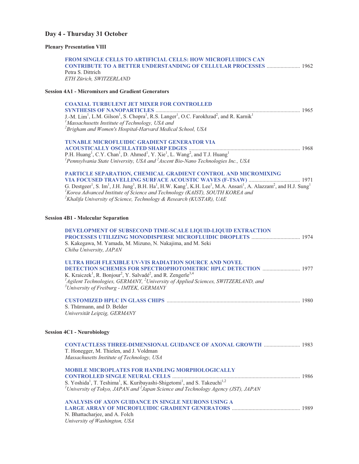# **Day 4 - Thursday 31 October**

# **Plenary Presentation VIII**

| <b>FROM SINGLE CELLS TO ARTIFICIAL CELLS: HOW MICROFLUIDICS CAN</b><br><b>CONTRIBUTE TO A BETTER UNDERSTANDING OF CELLULAR PROCESSES  1962</b><br>Petra S. Dittrich<br>ETH Zürich, SWITZERLAND                                                                                                                                                                                                                                                                                    |  |
|-----------------------------------------------------------------------------------------------------------------------------------------------------------------------------------------------------------------------------------------------------------------------------------------------------------------------------------------------------------------------------------------------------------------------------------------------------------------------------------|--|
| <b>Session 4A1 - Micromixers and Gradient Generators</b>                                                                                                                                                                                                                                                                                                                                                                                                                          |  |
| <b>COAXIAL TURBULENT JET MIXER FOR CONTROLLED</b><br>J.-M. Lim <sup>1</sup> , L.M. Gilson <sup>1</sup> , S. Chopra <sup>1</sup> , R.S. Langer <sup>1</sup> , O.C. Farokhzad <sup>2</sup> , and R. Karnik <sup>1</sup><br><sup>1</sup> Massachusetts Institute of Technology, USA and<br><sup>2</sup> Brigham and Women's Hospital-Harvard Medical School, USA                                                                                                                     |  |
| <b>TUNABLE MICROFLUIDIC GRADIENT GENERATOR VIA</b><br>P.H. Huang <sup>1</sup> , C.Y. Chan <sup>1</sup> , D. Ahmed <sup>1</sup> , Y. Xie <sup>1</sup> , L. Wang <sup>2</sup> , and T.J. Huang <sup>1</sup><br><sup>1</sup> Pennsylvania State University, USA and $^{2}$ Ascent Bio-Nano Technologies Inc., USA                                                                                                                                                                    |  |
| PARTICLE SEPARATION, CHEMICAL GRADIENT CONTROL AND MICROMIXING<br>G. Destgeer <sup>1</sup> , S. Im <sup>1</sup> , J.H. Jung <sup>1</sup> , B.H. Ha <sup>1</sup> , H.W. Kang <sup>1</sup> , K.H. Lee <sup>1</sup> , M.A. Ansari <sup>1</sup> , A. Alazzam <sup>2</sup> , and H.J. Sung <sup>1</sup><br><sup>1</sup> Korea Advanced Institute of Science and Technology (KAIST), SOUTH KOREA and<br><sup>2</sup> Khalifa University of Science, Technology & Research (KUSTAR), UAE |  |
| <b>Session 4B1 - Molecular Separation</b>                                                                                                                                                                                                                                                                                                                                                                                                                                         |  |
| DEVELOPMENT OF SUBSECOND TIME-SCALE LIQUID-LIQUID EXTRACTION<br>S. Kakegawa, M. Yamada, M. Mizuno, N. Nakajima, and M. Seki<br>Chiba University, JAPAN                                                                                                                                                                                                                                                                                                                            |  |
| ULTRA HIGH FLEXIBLE UV-VIS RADIATION SOURCE AND NOVEL<br><b>DETECTION SCHEMES FOR SPECTROPHOTOMETRIC HPLC DETECTION  1977</b><br>K. Kraiczek <sup>1</sup> , R. Bonjour <sup>2</sup> , Y. Salvadé <sup>2</sup> , and R. Zengerle <sup>3,4</sup><br>${}^{1}$ Agilent Technologies, GERMANY, ${}^{2}$ University of Applied Sciences, SWITZERLAND, and<br><sup>3</sup> University of Freiburg - IMTEK, GERMANY                                                                       |  |
| S. Thürmann, and D. Belder<br>Universität Leipzig, GERMANY                                                                                                                                                                                                                                                                                                                                                                                                                        |  |
| <b>Session 4C1 - Neurobiology</b>                                                                                                                                                                                                                                                                                                                                                                                                                                                 |  |
| <b>CONTACTLESS THREE-DIMENSIONAL GUIDANCE OF AXONAL GROWTH  1983</b><br>T. Honegger, M. Thielen, and J. Voldman<br>Massachusetts Institute of Technology, USA                                                                                                                                                                                                                                                                                                                     |  |
| <b>MOBILE MICROPLATES FOR HANDLING MORPHOLOGICALLY</b><br><sup>1</sup> University of Tokyo, JAPAN and $^{2}$ Japan Science and Technology Agency (JST), JAPAN                                                                                                                                                                                                                                                                                                                     |  |
| ANALYSIS OF AXON GUIDANCE IN SINGLE NEURONS USING A<br>N. Bhattacharjee, and A. Folch                                                                                                                                                                                                                                                                                                                                                                                             |  |

*University of Washington, USA*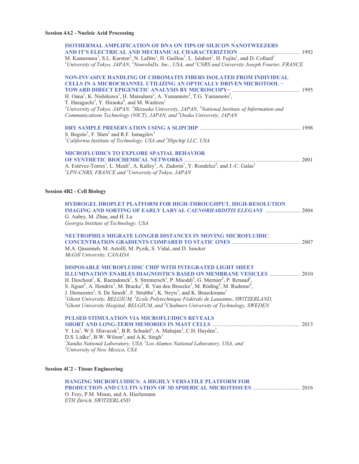| <b>ISOTHERMAL AMPLIFICATION OF DNA ON TIPS OF SILICON NANOTWEEZERS</b>                                                                                                                                                                                                                                                                                                                                                                                                                                                                                                                                                                                                                                                                                                                                                                             |  |
|----------------------------------------------------------------------------------------------------------------------------------------------------------------------------------------------------------------------------------------------------------------------------------------------------------------------------------------------------------------------------------------------------------------------------------------------------------------------------------------------------------------------------------------------------------------------------------------------------------------------------------------------------------------------------------------------------------------------------------------------------------------------------------------------------------------------------------------------------|--|
| M. Kumemura <sup>1</sup> , S.L. Karsten <sup>2</sup> , N. Lafitte <sup>1</sup> , H. Guillou <sup>3</sup> , L. Jalabert <sup>1</sup> , H. Fujita <sup>1</sup> , and D. Collard <sup>1</sup>                                                                                                                                                                                                                                                                                                                                                                                                                                                                                                                                                                                                                                                         |  |
| $^1$ University of Tokyo, JAPAN, $^2$ NeuroInDx. Inc., USA, and $^3$ CNRS and University Joseph Fourier, FRANCE                                                                                                                                                                                                                                                                                                                                                                                                                                                                                                                                                                                                                                                                                                                                    |  |
| NON-INVASIVE HANDLING OF CHROMATIN FIBERS ISOLATED FROM INDIVIDUAL<br><b>CELLS IN A MICROCHANNEL UTILIZING AN OPTICALLY DRIVEN MICROTOOL -</b>                                                                                                                                                                                                                                                                                                                                                                                                                                                                                                                                                                                                                                                                                                     |  |
| H. Oana <sup>1</sup> , K. Nishikawa <sup>1</sup> , H. Matsuhara <sup>2</sup> , A. Yamamoto <sup>2</sup> , T.G. Yamamoto <sup>3</sup> ,<br>T. Haraguchi <sup>3</sup> , Y. Hiraoka <sup>4</sup> , and M. Washizu <sup>1</sup><br>$^{1}$ University of Tokyo, JAPAN, $^{2}$ Shizuoka University, JAPAN, $^{3}$ National Institute of Information and<br>Communications Technology (NICT), JAPAN, and <sup>4</sup> Osaka University, JAPAN                                                                                                                                                                                                                                                                                                                                                                                                             |  |
|                                                                                                                                                                                                                                                                                                                                                                                                                                                                                                                                                                                                                                                                                                                                                                                                                                                    |  |
| S. Begolo <sup>1</sup> , F. Shen <sup>2</sup> and R.F. Ismagilov <sup>1</sup><br><sup>1</sup> California Institute of Technology, USA and <sup>2</sup> Slipchip LLC, USA                                                                                                                                                                                                                                                                                                                                                                                                                                                                                                                                                                                                                                                                           |  |
| <b>MICROFLUIDICS TO EXPLORE SPATIAL BEHAVIOR</b>                                                                                                                                                                                                                                                                                                                                                                                                                                                                                                                                                                                                                                                                                                                                                                                                   |  |
| A. Estévez-Torres <sup>1</sup> , L. Mzali <sup>1</sup> , A. Kalley <sup>1</sup> , A. Zadorin <sup>1</sup> , Y. Rondelez <sup>2</sup> , and J.-C. Galas <sup>1</sup><br><sup>1</sup> LPN-CNRS, FRANCE and <sup>2</sup> University of Tokyo, JAPAN                                                                                                                                                                                                                                                                                                                                                                                                                                                                                                                                                                                                   |  |
| <b>Session 4B2 - Cell Biology</b>                                                                                                                                                                                                                                                                                                                                                                                                                                                                                                                                                                                                                                                                                                                                                                                                                  |  |
| HYDROGEL DROPLET PLATFORM FOR HIGH-THROUGHPUT, HIGH-RESOLUTION<br><b>IMAGING AND SORTING OF EARLY LARVAL CAENORHABDITIS ELEGANS  2004</b><br>G. Aubry, M. Zhan, and H. Lu<br>Georgia Institute of Technology, USA                                                                                                                                                                                                                                                                                                                                                                                                                                                                                                                                                                                                                                  |  |
| <b>NEUTROPHILS MIGRATE LONGER DISTANCES IN MOVING MICROFLUIDIC</b><br>M.A. Qasaimeh, M. Astolfi, M. Pyzik, S. Vidal, and D. Juncker<br>McGill University, CANADA                                                                                                                                                                                                                                                                                                                                                                                                                                                                                                                                                                                                                                                                                   |  |
| <b>DISPOSABLE MICROFLUIDIC CHIP WITH INTEGRATED LIGHT SHEET</b><br><b>ILLUMINATION ENABLES DIAGNOSTICS BASED ON MEMBRANE VESICLES  2010</b><br>H. Deschout <sup>1</sup> , K. Raemdonck <sup>1</sup> , S. Stremersch <sup>1</sup> , P. Maoddi <sup>2</sup> , G. Mernier <sup>2</sup> , P. Renaud <sup>2</sup> ,<br>S. Jiguet <sup>2</sup> , A. Hendrix <sup>3</sup> , M. Bracke <sup>3</sup> , R. Van den Broecke <sup>3</sup> , M. Röding <sup>4</sup> , M. Rudemo <sup>4</sup> ,<br>J. Demeester <sup>1</sup> , S. De Smedt <sup>1</sup> , F. Strubbe <sup>1</sup> , K. Neyts <sup>1</sup> , and K. Braeckmans <sup>1</sup><br>${}^{1}$ Ghent University, BELGIUM, ${}^{2}$ Ecole Polytechnique Fédérale de Lausanne, SWITZERLAND,<br><sup>3</sup> Ghent University Hospital, BELGIUM, and <sup>4</sup> Chalmers University of Technology, SWEDEN |  |
| PULSED STIMULATION VIA MICROFLUIDICS REVEALS<br>Y. Liu <sup>1</sup> , W.S. Hlavacek <sup>3</sup> , B.R. Schudel <sup>1</sup> , A. Mahajan <sup>3</sup> , C.H. Hayden <sup>1</sup> ,<br>D.S. Lidke <sup>2</sup> , B.W. Wilson <sup>2</sup> , and A.K. Singh <sup>1</sup><br><sup>1</sup> Sandia National Laboratory, USA, ${}^{2}$ Los Alamos National Laboratory, USA, and<br><sup>3</sup> University of New Mexico, USA                                                                                                                                                                                                                                                                                                                                                                                                                           |  |
| <b>Session 4C2 - Tissue Engineering</b>                                                                                                                                                                                                                                                                                                                                                                                                                                                                                                                                                                                                                                                                                                                                                                                                            |  |
| <b>HANGING MICROFLUIDICS: A HIGHLY VERSATILE PLATFORM FOR</b><br>O. Frey, P.M. Misun, and A. Hierlemann<br>ETH Zürich, SWITZERLAND                                                                                                                                                                                                                                                                                                                                                                                                                                                                                                                                                                                                                                                                                                                 |  |